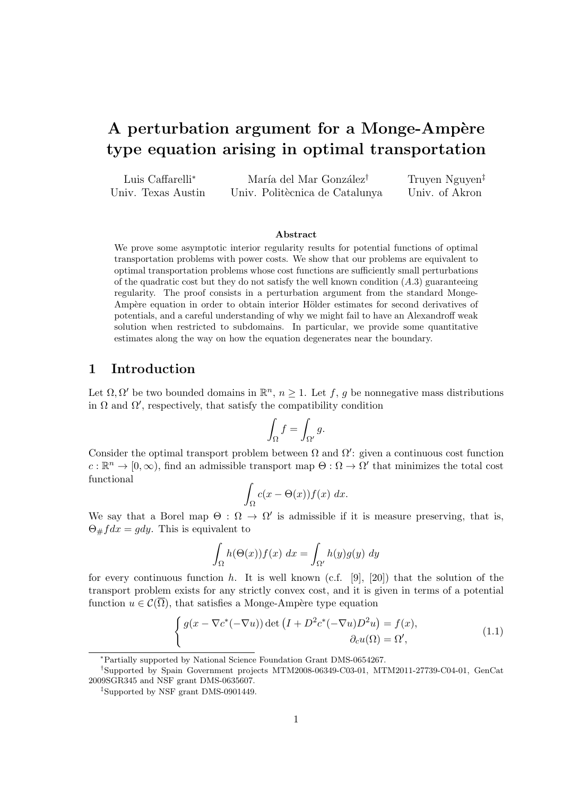# A perturbation argument for a Monge-Ampère **type equation arising in optimal transportation**

| Luis Caffarelli <sup>*</sup> | María del Mar González <sup>†</sup> | Truyen Nguyen <sup>‡</sup> |
|------------------------------|-------------------------------------|----------------------------|
| Univ. Texas Austin           | Univ. Politècnica de Catalunya      | Univ. of Akron             |

#### **Abstract**

We prove some asymptotic interior regularity results for potential functions of optimal transportation problems with power costs. We show that our problems are equivalent to optimal transportation problems whose cost functions are sufficiently small perturbations of the quadratic cost but they do not satisfy the well known condition  $(A.3)$  guaranteeing regularity. The proof consists in a perturbation argument from the standard Monge-Ampère equation in order to obtain interior Hölder estimates for second derivatives of potentials, and a careful understanding of why we might fail to have an Alexandroff weak solution when restricted to subdomains. In particular, we provide some quantitative estimates along the way on how the equation degenerates near the boundary.

### **1 Introduction**

Let  $\Omega$ ,  $\Omega'$  be two bounded domains in  $\mathbb{R}^n$ ,  $n \geq 1$ . Let *f*, *g* be nonnegative mass distributions in  $\Omega$  and  $\Omega'$ , respectively, that satisfy the compatibility condition

$$
\int_{\Omega} f = \int_{\Omega'} g.
$$

Consider the optimal transport problem between  $\Omega$  and  $\Omega'$ : given a continuous cost function  $c: \mathbb{R}^n \to [0, \infty)$ , find an admissible transport map  $\Theta: \Omega \to \Omega'$  that minimizes the total cost functional

$$
\int_{\Omega} c(x - \Theta(x)) f(x) \ dx.
$$

We say that a Borel map  $\Theta : \Omega \to \Omega'$  is admissible if it is measure preserving, that is,  $\Theta$ <sub>#</sub> $fdx = gdy$ . This is equivalent to

$$
\int_{\Omega} h(\Theta(x)) f(x) dx = \int_{\Omega'} h(y) g(y) dy
$$

for every continuous function *h*. It is well known (c.f. [9], [20]) that the solution of the transport problem exists for any strictly convex cost, and it is given in terms of a potential function  $u \in \mathcal{C}(\overline{\Omega})$ , that satisfies a Monge-Ampère type equation

$$
\begin{cases}\ng(x - \nabla c^*(-\nabla u)) \det \left(I + D^2 c^*(-\nabla u) D^2 u\right) = f(x), \\
\partial_c u(\Omega) = \Omega',\n\end{cases} \tag{1.1}
$$

*<sup>∗</sup>*Partially supported by National Science Foundation Grant DMS-0654267.

*<sup>†</sup>*Supported by Spain Government projects MTM2008-06349-C03-01, MTM2011-27739-C04-01, GenCat 2009SGR345 and NSF grant DMS-0635607.

*<sup>‡</sup>*Supported by NSF grant DMS-0901449.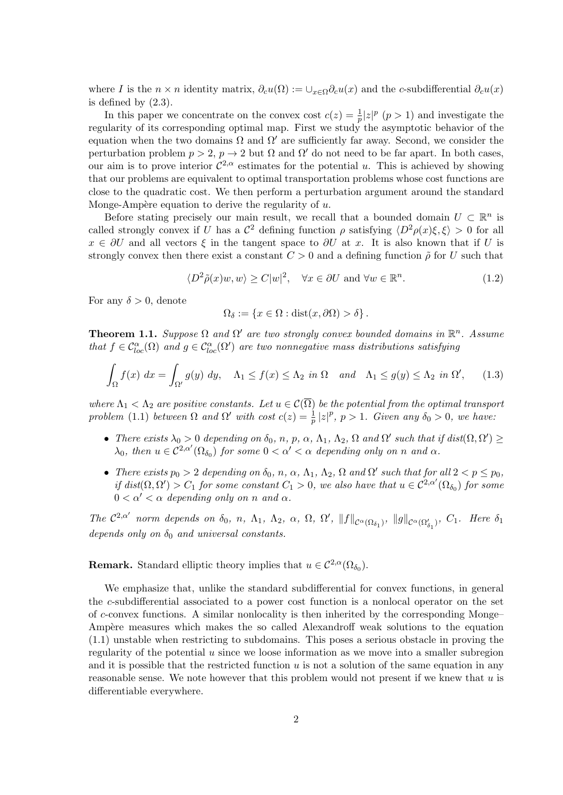where *I* is the  $n \times n$  identity matrix,  $\partial_c u(\Omega) := \cup_{x \in \Omega} \partial_c u(x)$  and the *c*-subdifferential  $\partial_c u(x)$ is defined by (2.3).

In this paper we concentrate on the convex cost  $c(z) = \frac{1}{p} |z|^p$  ( $p > 1$ ) and investigate the regularity of its corresponding optimal map. First we study the asymptotic behavior of the equation when the two domains Ω and Ω*′* are sufficiently far away. Second, we consider the perturbation problem  $p > 2$ ,  $p \to 2$  but  $\Omega$  and  $\Omega'$  do not need to be far apart. In both cases, our aim is to prove interior  $C^{2,\alpha}$  estimates for the potential *u*. This is achieved by showing that our problems are equivalent to optimal transportation problems whose cost functions are close to the quadratic cost. We then perform a perturbation argument around the standard Monge-Ampère equation to derive the regularity of *u*.

Before stating precisely our main result, we recall that a bounded domain  $U \subset \mathbb{R}^n$  is called strongly convex if *U* has a  $\mathcal{C}^2$  defining function  $\rho$  satisfying  $\langle D^2 \rho(x)\xi, \xi \rangle > 0$  for all  $x \in \partial U$  and all vectors  $\xi$  in the tangent space to  $\partial U$  at *x*. It is also known that if *U* is strongly convex then there exist a constant  $C > 0$  and a defining function  $\tilde{\rho}$  for *U* such that

$$
\langle D^2 \tilde{\rho}(x) w, w \rangle \ge C|w|^2, \quad \forall x \in \partial U \text{ and } \forall w \in \mathbb{R}^n. \tag{1.2}
$$

For any  $\delta > 0$ , denote

$$
\Omega_{\delta} := \{ x \in \Omega : \text{dist}(x, \partial \Omega) > \delta \}.
$$

**Theorem 1.1.** *Suppose*  $\Omega$  *and*  $\Omega'$  *are two strongly convex bounded domains in*  $\mathbb{R}^n$ *. Assume that*  $f \in C^{\alpha}_{loc}(\Omega)$  *and*  $g \in C^{\alpha}_{loc}(\Omega')$  *are two nonnegative mass distributions satisfying* 

$$
\int_{\Omega} f(x) dx = \int_{\Omega'} g(y) dy, \quad \Lambda_1 \le f(x) \le \Lambda_2 \text{ in } \Omega \quad \text{and} \quad \Lambda_1 \le g(y) \le \Lambda_2 \text{ in } \Omega', \tag{1.3}
$$

*where*  $\Lambda_1 < \Lambda_2$  *are positive constants. Let*  $u \in C(\overline{\Omega})$  *be the potential from the optimal transport problem* (1.1) *between*  $\Omega$  *and*  $\Omega'$  *with cost*  $c(z) = \frac{1}{p} |z|^p$ ,  $p > 1$ *. Given any*  $\delta_0 > 0$ *, we have:* 

- There exists  $\lambda_0 > 0$  depending on  $\delta_0$ , n, p,  $\alpha$ ,  $\Lambda_1$ ,  $\Lambda_2$ ,  $\Omega$  and  $\Omega'$  such that if  $dist(\Omega, \Omega') \ge$  $\lambda_0$ , then  $u \in C^{2,\alpha'}(\Omega_{\delta_0})$  for some  $0 < \alpha' < \alpha$  depending only on *n* and  $\alpha$ .
- There exists  $p_0 > 2$  depending on  $\delta_0$ , n,  $\alpha$ ,  $\Lambda_1$ ,  $\Lambda_2$ ,  $\Omega$  and  $\Omega'$  such that for all  $2 < p \leq p_0$ ,  $if dist(\Omega, \Omega') > C_1$  *for some constant*  $C_1 > 0$ *, we also have that*  $u \in C^{2,\alpha'}(\Omega_{\delta_0})$  *for some*  $0 < \alpha' < \alpha$  depending only on *n* and  $\alpha$ .

The  $C^{2,\alpha'}$  norm depends on  $\delta_0$ , n,  $\Lambda_1$ ,  $\Lambda_2$ ,  $\alpha$ ,  $\Omega$ ,  $\Omega'$ ,  $||f||_{C^{\alpha}(\Omega_{\delta_1})}$ ,  $||g||_{C^{\alpha}(\Omega_{\delta_1}')}$ ,  $C_1$ . Here  $\delta_1$ *depends only on*  $\delta_0$  *and universal constants.* 

**Remark.** Standard elliptic theory implies that  $u \in C^{2,\alpha}(\Omega_{\delta_0})$ .

We emphasize that, unlike the standard subdifferential for convex functions, in general the *c*-subdifferential associated to a power cost function is a nonlocal operator on the set of *c*-convex functions. A similar nonlocality is then inherited by the corresponding Monge– Ampère measures which makes the so called Alexandroff weak solutions to the equation (1.1) unstable when restricting to subdomains. This poses a serious obstacle in proving the regularity of the potential *u* since we loose information as we move into a smaller subregion and it is possible that the restricted function *u* is not a solution of the same equation in any reasonable sense. We note however that this problem would not present if we knew that *u* is differentiable everywhere.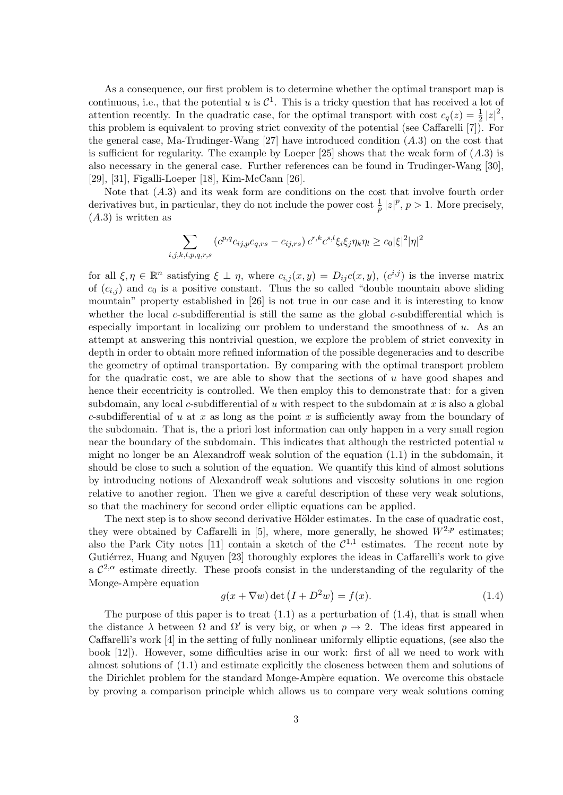As a consequence, our first problem is to determine whether the optimal transport map is continuous, i.e., that the potential  $u$  is  $C^1$ . This is a tricky question that has received a lot of attention recently. In the quadratic case, for the optimal transport with cost  $c_q(z) = \frac{1}{2} |z|^2$ , this problem is equivalent to proving strict convexity of the potential (see Caffarelli [7]). For the general case, Ma-Trudinger-Wang [27] have introduced condition (*A.*3) on the cost that is sufficient for regularity. The example by Loeper  $[25]$  shows that the weak form of  $(A.3)$  is also necessary in the general case. Further references can be found in Trudinger-Wang [30], [29], [31], Figalli-Loeper [18], Kim-McCann [26].

Note that (*A.*3) and its weak form are conditions on the cost that involve fourth order derivatives but, in particular, they do not include the power cost  $\frac{1}{p} |z|^p$ ,  $p > 1$ . More precisely, (*A.*3) is written as

$$
\sum_{i,j,k,l,p,q,r,s} (c^{p,q} c_{ij,p} c_{q,rs} - c_{ij,rs}) c^{r,k} c^{s,l} \xi_i \xi_j \eta_k \eta_l \ge c_0 |\xi|^2 |\eta|^2
$$

for all  $\xi, \eta \in \mathbb{R}^n$  satisfying  $\xi \perp \eta$ , where  $c_{i,j}(x, y) = D_{ij}c(x, y)$ ,  $(c^{i,j})$  is the inverse matrix of  $(c_{i,j})$  and  $c_0$  is a positive constant. Thus the so called "double mountain above sliding mountain" property established in [26] is not true in our case and it is interesting to know whether the local *c*-subdifferential is still the same as the global *c*-subdifferential which is especially important in localizing our problem to understand the smoothness of *u*. As an attempt at answering this nontrivial question, we explore the problem of strict convexity in depth in order to obtain more refined information of the possible degeneracies and to describe the geometry of optimal transportation. By comparing with the optimal transport problem for the quadratic cost, we are able to show that the sections of *u* have good shapes and hence their eccentricity is controlled. We then employ this to demonstrate that: for a given subdomain, any local *c*-subdifferential of *u* with respect to the subdomain at *x* is also a global *c*-subdifferential of *u* at *x* as long as the point *x* is sufficiently away from the boundary of the subdomain. That is, the a priori lost information can only happen in a very small region near the boundary of the subdomain. This indicates that although the restricted potential *u* might no longer be an Alexandroff weak solution of the equation  $(1.1)$  in the subdomain, it should be close to such a solution of the equation. We quantify this kind of almost solutions by introducing notions of Alexandroff weak solutions and viscosity solutions in one region relative to another region. Then we give a careful description of these very weak solutions, so that the machinery for second order elliptic equations can be applied.

The next step is to show second derivative Hölder estimates. In the case of quadratic cost, they were obtained by Caffarelli in [5], where, more generally, he showed  $W^{2,p}$  estimates; also the Park City notes [11] contain a sketch of the  $\mathcal{C}^{1,1}$  estimates. The recent note by Gutiérrez, Huang and Nguyen [23] thoroughly explores the ideas in Caffarelli's work to give a  $\mathcal{C}^{2,\alpha}$  estimate directly. These proofs consist in the understanding of the regularity of the Monge-Ampère equation

$$
g(x + \nabla w) \det (I + D^2 w) = f(x). \tag{1.4}
$$

The purpose of this paper is to treat  $(1.1)$  as a perturbation of  $(1.4)$ , that is small when the distance  $\lambda$  between  $\Omega$  and  $\Omega'$  is very big, or when  $p \to 2$ . The ideas first appeared in Caffarelli's work [4] in the setting of fully nonlinear uniformly elliptic equations, (see also the book [12]). However, some difficulties arise in our work: first of all we need to work with almost solutions of (1.1) and estimate explicitly the closeness between them and solutions of the Dirichlet problem for the standard Monge-Ampère equation. We overcome this obstacle by proving a comparison principle which allows us to compare very weak solutions coming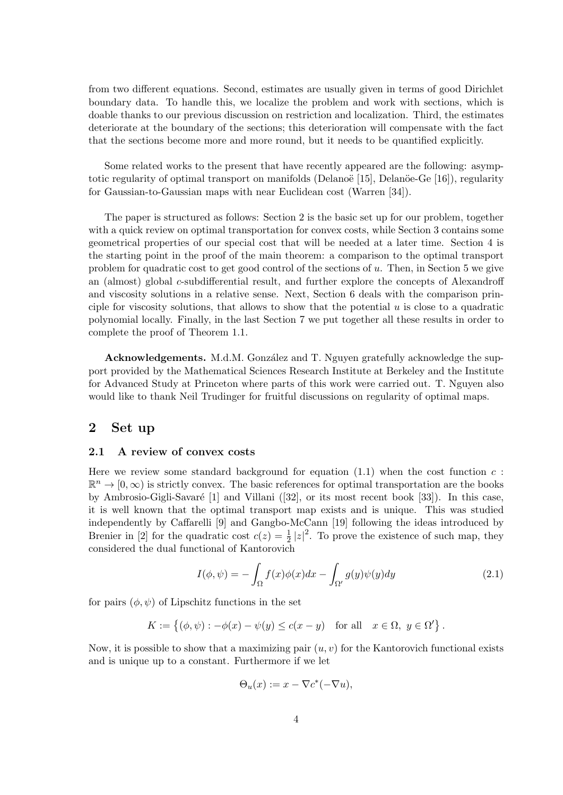from two different equations. Second, estimates are usually given in terms of good Dirichlet boundary data. To handle this, we localize the problem and work with sections, which is doable thanks to our previous discussion on restriction and localization. Third, the estimates deteriorate at the boundary of the sections; this deterioration will compensate with the fact that the sections become more and more round, but it needs to be quantified explicitly.

Some related works to the present that have recently appeared are the following: asymptotic regularity of optimal transport on manifolds (Delanoë [15], Delanoë-Ge [16]), regularity for Gaussian-to-Gaussian maps with near Euclidean cost (Warren [34]).

The paper is structured as follows: Section 2 is the basic set up for our problem, together with a quick review on optimal transportation for convex costs, while Section 3 contains some geometrical properties of our special cost that will be needed at a later time. Section 4 is the starting point in the proof of the main theorem: a comparison to the optimal transport problem for quadratic cost to get good control of the sections of *u*. Then, in Section 5 we give an (almost) global *c*-subdifferential result, and further explore the concepts of Alexandroff and viscosity solutions in a relative sense. Next, Section 6 deals with the comparison principle for viscosity solutions, that allows to show that the potential *u* is close to a quadratic polynomial locally. Finally, in the last Section 7 we put together all these results in order to complete the proof of Theorem 1.1.

**Acknowledgements.** M.d.M. González and T. Nguyen gratefully acknowledge the support provided by the Mathematical Sciences Research Institute at Berkeley and the Institute for Advanced Study at Princeton where parts of this work were carried out. T. Nguyen also would like to thank Neil Trudinger for fruitful discussions on regularity of optimal maps.

### **2 Set up**

### **2.1 A review of convex costs**

Here we review some standard background for equation  $(1.1)$  when the cost function  $c$ :  $\mathbb{R}^n \to [0, \infty)$  is strictly convex. The basic references for optimal transportation are the books by Ambrosio-Gigli-Savaré  $[1]$  and Villani  $([32]$ , or its most recent book  $[33]$ ). In this case, it is well known that the optimal transport map exists and is unique. This was studied independently by Caffarelli [9] and Gangbo-McCann [19] following the ideas introduced by Brenier in [2] for the quadratic cost  $c(z) = \frac{1}{2} |z|^2$ . To prove the existence of such map, they considered the dual functional of Kantorovich

$$
I(\phi, \psi) = -\int_{\Omega} f(x)\phi(x)dx - \int_{\Omega'} g(y)\psi(y)dy
$$
\n(2.1)

for pairs  $(\phi, \psi)$  of Lipschitz functions in the set

$$
K := \left\{ (\phi, \psi) : -\phi(x) - \psi(y) \le c(x - y) \quad \text{for all} \quad x \in \Omega, \ y \in \Omega' \right\}.
$$

Now, it is possible to show that a maximizing pair (*u, v*) for the Kantorovich functional exists and is unique up to a constant. Furthermore if we let

$$
\Theta_u(x) := x - \nabla c^*(-\nabla u),
$$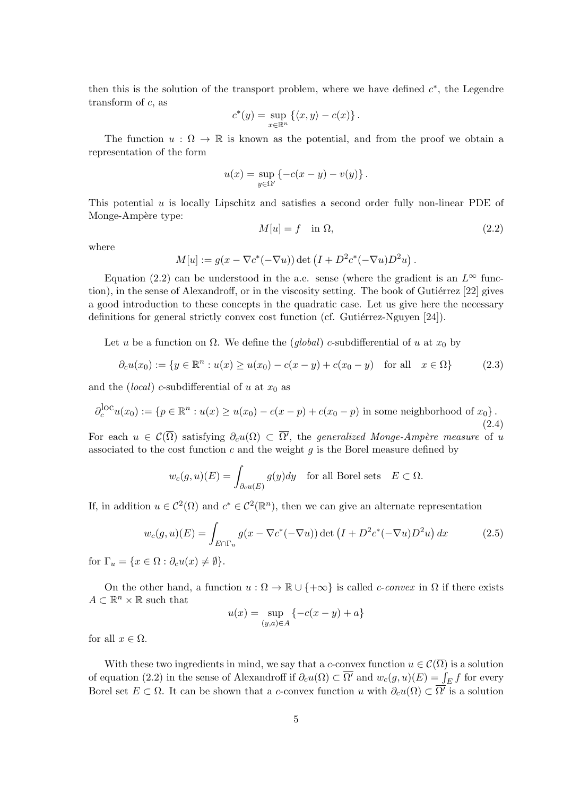then this is the solution of the transport problem, where we have defined  $c^*$ , the Legendre transform of *c*, as

$$
c^*(y) = \sup_{x \in \mathbb{R}^n} \left\{ \langle x, y \rangle - c(x) \right\}.
$$

The function  $u : \Omega \to \mathbb{R}$  is known as the potential, and from the proof we obtain a representation of the form

$$
u(x) = \sup_{y \in \Omega'} \left\{-c(x - y) - v(y)\right\}.
$$

This potential *u* is locally Lipschitz and satisfies a second order fully non-linear PDE of Monge-Ampère type:

$$
M[u] = f \quad \text{in } \Omega,\tag{2.2}
$$

where

$$
M[u] := g(x - \nabla c^*(-\nabla u)) \det (I + D^2 c^*(-\nabla u)D^2 u).
$$

Equation (2.2) can be understood in the a.e. sense (where the gradient is an  $L^{\infty}$  function), in the sense of Alexandroff, or in the viscosity setting. The book of Gutiérrez  $[22]$  gives a good introduction to these concepts in the quadratic case. Let us give here the necessary definitions for general strictly convex cost function (cf. Gutiérrez-Nguyen  $[24]$ ).

Let *u* be a function on  $\Omega$ . We define the *(global) c*-subdifferential of *u* at  $x_0$  by

$$
\partial_c u(x_0) := \{ y \in \mathbb{R}^n : u(x) \ge u(x_0) - c(x - y) + c(x_0 - y) \quad \text{for all} \quad x \in \Omega \}
$$
 (2.3)

and the *(local) c*-subdifferential of *u* at  $x_0$  as

$$
\partial_c^{\text{loc}} u(x_0) := \{ p \in \mathbb{R}^n : u(x) \ge u(x_0) - c(x - p) + c(x_0 - p) \text{ in some neighborhood of } x_0 \}.
$$
\n(2.4)

For each  $u \in \mathcal{C}(\Omega)$  satisfying  $\partial_{c}u(\Omega) \subset \Omega'$ , the *generalized Monge-Ampère measure* of *u* associated to the cost function *c* and the weight *g* is the Borel measure defined by

$$
w_c(g, u)(E) = \int_{\partial_c u(E)} g(y) dy \quad \text{for all Borel sets} \quad E \subset \Omega.
$$

If, in addition  $u \in C^2(\Omega)$  and  $c^* \in C^2(\mathbb{R}^n)$ , then we can give an alternate representation

$$
w_c(g, u)(E) = \int_{E \cap \Gamma_u} g(x - \nabla c^*(-\nabla u)) \det (I + D^2 c^*(-\nabla u) D^2 u) dx \tag{2.5}
$$

for  $\Gamma_u = \{x \in \Omega : \partial_c u(x) \neq \emptyset\}.$ 

On the other hand, a function  $u : \Omega \to \mathbb{R} \cup \{+\infty\}$  is called *c*-*convex* in  $\Omega$  if there exists  $A \subset \mathbb{R}^n \times \mathbb{R}$  such that

$$
u(x) = \sup_{(y,a) \in A} \{-c(x - y) + a\}
$$

for all  $x \in \Omega$ .

With these two ingredients in mind, we say that a *c*-convex function  $u \in C(\overline{\Omega})$  is a solution of equation (2.2) in the sense of Alexandroff if  $\partial_c u(\Omega) \subset \overline{\Omega'}$  and  $w_c(g, u)(E) = \int_E f$  for every Borel set  $E \subset \Omega$ . It can be shown that a *c*-convex function *u* with  $\partial_c u(\Omega) \subset \Omega'$  is a solution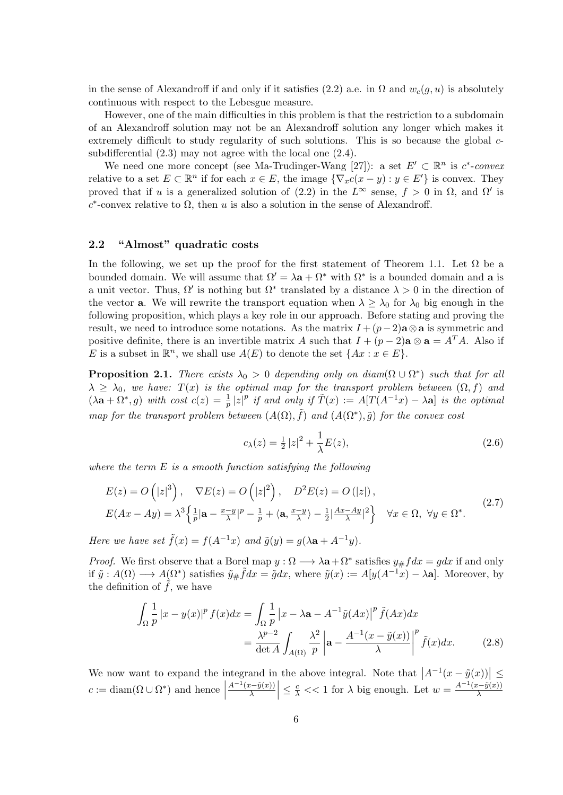in the sense of Alexandroff if and only if it satisfies (2.2) a.e. in  $\Omega$  and  $w_c(g, u)$  is absolutely continuous with respect to the Lebesgue measure.

However, one of the main difficulties in this problem is that the restriction to a subdomain of an Alexandroff solution may not be an Alexandroff solution any longer which makes it extremely difficult to study regularity of such solutions. This is so because the global *c*subdifferential (2.3) may not agree with the local one (2.4).

We need one more concept (see Ma-Trudinger-Wang [27]): a set  $E' \subset \mathbb{R}^n$  is  $c^*$ -*convex* relative to a set  $E \subset \mathbb{R}^n$  if for each  $x \in E$ , the image  $\{\nabla_x c(x - y) : y \in E'\}$  is convex. They proved that if *u* is a generalized solution of (2.2) in the  $L^{\infty}$  sense,  $f > 0$  in  $\Omega$ , and  $\Omega'$  is  $c^*$ -convex relative to  $\Omega$ , then *u* is also a solution in the sense of Alexandroff.

### **2.2 "Almost" quadratic costs**

In the following, we set up the proof for the first statement of Theorem 1.1. Let  $\Omega$  be a bounded domain. We will assume that  $\Omega' = \lambda \mathbf{a} + \Omega^*$  with  $\Omega^*$  is a bounded domain and **a** is a unit vector. Thus,  $\Omega'$  is nothing but  $\Omega^*$  translated by a distance  $\lambda > 0$  in the direction of the vector **a**. We will rewrite the transport equation when  $\lambda \geq \lambda_0$  for  $\lambda_0$  big enough in the following proposition, which plays a key role in our approach. Before stating and proving the result, we need to introduce some notations. As the matrix  $I + (p-2)a \otimes a$  is symmetric and positive definite, there is an invertible matrix *A* such that  $I + (p-2)a \otimes a = A^T A$ . Also if *E* is a subset in  $\mathbb{R}^n$ , we shall use  $A(E)$  to denote the set  $\{Ax : x \in E\}$ .

**Proposition 2.1.** *There exists*  $\lambda_0 > 0$  *depending only on diam*( $\Omega \cup \Omega^*$ ) *such that for all*  $\lambda \geq \lambda_0$ , we have:  $T(x)$  *is the optimal map for the transport problem between*  $(\Omega, f)$  *and*  $(\lambda \mathbf{a} + \Omega^*, g)$  with cost  $c(z) = \frac{1}{p} |z|^p$  if and only if  $\tilde{T}(x) := A[T(A^{-1}x) - \lambda \mathbf{a}]$  is the optimal *map for the transport problem between*  $(A(\Omega), \tilde{f})$  *and*  $(A(\Omega^*), \tilde{g})$  *for the convex cost* 

$$
c_{\lambda}(z) = \frac{1}{2}|z|^2 + \frac{1}{\lambda}E(z),
$$
\n(2.6)

*where the term E is a smooth function satisfying the following*

$$
E(z) = O\left(|z|^3\right), \quad \nabla E(z) = O\left(|z|^2\right), \quad D^2 E(z) = O\left(|z|\right),
$$
\n
$$
E(Ax - Ay) = \lambda^3 \left\{\frac{1}{p}|\mathbf{a} - \frac{x-y}{\lambda}|^p - \frac{1}{p} + \langle \mathbf{a}, \frac{x-y}{\lambda}\rangle - \frac{1}{2}|\frac{Ax - Ay}{\lambda}|^2\right\} \quad \forall x \in \Omega, \ \forall y \in \Omega^*.
$$
\n
$$
(2.7)
$$

*Here we have set*  $\tilde{f}(x) = f(A^{-1}x)$  *and*  $\tilde{g}(y) = g(\lambda a + A^{-1}y)$ .

*Proof.* We first observe that a Borel map  $y : \Omega \longrightarrow \lambda \mathbf{a} + \Omega^*$  satisfies  $y \# f dx = g dx$  if and only if  $\tilde{y}: A(\Omega) \longrightarrow A(\Omega^*)$  satisfies  $\tilde{y} \# \tilde{f} dx = \tilde{g} dx$ , where  $\tilde{y}(x) := A[y(A^{-1}x) - \lambda \mathbf{a}]$ . Moreover, by the definition of  $f$ , we have

$$
\int_{\Omega} \frac{1}{p} |x - y(x)|^p f(x) dx = \int_{\Omega} \frac{1}{p} |x - \lambda \mathbf{a} - A^{-1} \tilde{y}(Ax)|^p \tilde{f}(Ax) dx
$$

$$
= \frac{\lambda^{p-2}}{\det A} \int_{A(\Omega)} \frac{\lambda^2}{p} \left| \mathbf{a} - \frac{A^{-1}(x - \tilde{y}(x))}{\lambda} \right|^p \tilde{f}(x) dx. \tag{2.8}
$$

We now want to expand the integrand in the above integral. Note that  $|A^{-1}(x - \tilde{y}(x))| \le$  $c := \text{diam}(\Omega \cup \Omega^*)$  and hence  $\frac{A^{-1}(x-\tilde{y}(x))}{\lambda}$  $\left| \leq \frac{c}{\lambda} \right| < 1$  for  $\lambda$  big enough. Let  $w = \frac{A^{-1}(x - \tilde{y}(x))}{\lambda}$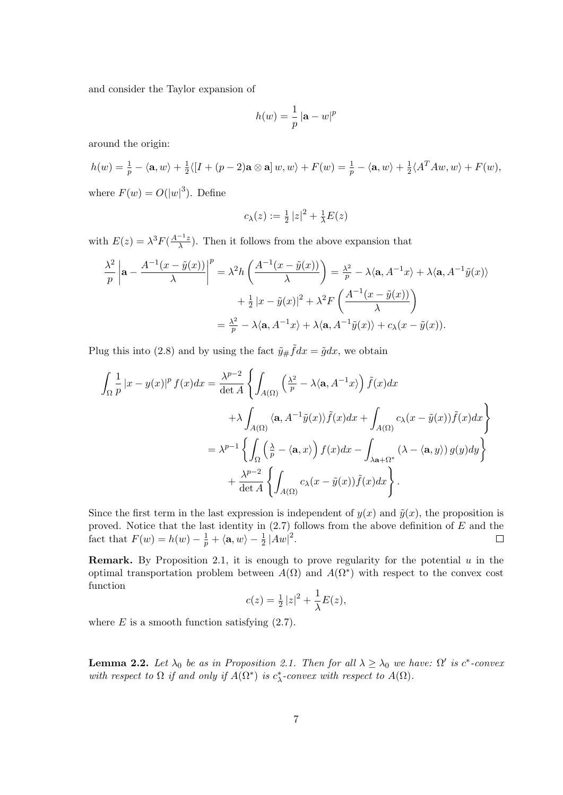and consider the Taylor expansion of

$$
h(w) = \frac{1}{p} |\mathbf{a} - w|^p
$$

around the origin:

$$
h(w) = \frac{1}{p} - \langle \mathbf{a}, w \rangle + \frac{1}{2} \langle [I + (p - 2)\mathbf{a} \otimes \mathbf{a}] w, w \rangle + F(w) = \frac{1}{p} - \langle \mathbf{a}, w \rangle + \frac{1}{2} \langle A^T A w, w \rangle + F(w),
$$
  
where  $F(w) = O(|w|^3)$ . Define

$$
c_{\lambda}(z) := \frac{1}{2} |z|^2 + \frac{1}{\lambda} E(z)
$$

with  $E(z) = \lambda^3 F(\frac{A^{-1}z}{\lambda})$  $\frac{1+z}{\lambda}$ ). Then it follows from the above expansion that

$$
\frac{\lambda^2}{p} \left| \mathbf{a} - \frac{A^{-1}(x - \tilde{y}(x))}{\lambda} \right|^p = \lambda^2 h \left( \frac{A^{-1}(x - \tilde{y}(x))}{\lambda} \right) = \frac{\lambda^2}{p} - \lambda \langle \mathbf{a}, A^{-1}x \rangle + \lambda \langle \mathbf{a}, A^{-1}\tilde{y}(x) \rangle
$$

$$
+ \frac{1}{2} |x - \tilde{y}(x)|^2 + \lambda^2 F \left( \frac{A^{-1}(x - \tilde{y}(x))}{\lambda} \right)
$$

$$
= \frac{\lambda^2}{p} - \lambda \langle \mathbf{a}, A^{-1}x \rangle + \lambda \langle \mathbf{a}, A^{-1}\tilde{y}(x) \rangle + c_{\lambda}(x - \tilde{y}(x)).
$$

Plug this into (2.8) and by using the fact  $\tilde{y}_{\#} \tilde{f} dx = \tilde{g} dx$ , we obtain

$$
\int_{\Omega} \frac{1}{p} |x - y(x)|^p f(x) dx = \frac{\lambda^{p-2}}{\det A} \left\{ \int_{A(\Omega)} \left( \frac{\lambda^2}{p} - \lambda \langle \mathbf{a}, A^{-1}x \rangle \right) \tilde{f}(x) dx \right\}
$$

$$
+ \lambda \int_{A(\Omega)} \langle \mathbf{a}, A^{-1} \tilde{y}(x) \rangle \tilde{f}(x) dx + \int_{A(\Omega)} c_{\lambda}(x - \tilde{y}(x)) \tilde{f}(x) dx \right\}
$$

$$
= \lambda^{p-1} \left\{ \int_{\Omega} \left( \frac{\lambda}{p} - \langle \mathbf{a}, x \rangle \right) f(x) dx - \int_{\lambda \mathbf{a} + \Omega^*} (\lambda - \langle \mathbf{a}, y \rangle) g(y) dy \right\}
$$

$$
+ \frac{\lambda^{p-2}}{\det A} \left\{ \int_{A(\Omega)} c_{\lambda}(x - \tilde{y}(x)) \tilde{f}(x) dx \right\}.
$$

Since the first term in the last expression is independent of  $y(x)$  and  $\tilde{y}(x)$ , the proposition is proved. Notice that the last identity in (2.7) follows from the above definition of *E* and the fact that  $F(w) = h(w) - \frac{1}{p} + \langle a, w \rangle - \frac{1}{2} |Aw|^2$ .

**Remark.** By Proposition 2.1, it is enough to prove regularity for the potential *u* in the optimal transportation problem between  $A(\Omega)$  and  $A(\Omega^*)$  with respect to the convex cost function

$$
c(z) = \frac{1}{2} |z|^2 + \frac{1}{\lambda} E(z),
$$

where  $E$  is a smooth function satisfying  $(2.7)$ .

**Lemma 2.2.** Let  $\lambda_0$  be as in Proposition 2.1. Then for all  $\lambda \geq \lambda_0$  we have:  $\Omega'$  is  $c^*$ -convex *with respect to*  $\Omega$  *if and only if*  $A(\Omega^*)$  *is*  $c^*_{\lambda}$ -*convex with respect to*  $A(\Omega)$ *.*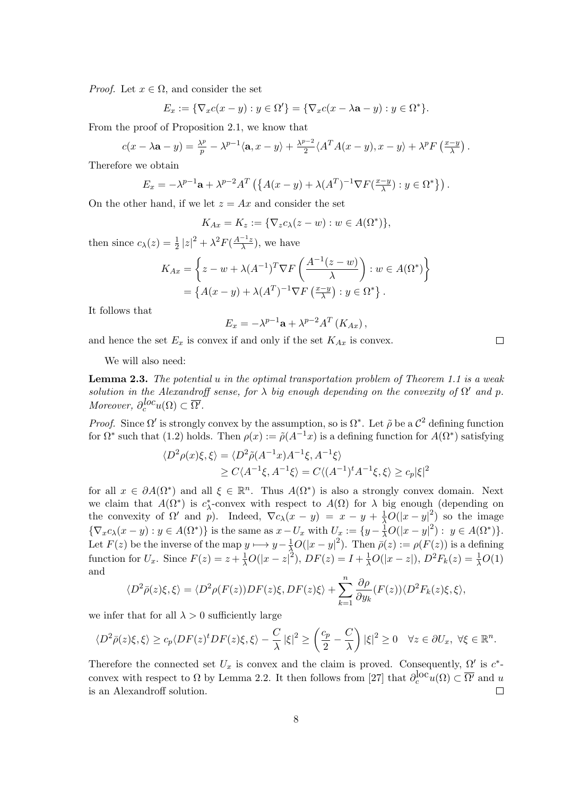*Proof.* Let  $x \in \Omega$ , and consider the set

$$
E_x := \{ \nabla_x c(x - y) : y \in \Omega' \} = \{ \nabla_x c(x - \lambda \mathbf{a} - y) : y \in \Omega^* \}.
$$

From the proof of Proposition 2.1, we know that

$$
c(x - \lambda \mathbf{a} - y) = \frac{\lambda^p}{p} - \lambda^{p-1} \langle \mathbf{a}, x - y \rangle + \frac{\lambda^{p-2}}{2} \langle A^T A(x - y), x - y \rangle + \lambda^p F\left(\frac{x - y}{\lambda}\right).
$$

Therefore we obtain

$$
E_x = -\lambda^{p-1}\mathbf{a} + \lambda^{p-2}A^T \left( \left\{ A(x-y) + \lambda (A^T)^{-1} \nabla F(\frac{x-y}{\lambda}) : y \in \Omega^* \right\} \right).
$$

On the other hand, if we let  $z = Ax$  and consider the set

$$
K_{Ax} = K_z := \{ \nabla_z c_\lambda(z - w) : w \in A(\Omega^*) \},
$$

then since  $c_{\lambda}(z) = \frac{1}{2} |z|^2 + \lambda^2 F(\frac{A^{-1}z}{\lambda})$  $\frac{-2}{\lambda}$ ), we have

$$
K_{Ax} = \left\{ z - w + \lambda (A^{-1})^T \nabla F \left( \frac{A^{-1}(z - w)}{\lambda} \right) : w \in A(\Omega^*) \right\}
$$
  
= 
$$
\left\{ A(x - y) + \lambda (A^T)^{-1} \nabla F \left( \frac{x - y}{\lambda} \right) : y \in \Omega^* \right\}.
$$

It follows that

$$
E_x = -\lambda^{p-1} \mathbf{a} + \lambda^{p-2} A^T \left( K_{Ax} \right),
$$

and hence the set  $E_x$  is convex if and only if the set  $K_{Ax}$  is convex.

We will also need:

**Lemma 2.3.** *The potential u in the optimal transportation problem of Theorem 1.1 is a weak solution in the Alexandroff sense, for*  $\lambda$  *big enough depending on the convexity of*  $\Omega'$  *and*  $p$ *. Moreover,*  $\partial_c^{loc} u(\Omega) \subset \overline{\Omega'}$ .

*Proof.* Since  $\Omega'$  is strongly convex by the assumption, so is  $\Omega^*$ . Let  $\tilde{\rho}$  be a  $\mathcal{C}^2$  defining function for  $\Omega^*$  such that (1.2) holds. Then  $\rho(x) := \tilde{\rho}(A^{-1}x)$  is a defining function for  $A(\Omega^*)$  satisfying

$$
\langle D^2 \rho(x)\xi, \xi \rangle = \langle D^2 \tilde{\rho}(A^{-1}x)A^{-1}\xi, A^{-1}\xi \rangle
$$
  
 
$$
\geq C \langle A^{-1}\xi, A^{-1}\xi \rangle = C \langle (A^{-1})^t A^{-1}\xi, \xi \rangle \geq c_p |\xi|^2
$$

for all  $x \in \partial A(\Omega^*)$  and all  $\xi \in \mathbb{R}^n$ . Thus  $A(\Omega^*)$  is also a strongly convex domain. Next we claim that  $A(\Omega^*)$  is  $c^*_{\lambda}$ -convex with respect to  $A(\Omega)$  for  $\lambda$  big enough (depending on the convexity of  $\Omega'$  and  $p$ ). Indeed,  $\nabla c_\lambda(x-y) = x - y + \frac{1}{\lambda}O(|x-y|^2)$  so the image  $\{\nabla_x c_\lambda(x-y) : y \in A(\Omega^*)\}$  is the same as  $x - U_x$  with  $U_x := \{y - \frac{1}{\lambda}O(|x - y|^2) : y \in A(\Omega^*)\}.$ Let  $F(z)$  be the inverse of the map  $y \mapsto y - \frac{1}{\lambda}O(|x - y|^2)$ . Then  $\bar{\rho}(z) := \rho(F(z))$  is a defining function for  $U_x$ . Since  $F(z) = z + \frac{1}{\lambda}O(|x - z|^2)$ ,  $DF(z) = I + \frac{1}{\lambda}O(|x - z|)$ ,  $D^2F_k(z) = \frac{1}{\lambda}O(1)$ and

$$
\langle D^2\bar{\rho}(z)\xi,\xi\rangle=\langle D^2\rho(F(z))DF(z)\xi,DF(z)\xi\rangle+\sum_{k=1}^n\frac{\partial \rho}{\partial y_k}(F(z))\langle D^2F_k(z)\xi,\xi\rangle,
$$

we infer that for all  $\lambda > 0$  sufficiently large

$$
\langle D^2 \bar{\rho}(z)\xi, \xi \rangle \ge c_p \langle DF(z)^t DF(z)\xi, \xi \rangle - \frac{C}{\lambda} |\xi|^2 \ge \left(\frac{c_p}{2} - \frac{C}{\lambda}\right) |\xi|^2 \ge 0 \quad \forall z \in \partial U_x, \ \forall \xi \in \mathbb{R}^n.
$$

Therefore the connected set  $U_x$  is convex and the claim is proved. Consequently,  $\Omega'$  is  $c^*$ convex with respect to  $\Omega$  by Lemma 2.2. It then follows from [27] that  $\partial_c^{loc} u(\Omega) \subset \overline{\Omega'}$  and *u* is an Alexandroff solution.  $\Box$ 

 $\Box$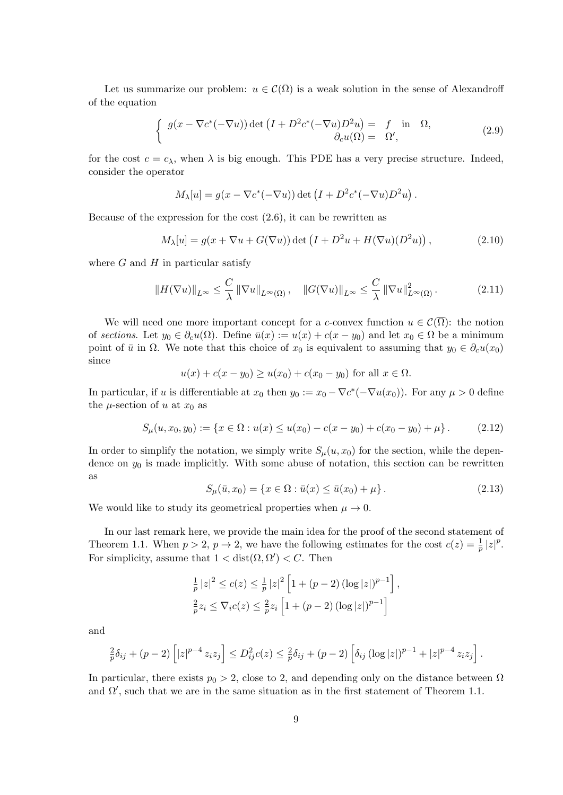Let us summarize our problem:  $u \in \mathcal{C}(\overline{\Omega})$  is a weak solution in the sense of Alexandroff of the equation

$$
\begin{cases}\ng(x - \nabla c^*(-\nabla u)) \det \left(I + D^2 c^*(-\nabla u) D^2 u\right) = f \text{ in } \Omega, \\
\partial_c u(\Omega) = \Omega',\n\end{cases}
$$
\n(2.9)

for the cost  $c = c_{\lambda}$ , when  $\lambda$  is big enough. This PDE has a very precise structure. Indeed, consider the operator

$$
M_{\lambda}[u] = g(x - \nabla c^*(-\nabla u)) \det (I + D^2 c^*(-\nabla u)D^2 u).
$$

Because of the expression for the cost (2.6), it can be rewritten as

$$
M_{\lambda}[u] = g(x + \nabla u + G(\nabla u)) \det \left( I + D^2 u + H(\nabla u)(D^2 u) \right), \tag{2.10}
$$

where  $G$  and  $H$  in particular satisfy

$$
||H(\nabla u)||_{L^{\infty}} \leq \frac{C}{\lambda} ||\nabla u||_{L^{\infty}(\Omega)}, \quad ||G(\nabla u)||_{L^{\infty}} \leq \frac{C}{\lambda} ||\nabla u||_{L^{\infty}(\Omega)}^{2}.
$$
 (2.11)

We will need one more important concept for a *c*-convex function  $u \in C(\overline{\Omega})$ : the notion of *sections*. Let  $y_0 \in \partial_c u(\Omega)$ . Define  $\bar{u}(x) := u(x) + c(x - y_0)$  and let  $x_0 \in \Omega$  be a minimum point of  $\bar{u}$  in  $\Omega$ . We note that this choice of  $x_0$  is equivalent to assuming that  $y_0 \in \partial_c u(x_0)$ since

$$
u(x) + c(x - y_0) \ge u(x_0) + c(x_0 - y_0)
$$
 for all  $x \in \Omega$ .

In particular, if *u* is differentiable at  $x_0$  then  $y_0 := x_0 - \nabla c^*(-\nabla u(x_0))$ . For any  $\mu > 0$  define the  $\mu$ -section of  $u$  at  $x_0$  as

$$
S_{\mu}(u, x_0, y_0) := \{ x \in \Omega : u(x) \le u(x_0) - c(x - y_0) + c(x_0 - y_0) + \mu \}.
$$
 (2.12)

In order to simplify the notation, we simply write  $S_\mu(u, x_0)$  for the section, while the dependence on  $y_0$  is made implicitly. With some abuse of notation, this section can be rewritten as

$$
S_{\mu}(\bar{u}, x_0) = \{x \in \Omega : \bar{u}(x) \le \bar{u}(x_0) + \mu\}.
$$
 (2.13)

We would like to study its geometrical properties when  $\mu \to 0$ .

In our last remark here, we provide the main idea for the proof of the second statement of Theorem 1.1. When  $p > 2$ ,  $p \to 2$ , we have the following estimates for the cost  $c(z) = \frac{1}{p} |z|^p$ . For simplicity, assume that  $1 < \text{dist}(\Omega, \Omega') < C$ . Then

$$
\frac{1}{p} |z|^2 \le c(z) \le \frac{1}{p} |z|^2 \left[ 1 + (p-2) \left( \log |z| \right)^{p-1} \right],
$$
  

$$
\frac{2}{p} z_i \le \nabla_i c(z) \le \frac{2}{p} z_i \left[ 1 + (p-2) \left( \log |z| \right)^{p-1} \right]
$$

and

$$
\frac{2}{p}\delta_{ij} + (p-2)\left[|z|^{p-4}z_iz_j\right] \le D_{ij}^2c(z) \le \frac{2}{p}\delta_{ij} + (p-2)\left[\delta_{ij}\left(\log|z|\right)^{p-1} + |z|^{p-4}z_iz_j\right].
$$

In particular, there exists  $p_0 > 2$ , close to 2, and depending only on the distance between  $\Omega$ and  $\Omega'$ , such that we are in the same situation as in the first statement of Theorem 1.1.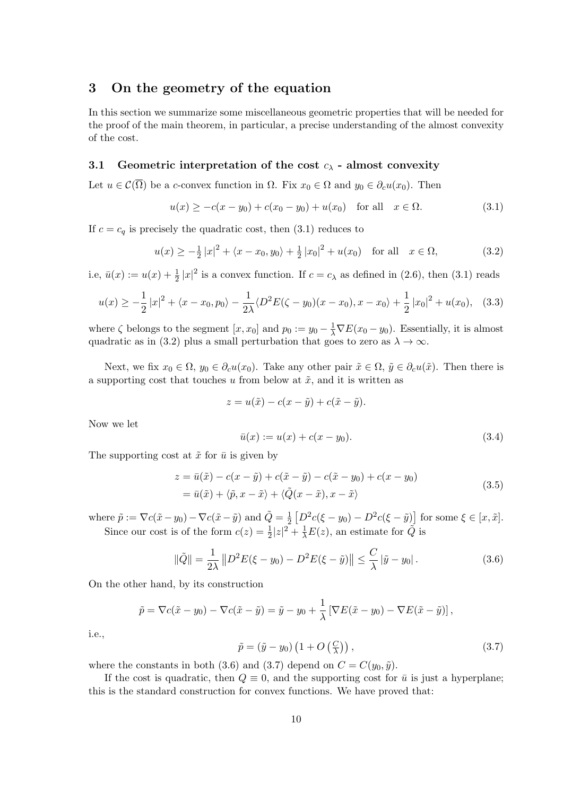## **3 On the geometry of the equation**

In this section we summarize some miscellaneous geometric properties that will be needed for the proof of the main theorem, in particular, a precise understanding of the almost convexity of the cost.

### **3.1 Geometric interpretation of the cost** *c<sup>λ</sup>* **- almost convexity**

Let  $u \in \mathcal{C}(\overline{\Omega})$  be a *c*-convex function in  $\Omega$ . Fix  $x_0 \in \Omega$  and  $y_0 \in \partial_c u(x_0)$ . Then

$$
u(x) \ge -c(x - y_0) + c(x_0 - y_0) + u(x_0) \quad \text{for all} \quad x \in \Omega.
$$
 (3.1)

If  $c = c_q$  is precisely the quadratic cost, then  $(3.1)$  reduces to

$$
u(x) \ge -\frac{1}{2}|x|^2 + \langle x - x_0, y_0 \rangle + \frac{1}{2}|x_0|^2 + u(x_0) \quad \text{for all} \quad x \in \Omega,
$$
 (3.2)

i.e,  $\bar{u}(x) := u(x) + \frac{1}{2}|x|^2$  is a convex function. If  $c = c_\lambda$  as defined in (2.6), then (3.1) reads

$$
u(x) \ge -\frac{1}{2}|x|^2 + \langle x - x_0, p_0 \rangle - \frac{1}{2\lambda} \langle D^2 E(\zeta - y_0)(x - x_0), x - x_0 \rangle + \frac{1}{2}|x_0|^2 + u(x_0), \quad (3.3)
$$

where  $\zeta$  belongs to the segment  $[x, x_0]$  and  $p_0 := y_0 - \frac{1}{\lambda} \nabla E(x_0 - y_0)$ . Essentially, it is almost quadratic as in (3.2) plus a small perturbation that goes to zero as  $\lambda \to \infty$ .

Next, we fix  $x_0 \in \Omega$ ,  $y_0 \in \partial_c u(x_0)$ . Take any other pair  $\tilde{x} \in \Omega$ ,  $\tilde{y} \in \partial_c u(\tilde{x})$ . Then there is a supporting cost that touches  $u$  from below at  $\tilde{x}$ , and it is written as

$$
z = u(\tilde{x}) - c(x - \tilde{y}) + c(\tilde{x} - \tilde{y}).
$$

Now we let

$$
\bar{u}(x) := u(x) + c(x - y_0). \tag{3.4}
$$

The supporting cost at  $\tilde{x}$  for  $\bar{u}$  is given by

$$
z = \bar{u}(\tilde{x}) - c(x - \tilde{y}) + c(\tilde{x} - \tilde{y}) - c(\tilde{x} - y_0) + c(x - y_0)
$$
  
=  $\bar{u}(\tilde{x}) + \langle \tilde{p}, x - \tilde{x} \rangle + \langle \tilde{Q}(x - \tilde{x}), x - \tilde{x} \rangle$  (3.5)

where  $\tilde{p} := \nabla c(\tilde{x} - y_0) - \nabla c(\tilde{x} - \tilde{y})$  and  $\tilde{Q} = \frac{1}{2}$  $\frac{1}{2} \left[ D^2 c(\xi - y_0) - D^2 c(\xi - \tilde{y}) \right]$  for some  $\xi \in [x, \tilde{x}]$ . Since our cost is of the form  $c(z) = \frac{1}{2}|z|^2 + \frac{1}{\lambda}E(z)$ , an estimate for  $\tilde{Q}$  is

$$
\|\tilde{Q}\| = \frac{1}{2\lambda} \|D^2 E(\xi - y_0) - D^2 E(\xi - \tilde{y})\| \le \frac{C}{\lambda} |\tilde{y} - y_0|.
$$
 (3.6)

On the other hand, by its construction

$$
\tilde{p} = \nabla c(\tilde{x} - y_0) - \nabla c(\tilde{x} - \tilde{y}) = \tilde{y} - y_0 + \frac{1}{\lambda} [\nabla E(\tilde{x} - y_0) - \nabla E(\tilde{x} - \tilde{y})],
$$

i.e.,

$$
\tilde{p} = (\tilde{y} - y_0) \left( 1 + O\left(\frac{C}{\lambda}\right) \right),\tag{3.7}
$$

where the constants in both (3.6) and (3.7) depend on  $C = C(y_0, \tilde{y})$ .

If the cost is quadratic, then  $Q \equiv 0$ , and the supporting cost for  $\bar{u}$  is just a hyperplane; this is the standard construction for convex functions. We have proved that: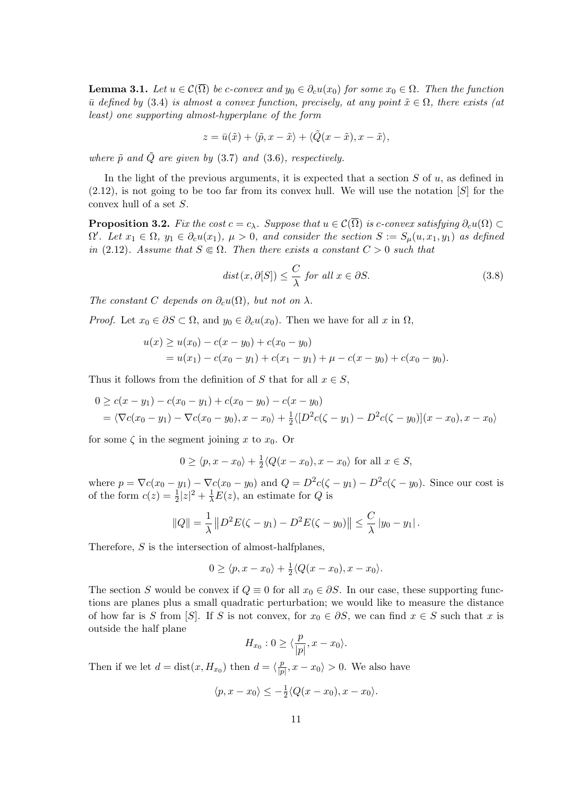**Lemma 3.1.** *Let*  $u \in \mathcal{C}(\overline{\Omega})$  *be c-convex and*  $y_0 \in \partial_c u(x_0)$  *for some*  $x_0 \in \Omega$ *. Then the function*  $\bar{u}$  *defined by* (3.4) *is almost a convex function, precisely, at any point*  $\tilde{x} \in \Omega$ *, there exists (at least) one supporting almost-hyperplane of the form*

$$
z = \bar{u}(\tilde{x}) + \langle \tilde{p}, x - \tilde{x} \rangle + \langle \tilde{Q}(x - \tilde{x}), x - \tilde{x} \rangle,
$$

*where*  $\tilde{p}$  *and*  $\tilde{Q}$  *are given by* (3.7) *and* (3.6)*, respectively.* 

In the light of the previous arguments, it is expected that a section *S* of *u*, as defined in (2.12), is not going to be too far from its convex hull. We will use the notation [*S*] for the convex hull of a set *S*.

**Proposition 3.2.** Fix the cost  $c = c_\lambda$ . Suppose that  $u \in C(\overline{\Omega})$  is *c*-convex satisfying  $\partial_c u(\Omega) \subset$  $\Omega'.$  Let  $x_1 \in \Omega$ ,  $y_1 \in \partial_c u(x_1)$ ,  $\mu > 0$ , and consider the section  $S := S_{\mu}(u, x_1, y_1)$  as defined *in* (2.12)*.* Assume that  $S \in \Omega$ *. Then there exists a constant*  $C > 0$  *such that* 

$$
dist(x, \partial[S]) \le \frac{C}{\lambda} \text{ for all } x \in \partial S. \tag{3.8}
$$

*The constant C depends on*  $\partial_c u(\Omega)$ *, but not on*  $\lambda$ *.* 

*Proof.* Let  $x_0 \in \partial S \subset \Omega$ , and  $y_0 \in \partial_c u(x_0)$ . Then we have for all  $x$  in  $\Omega$ ,

$$
u(x) \ge u(x_0) - c(x - y_0) + c(x_0 - y_0)
$$
  
=  $u(x_1) - c(x_0 - y_1) + c(x_1 - y_1) + \mu - c(x - y_0) + c(x_0 - y_0).$ 

Thus it follows from the definition of *S* that for all  $x \in S$ ,

$$
0 \ge c(x - y_1) - c(x_0 - y_1) + c(x_0 - y_0) - c(x - y_0)
$$
  
=  $\langle \nabla c(x_0 - y_1) - \nabla c(x_0 - y_0), x - x_0 \rangle + \frac{1}{2} \langle [D^2 c(\zeta - y_1) - D^2 c(\zeta - y_0)](x - x_0), x - x_0 \rangle$ 

for some  $\zeta$  in the segment joining x to  $x_0$ . Or

$$
0 \ge \langle p, x - x_0 \rangle + \frac{1}{2} \langle Q(x - x_0), x - x_0 \rangle \text{ for all } x \in S,
$$

where  $p = \nabla c(x_0 - y_1) - \nabla c(x_0 - y_0)$  and  $Q = D^2 c(\zeta - y_1) - D^2 c(\zeta - y_0)$ . Since our cost is of the form  $c(z) = \frac{1}{2}|z|^2 + \frac{1}{\lambda}E(z)$ , an estimate for *Q* is

$$
||Q|| = \frac{1}{\lambda} ||D^2 E(\zeta - y_1) - D^2 E(\zeta - y_0)|| \leq \frac{C}{\lambda} |y_0 - y_1|.
$$

Therefore, *S* is the intersection of almost-halfplanes,

$$
0 \ge \langle p, x - x_0 \rangle + \frac{1}{2} \langle Q(x - x_0), x - x_0 \rangle.
$$

The section *S* would be convex if  $Q \equiv 0$  for all  $x_0 \in \partial S$ . In our case, these supporting functions are planes plus a small quadratic perturbation; we would like to measure the distance of how far is *S* from [*S*]. If *S* is not convex, for  $x_0 \in \partial S$ , we can find  $x \in S$  such that *x* is outside the half plane

$$
H_{x_0}: 0 \ge \langle \frac{p}{|p|}, x - x_0 \rangle.
$$

Then if we let  $d = \text{dist}(x, H_{x_0})$  then  $d = \langle \frac{p}{p} \rangle$  $\frac{p}{|p|}$ ,  $x - x_0$   $> 0$ . We also have

$$
\langle p, x - x_0 \rangle \le -\frac{1}{2} \langle Q(x - x_0), x - x_0 \rangle.
$$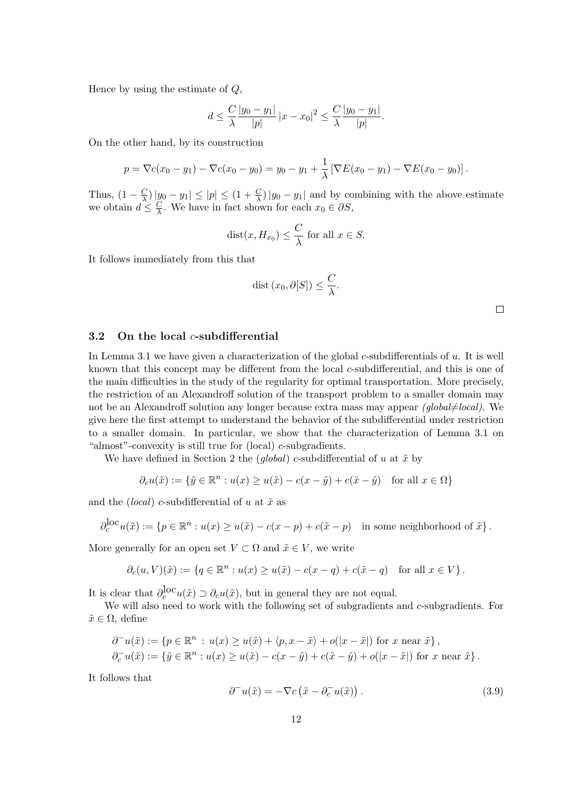Hence by using the estimate of *Q*,

$$
d \le \frac{C}{\lambda} \frac{|y_0 - y_1|}{|p|} |x - x_0|^2 \le \frac{C}{\lambda} \frac{|y_0 - y_1|}{|p|}.
$$

On the other hand, by its construction

$$
p = \nabla c(x_0 - y_1) - \nabla c(x_0 - y_0) = y_0 - y_1 + \frac{1}{\lambda} [\nabla E(x_0 - y_1) - \nabla E(x_0 - y_0)].
$$

Thus,  $(1 - \frac{C}{\lambda})$  $\frac{C}{\lambda}$ ) | $y_0 - y_1$  |  $\leq$  | $p$ |  $\leq$  (1 +  $\frac{C}{\lambda}$ ) | $y_0 - y_1$ | and by combining with the above estimate we obtain  $d \leq \frac{C}{\lambda}$  $\frac{C}{\lambda}$ . We have in fact shown for each  $x_0 \in \partial S$ ,

$$
dist(x, H_{x_0}) \leq \frac{C}{\lambda}
$$
 for all  $x \in S$ .

It follows immediately from this that

$$
dist(x_0, \partial[S]) \leq \frac{C}{\lambda}.
$$

### **3.2 On the local** *c***-subdifferential**

In Lemma 3.1 we have given a characterization of the global *c*-subdifferentials of *u*. It is well known that this concept may be different from the local *c*-subdifferential, and this is one of the main difficulties in the study of the regularity for optimal transportation. More precisely, the restriction of an Alexandroff solution of the transport problem to a smaller domain may not be an Alexandroff solution any longer because extra mass may appear *(global* $\neq$ *local)*. We give here the first attempt to understand the behavior of the subdifferential under restriction to a smaller domain. In particular, we show that the characterization of Lemma 3.1 on "almost"-convexity is still true for (local) *c*-subgradients.

We have defined in Section 2 the  $(global)$  *c*-subdifferential of *u* at  $\tilde{x}$  by

$$
\partial_c u(\tilde{x}) := \{ \tilde{y} \in \mathbb{R}^n : u(x) \ge u(\tilde{x}) - c(x - \tilde{y}) + c(\tilde{x} - \tilde{y}) \quad \text{for all } x \in \Omega \}
$$

and the *(local) c*-subdifferential of *u* at  $\tilde{x}$  as

$$
\partial_c^{\text{loc}} u(\tilde{x}) := \{ p \in \mathbb{R}^n : u(x) \ge u(\tilde{x}) - c(x - p) + c(\tilde{x} - p) \text{ in some neighborhood of } \tilde{x} \}.
$$

More generally for an open set  $V \subset \Omega$  and  $\tilde{x} \in V$ , we write

$$
\partial_c(u,V)(\tilde{x}) := \{ q \in \mathbb{R}^n : u(x) \ge u(\tilde{x}) - c(x-q) + c(\tilde{x}-q) \quad \text{for all } x \in V \}.
$$

It is clear that  $\partial_c^{\text{loc}} u(\tilde{x}) \supset \partial_c u(\tilde{x})$ , but in general they are not equal.

We will also need to work with the following set of subgradients and *c*-subgradients. For  $\tilde{x} \in \Omega$ , define

$$
\partial^- u(\tilde{x}) := \{ p \in \mathbb{R}^n : u(x) \ge u(\tilde{x}) + \langle p, x - \tilde{x} \rangle + o(|x - \tilde{x}|) \text{ for } x \text{ near } \tilde{x} \},\
$$
  

$$
\partial_c^- u(\tilde{x}) := \{ \tilde{y} \in \mathbb{R}^n : u(x) \ge u(\tilde{x}) - c(x - \tilde{y}) + c(\tilde{x} - \tilde{y}) + o(|x - \tilde{x}|) \text{ for } x \text{ near } \tilde{x} \}.
$$

It follows that

$$
\partial^{-}u(\tilde{x}) = -\nabla c\left(\tilde{x} - \partial_c^{-}u(\tilde{x})\right). \tag{3.9}
$$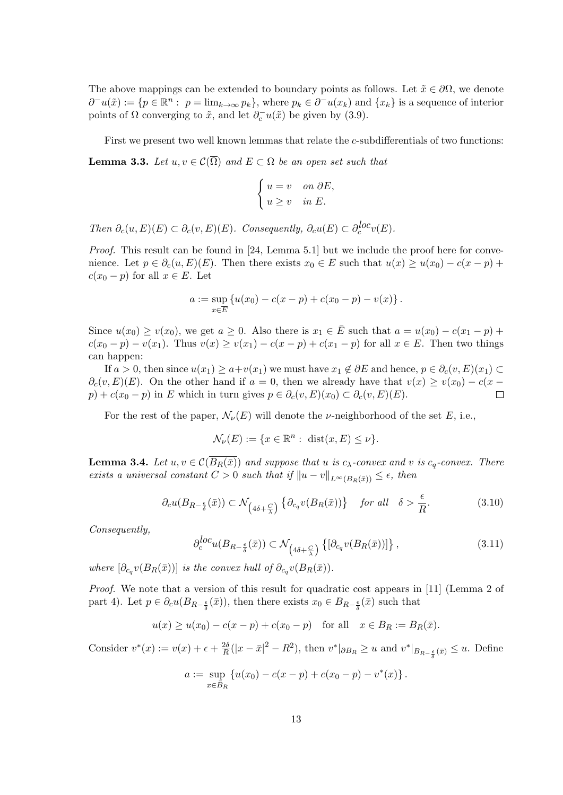The above mappings can be extended to boundary points as follows. Let  $\tilde{x} \in \partial \Omega$ , we denote  $\partial^{-}u(\tilde{x}) := \{p \in \mathbb{R}^n : p = \lim_{k \to \infty} p_k\},\$  where  $p_k \in \partial^{-}u(x_k)$  and  $\{x_k\}$  is a sequence of interior points of  $\Omega$  converging to  $\tilde{x}$ , and let  $\partial_c^- u(\tilde{x})$  be given by (3.9).

First we present two well known lemmas that relate the *c*-subdifferentials of two functions: **Lemma 3.3.** Let  $u, v \in \mathcal{C}(\overline{\Omega})$  and  $E \subset \Omega$  be an open set such that

$$
\begin{cases} u = v & \text{on } \partial E, \\ u \ge v & \text{in } E. \end{cases}
$$

*Then*  $\partial_c(u, E)(E) \subset \partial_c(v, E)(E)$ *. Consequently,*  $\partial_c u(E) \subset \partial_c^{loc} v(E)$ *.* 

*Proof.* This result can be found in [24, Lemma 5.1] but we include the proof here for convenience. Let  $p \in \partial_c(u, E)(E)$ . Then there exists  $x_0 \in E$  such that  $u(x) \ge u(x_0) - c(x - p) +$ *c*( $x_0$  − *p*) for all  $x \in E$ . Let

$$
a := \sup_{x \in \overline{E}} \{ u(x_0) - c(x - p) + c(x_0 - p) - v(x) \}.
$$

Since  $u(x_0) \ge v(x_0)$ , we get  $a \ge 0$ . Also there is  $x_1 \in \overline{E}$  such that  $a = u(x_0) - c(x_1 - p) + \overline{C}$  $c(x_0 - p) - v(x_1)$ . Thus  $v(x) \ge v(x_1) - c(x - p) + c(x_1 - p)$  for all  $x \in E$ . Then two things can happen:

If *a* > 0, then since  $u(x_1) \ge a + v(x_1)$  we must have  $x_1 \notin \partial E$  and hence,  $p \in \partial_c(v, E)(x_1)$  ⊂  $\partial_c(v, E)(E)$ . On the other hand if  $a = 0$ , then we already have that  $v(x) \ge v(x_0) - c(x$  $p$ ) +  $c(x_0 - p)$  in *E* which in turn gives  $p \in \partial_c(v, E)(x_0) \subset \partial_c(v, E)(E)$ . П

For the rest of the paper,  $\mathcal{N}_{\nu}(E)$  will denote the *ν*-neighborhood of the set *E*, i.e.,

$$
\mathcal{N}_{\nu}(E) := \{ x \in \mathbb{R}^n : \operatorname{dist}(x, E) \le \nu \}.
$$

**Lemma 3.4.** Let  $u, v \in C(\overline{B_R(\bar{x})})$  and suppose that  $u$  is  $c_\lambda$ -convex and  $v$  is  $c_q$ -convex. There *exists a universal constant*  $C > 0$  *such that if*  $||u - v||_{L^{\infty}(B_R(\bar{x}))} \leq \epsilon$ , then

$$
\partial_c u(B_{R-\frac{\epsilon}{\delta}}(\bar{x})) \subset \mathcal{N}_{\left(4\delta+\frac{C}{\lambda}\right)} \left\{ \partial_{c_q} v(B_R(\bar{x})) \right\} \quad \text{for all} \quad \delta > \frac{\epsilon}{R}.
$$

*Consequently,*

$$
\partial_c^{loc} u(B_{R-\frac{\epsilon}{\delta}}(\bar{x})) \subset \mathcal{N}_{\left(4\delta+\frac{C}{\lambda}\right)} \left\{ \left[\partial_{c_q} v(B_R(\bar{x}))\right] \right\},\tag{3.11}
$$

*where*  $[\partial_{c_q} v(B_R(\bar{x}))]$  *is the convex hull of*  $\partial_{c_q} v(B_R(\bar{x}))$ *.* 

*Proof.* We note that a version of this result for quadratic cost appears in [11] (Lemma 2 of part 4). Let  $p \in \partial_c u(B_{R-\frac{\epsilon}{\delta}}(\bar{x}))$ , then there exists  $x_0 \in B_{R-\frac{\epsilon}{\delta}}(\bar{x})$  such that

$$
u(x) \ge u(x_0) - c(x - p) + c(x_0 - p)
$$
 for all  $x \in B_R := B_R(\bar{x})$ .

Consider  $v^*(x) := v(x) + \epsilon + \frac{2\delta}{B}$  $\frac{2\delta}{R}(|x-\bar{x}|^2 - R^2)$ , then  $v^*|_{\partial B_R} \ge u$  and  $v^*|_{B_{R-\frac{\epsilon}{\delta}}(\bar{x})} \le u$ . Define

$$
a := \sup_{x \in \bar{B}_R} \left\{ u(x_0) - c(x - p) + c(x_0 - p) - v^*(x) \right\}.
$$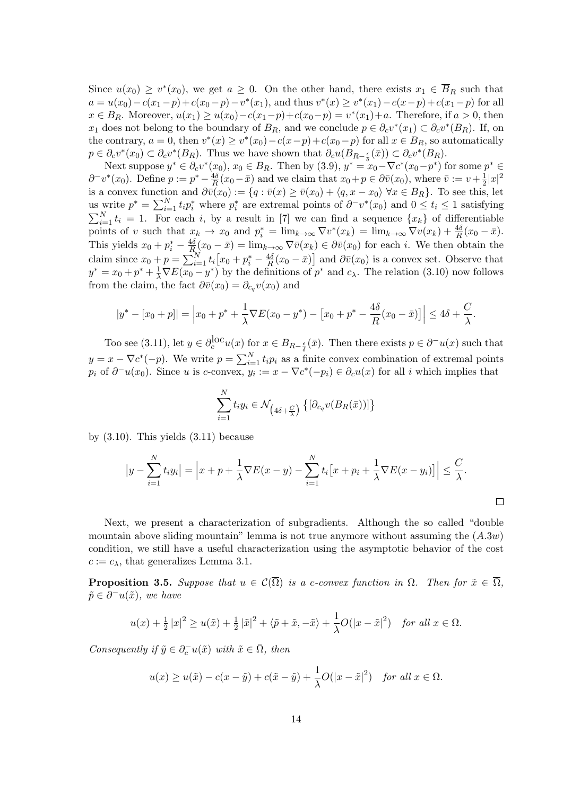Since  $u(x_0) \geq v^*(x_0)$ , we get  $a \geq 0$ . On the other hand, there exists  $x_1 \in B_R$  such that  $a = u(x_0) - c(x_1 - p) + c(x_0 - p) - v^*(x_1)$ , and thus  $v^*(x) \ge v^*(x_1) - c(x - p) + c(x_1 - p)$  for all  $x \in B_R$ . Moreover,  $u(x_1) \ge u(x_0) - c(x_1 - p) + c(x_0 - p) = v^*(x_1) + a$ . Therefore, if  $a > 0$ , then *x*<sub>1</sub> does not belong to the boundary of  $B_R$ , and we conclude  $p \in \partial_c v^*(x_1) \subset \partial_c v^*(B_R)$ . If, on the contrary,  $a = 0$ , then  $v^*(x) \ge v^*(x_0) - c(x - p) + c(x_0 - p)$  for all  $x \in B_R$ , so automatically  $p \in \partial_c v^*(x_0) \subset \partial_c v^*(B_R)$ . Thus we have shown that  $\partial_c u(B_{R-\frac{\epsilon}{\delta}}(\bar{x})) \subset \partial_c v^*(B_R)$ .

Next suppose  $y^* \in \partial_c v^*(x_0)$ ,  $x_0 \in B_R$ . Then by  $(3.9)$ ,  $y^* = x_0 - \nabla c^*(x_0 - p^*)$  for some  $p^* \in$  $\partial^- v^*(x_0)$ . Define  $p := p^* - \frac{4\delta}{R}$  $\frac{4\delta}{R}(x_0 - \bar{x})$  and we claim that  $x_0 + p \in \partial \bar{v}(x_0)$ , where  $\bar{v} := v + \frac{1}{2}$  $\frac{1}{2}|x|^2$ is a convex function and  $\partial \overline{v}(x_0) := \{q : \overline{v}(x) \geq \overline{v}(x_0) + \langle q, x - x_0 \rangle \ \forall x \in B_R \}.$  To see this, let us write  $p^* = \sum_{i=1}^N t_i p_i^*$  where  $p_i^*$  are extremal points of  $\partial^- v^*(x_0)$  and  $0 \le t_i \le 1$  satisfying  $\sum_{i=1}^{N} t_i = 1$ . For each *i*, by a result in [7] we can find a sequence  $\{x_k\}$  of differentiable points of v such that  $x_k \to x_0$  and  $p_i^* = \lim_{k \to \infty} \nabla v^*(x_k) = \lim_{k \to \infty} \nabla v(x_k) + \frac{4\delta}{R}(x_0 - \bar{x}).$ This yields  $x_0 + p_i^* - \frac{4\delta}{R}$  $\frac{4\delta}{R}$  (*x*<sub>0</sub> *−*  $\bar{x}$ ) = lim<sub>*k*→∞</sub>  $\nabla \bar{v}(x_k) \in \partial \bar{v}(x_0)$  for each *i*. We then obtain the claim since  $x_0 + p = \sum_{i=1}^{N} t_i \left[ x_0 + p_i^* - \frac{4\delta}{R} \right]$  $\frac{4\delta}{R}(x_0 - \bar{x})$  and  $\partial \bar{v}(x_0)$  is a convex set. Observe that  $y^* = x_0 + p^* + \frac{1}{\lambda} \nabla E(x_0 - y^*)$  by the definitions of  $p^*$  and  $c_\lambda$ . The relation (3.10) now follows from the claim, the fact  $\partial \bar{v}(x_0) = \partial_{c_q} v(x_0)$  and

$$
|y^* - [x_0 + p]| = \left| x_0 + p^* + \frac{1}{\lambda} \nabla E(x_0 - y^*) - \left[ x_0 + p^* - \frac{4\delta}{R}(x_0 - \bar{x}) \right] \right| \le 4\delta + \frac{C}{\lambda}.
$$

Too see (3.11), let  $y \in \partial_c^{\text{loc}} u(x)$  for  $x \in B_{R-\frac{\epsilon}{\delta}}(\bar{x})$ . Then there exists  $p \in \partial^- u(x)$  such that  $y = x - \nabla c^*(-p)$ . We write  $p = \sum_{i=1}^{N} t_i p_i$  as a finite convex combination of extremal points  $p_i$  of  $\partial^- u(x_0)$ . Since u is c-convex,  $y_i := x - \nabla c^*(-p_i) \in \partial_c u(x)$  for all i which implies that

$$
\sum_{i=1}^{N} t_i y_i \in \mathcal{N}_{\left(4\delta + \frac{C}{\lambda}\right)} \left\{ \left[\partial_{c_q} v(B_R(\bar{x}))\right] \right\}
$$

by  $(3.10)$ . This yields  $(3.11)$  because

$$
\left|y - \sum_{i=1}^N t_i y_i\right| = \left|x + p + \frac{1}{\lambda} \nabla E(x - y) - \sum_{i=1}^N t_i \left[x + p_i + \frac{1}{\lambda} \nabla E(x - y_i)\right]\right| \leq \frac{C}{\lambda}.
$$

Next, we present a characterization of subgradients. Although the so called "double mountain above sliding mountain" lemma is not true anymore without assuming the (*A.*3*w*) condition, we still have a useful characterization using the asymptotic behavior of the cost  $c := c_{\lambda}$ , that generalizes Lemma 3.1.

**Proposition 3.5.** *Suppose that*  $u \in \mathcal{C}(\overline{\Omega})$  *is a c-convex function in*  $\Omega$ *. Then for*  $\tilde{x} \in \overline{\Omega}$ *,*  $\tilde{p} \in \partial^- u(\tilde{x})$ *, we have* 

$$
u(x) + \frac{1}{2}|x|^2 \ge u(\tilde{x}) + \frac{1}{2}|\tilde{x}|^2 + \langle \tilde{p} + \tilde{x}, -\tilde{x} \rangle + \frac{1}{\lambda}O(|x - \tilde{x}|^2) \quad \text{for all } x \in \Omega.
$$

*Consequently if*  $\tilde{y} \in \partial_c^- u(\tilde{x})$  *with*  $\tilde{x} \in \overline{\Omega}$ *, then* 

$$
u(x) \ge u(\tilde{x}) - c(x - \tilde{y}) + c(\tilde{x} - \tilde{y}) + \frac{1}{\lambda}O(|x - \tilde{x}|^2) \quad \text{for all } x \in \Omega.
$$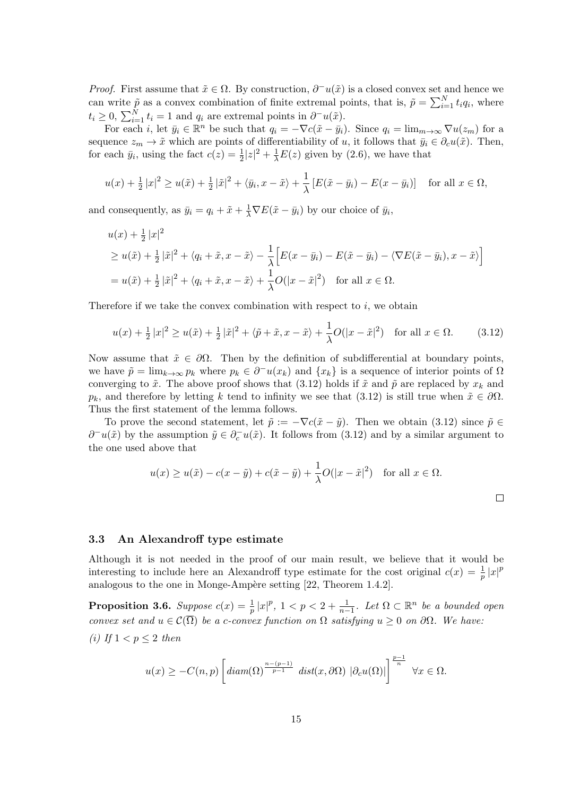*Proof.* First assume that  $\tilde{x} \in \Omega$ . By construction,  $\partial^{-}u(\tilde{x})$  is a closed convex set and hence we can write  $\tilde{p}$  as a convex combination of finite extremal points, that is,  $\tilde{p} = \sum_{i=1}^{N} t_i q_i$ , where  $t_i \geq 0$ ,  $\sum_{i=1}^{N} t_i = 1$  and  $q_i$  are extremal points in  $\partial^- u(\tilde{x})$ .

For each *i*, let  $\bar{y}_i \in \mathbb{R}^n$  be such that  $q_i = -\nabla c(\tilde{x} - \bar{y}_i)$ . Since  $q_i = \lim_{m \to \infty} \nabla u(z_m)$  for a sequence  $z_m \to \tilde{x}$  which are points of differentiability of *u*, it follows that  $\bar{y}_i \in \partial_c u(\tilde{x})$ . Then, for each  $\bar{y}_i$ , using the fact  $c(z) = \frac{1}{2}|z|^2 + \frac{1}{\lambda}E(z)$  given by (2.6), we have that

$$
u(x) + \frac{1}{2}|x|^2 \ge u(\tilde{x}) + \frac{1}{2}|\tilde{x}|^2 + \langle \bar{y}_i, x - \tilde{x} \rangle + \frac{1}{\lambda} [E(\tilde{x} - \bar{y}_i) - E(x - \bar{y}_i)] \text{ for all } x \in \Omega,
$$

and consequently, as  $\bar{y}_i = q_i + \tilde{x} + \frac{1}{\lambda} \nabla E(\tilde{x} - \bar{y}_i)$  by our choice of  $\bar{y}_i$ ,

$$
u(x) + \frac{1}{2}|x|^2
$$
  
\n
$$
\geq u(\tilde{x}) + \frac{1}{2}|\tilde{x}|^2 + \langle q_i + \tilde{x}, x - \tilde{x} \rangle - \frac{1}{\lambda} \Big[ E(x - \bar{y}_i) - E(\tilde{x} - \bar{y}_i) - \langle \nabla E(\tilde{x} - \bar{y}_i), x - \tilde{x} \rangle \Big]
$$
  
\n
$$
= u(\tilde{x}) + \frac{1}{2}|\tilde{x}|^2 + \langle q_i + \tilde{x}, x - \tilde{x} \rangle + \frac{1}{\lambda}O(|x - \tilde{x}|^2) \quad \text{for all } x \in \Omega.
$$

Therefore if we take the convex combination with respect to  $i$ , we obtain

$$
u(x) + \frac{1}{2}|x|^2 \ge u(\tilde{x}) + \frac{1}{2}|\tilde{x}|^2 + \langle \tilde{p} + \tilde{x}, x - \tilde{x} \rangle + \frac{1}{\lambda}O(|x - \tilde{x}|^2) \quad \text{for all } x \in \Omega. \tag{3.12}
$$

Now assume that  $\tilde{x} \in \partial \Omega$ . Then by the definition of subdifferential at boundary points, we have  $\tilde{p} = \lim_{k \to \infty} p_k$  where  $p_k \in \partial^{-}u(x_k)$  and  $\{x_k\}$  is a sequence of interior points of  $\Omega$ converging to  $\tilde{x}$ . The above proof shows that (3.12) holds if  $\tilde{x}$  and  $\tilde{p}$  are replaced by  $x_k$  and *p<sub>k</sub>*, and therefore by letting *k* tend to infinity we see that (3.12) is still true when  $\tilde{x} \in \partial\Omega$ . Thus the first statement of the lemma follows.

To prove the second statement, let  $\tilde{p} := -\nabla c(\tilde{x} - \tilde{y})$ . Then we obtain (3.12) since  $\tilde{p} \in$ *∂*<sup>−</sup> $u(\tilde{x})$  by the assumption  $\tilde{y} \in \partial_c^{\text{-}} u(\tilde{x})$ . It follows from (3.12) and by a similar argument to the one used above that

$$
u(x) \ge u(\tilde{x}) - c(x - \tilde{y}) + c(\tilde{x} - \tilde{y}) + \frac{1}{\lambda}O(|x - \tilde{x}|^2) \quad \text{for all } x \in \Omega.
$$

 $\Box$ 

### **3.3 An Alexandroff type estimate**

Although it is not needed in the proof of our main result, we believe that it would be interesting to include here an Alexandroff type estimate for the cost original  $c(x) = \frac{1}{p} |x|^p$ analogous to the one in Monge-Ampère setting  $[22,$  Theorem 1.4.2].

**Proposition 3.6.** Suppose  $c(x) = \frac{1}{p} |x|^p$ ,  $1 < p < 2 + \frac{1}{n-1}$ . Let  $\Omega \subset \mathbb{R}^n$  be a bounded open *convex set and*  $u \in \mathcal{C}(\overline{\Omega})$  *be a c-convex function on*  $\Omega$  *satisfying*  $u \geq 0$  *on*  $\partial\Omega$ *. We have: (i)* If  $1 < p < 2$  then

$$
u(x) \geq -C(n,p) \left[ diam(\Omega)^{\frac{n-(p-1)}{p-1}} \; dist(x,\partial \Omega) \; |\partial_c u(\Omega)| \right]^{\frac{p-1}{n}} \; \forall x \in \Omega.
$$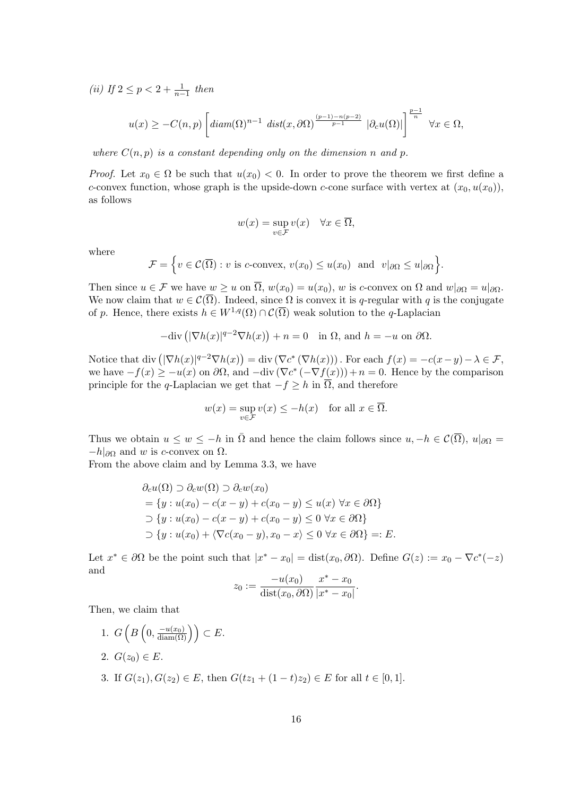*(ii) If*  $2 \le p < 2 + \frac{1}{n-1}$  *then* 

$$
u(x) \geq -C(n,p) \left[ diam(\Omega)^{n-1} dist(x,\partial\Omega)^{\frac{(p-1)-n(p-2)}{p-1}} |\partial_c u(\Omega)| \right]^{\frac{p-1}{n}} \forall x \in \Omega,
$$

*where*  $C(n, p)$  *is a constant depending only on the dimension n and p*.

*Proof.* Let  $x_0 \in \Omega$  be such that  $u(x_0) < 0$ . In order to prove the theorem we first define a *c*-convex function, whose graph is the upside-down *c*-cone surface with vertex at  $(x_0, u(x_0))$ , as follows

$$
w(x) = \sup_{v \in \mathcal{F}} v(x) \quad \forall x \in \overline{\Omega},
$$

where

$$
\mathcal{F} = \Big\{ v \in \mathcal{C}(\overline{\Omega}) : v \text{ is } c\text{-convex, } v(x_0) \le u(x_0) \text{ and } v|_{\partial\Omega} \le u|_{\partial\Omega} \Big\}.
$$

Then since  $u \in \mathcal{F}$  we have  $w \geq u$  on  $\overline{\Omega}$ ,  $w(x_0) = u(x_0)$ , *w* is *c*-convex on  $\Omega$  and  $w|_{\partial\Omega} = u|_{\partial\Omega}$ . We now claim that  $w \in C(\overline{\Omega})$ . Indeed, since  $\Omega$  is convex it is *q*-regular with *q* is the conjugate of *p*. Hence, there exists  $h \in W^{1,q}(\Omega) \cap C(\overline{\Omega})$  weak solution to the *q*-Laplacian

$$
-\text{div}\left(|\nabla h(x)|^{q-2}\nabla h(x)\right) + n = 0 \quad \text{in } \Omega, \text{ and } h = -u \text{ on } \partial\Omega.
$$

Notice that div  $(|\nabla h(x)|^{q-2} \nabla h(x)) = \text{div}(\nabla c^* (\nabla h(x)))$ . For each  $f(x) = -c(x-y) - \lambda \in \mathcal{F}$ , we have  $-f(x) ≥ −u(x)$  on  $\partial Ω$ , and  $-\text{div}(\nabla c^*(-\nabla f(x))) + n = 0$ . Hence by the comparison principle for the *q*-Laplacian we get that  $-f \geq h$  in  $\overline{\Omega}$ , and therefore

$$
w(x) = \sup_{v \in \mathcal{F}} v(x) \le -h(x) \quad \text{for all } x \in \overline{\Omega}.
$$

Thus we obtain  $u \leq w \leq -h$  in  $\overline{\Omega}$  and hence the claim follows since  $u, -h \in \mathcal{C}(\overline{\Omega})$ ,  $u|_{\partial\Omega} =$ *−h|∂*<sup>Ω</sup> and *w* is *c*-convex on Ω.

From the above claim and by Lemma 3.3, we have

$$
\partial_c u(\Omega) \supset \partial_c w(\Omega) \supset \partial_c w(x_0)
$$
  
= { $y : u(x_0) - c(x - y) + c(x_0 - y) \le u(x) \forall x \in \partial\Omega$ }  
 $\supset \{y : u(x_0) - c(x - y) + c(x_0 - y) \le 0 \forall x \in \partial\Omega\}$   
 $\supset \{y : u(x_0) + \langle \nabla c(x_0 - y), x_0 - x \rangle \le 0 \forall x \in \partial\Omega\} =: E.$ 

Let  $x^* \in \partial\Omega$  be the point such that  $|x^* - x_0| = \text{dist}(x_0, \partial\Omega)$ . Define  $G(z) := x_0 - \nabla c^*(-z)$ and

$$
z_0 := \frac{-u(x_0)}{\text{dist}(x_0, \partial \Omega)} \frac{x^* - x_0}{|x^* - x_0|}.
$$

Then, we claim that

1.  $G\left(B\left(0, \frac{-u(x_0)}{\text{diam}(\Omega)}\right)\right) \subset E.$ 2.  $G(z_0) \in E$ . 3. If  $G(z_1), G(z_2) \in E$ , then  $G(tz_1 + (1-t)z_2) \in E$  for all  $t \in [0,1]$ .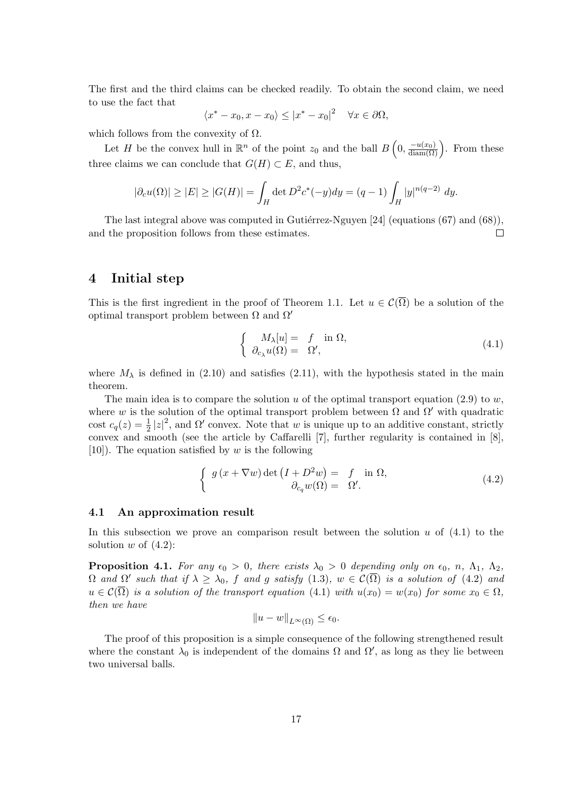The first and the third claims can be checked readily. To obtain the second claim, we need to use the fact that

$$
\langle x^* - x_0, x - x_0 \rangle \le |x^* - x_0|^2 \quad \forall x \in \partial \Omega,
$$

which follows from the convexity of  $\Omega$ .

Let *H* be the convex hull in  $\mathbb{R}^n$  of the point  $z_0$  and the ball  $B\left(0, \frac{-u(x_0)}{\text{diam}(\Omega)}\right)$ . From these three claims we can conclude that  $G(H) \subset E$ , and thus,

$$
|\partial_c u(\Omega)| \ge |E| \ge |G(H)| = \int_H \det D^2 c^*(-y) dy = (q-1) \int_H |y|^{n(q-2)} dy.
$$

The last integral above was computed in Gutiérrez-Nguyen  $[24]$  (equations (67) and (68)), and the proposition follows from these estimates.  $\Box$ 

### **4 Initial step**

This is the first ingredient in the proof of Theorem 1.1. Let  $u \in C(\overline{\Omega})$  be a solution of the optimal transport problem between Ω and Ω*′*

$$
\begin{cases}\nM_{\lambda}[u] = f \text{ in } \Omega, \\
\partial_{c_{\lambda}} u(\Omega) = \Omega',\n\end{cases} \tag{4.1}
$$

where  $M_{\lambda}$  is defined in (2.10) and satisfies (2.11), with the hypothesis stated in the main theorem.

The main idea is to compare the solution *u* of the optimal transport equation  $(2.9)$  to *w*. where *w* is the solution of the optimal transport problem between  $\Omega$  and  $\Omega'$  with quadratic cost  $c_q(z) = \frac{1}{2} |z|^2$ , and  $\Omega'$  convex. Note that *w* is unique up to an additive constant, strictly convex and smooth (see the article by Caffarelli [7], further regularity is contained in [8], [10]). The equation satisfied by *w* is the following

$$
\begin{cases}\ng(x + \nabla w) \det \left(I + D^2 w\right) = f \text{ in } \Omega, \\
\partial_{c_q} w(\Omega) = \Omega'.\n\end{cases} \tag{4.2}
$$

### **4.1 An approximation result**

In this subsection we prove an comparison result between the solution *u* of (4.1) to the solution  $w$  of  $(4.2)$ :

**Proposition 4.1.** For any  $\epsilon_0 > 0$ , there exists  $\lambda_0 > 0$  depending only on  $\epsilon_0$ , n,  $\Lambda_1$ ,  $\Lambda_2$ ,  $\Omega$  and  $\Omega'$  such that if  $\lambda \geq \lambda_0$ ,  $f$  and  $g$  satisfy  $(1.3)$ ,  $w \in \mathcal{C}(\Omega)$  is a solution of  $(4.2)$  and  $u \in \mathcal{C}(\overline{\Omega})$  *is a solution of the transport equation* (4.1) *with*  $u(x_0) = w(x_0)$  *for some*  $x_0 \in \Omega$ *, then we have*

$$
||u - w||_{L^{\infty}(\Omega)} \le \epsilon_0.
$$

The proof of this proposition is a simple consequence of the following strengthened result where the constant  $\lambda_0$  is independent of the domains  $\Omega$  and  $\Omega'$ , as long as they lie between two universal balls.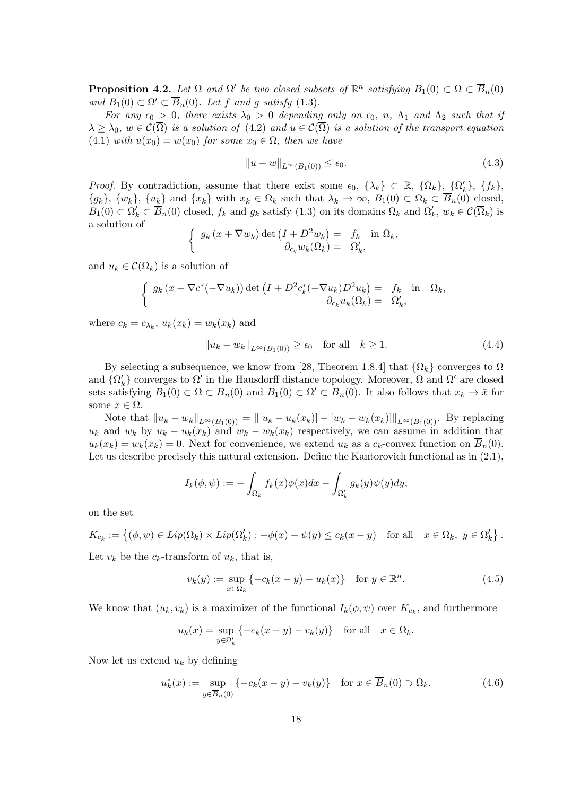**Proposition 4.2.** *Let*  $\Omega$  *and*  $\Omega'$  *be two closed subsets of*  $\mathbb{R}^n$  *satisfying*  $B_1(0) \subset \Omega \subset \overline{B}_n(0)$ *and*  $B_1(0) \subset \Omega' \subset B_n(0)$ *. Let f* and *g satisfy* (1.3)*.* 

*For any*  $\epsilon_0 > 0$ , there exists  $\lambda_0 > 0$  depending only on  $\epsilon_0$ , n,  $\Lambda_1$  and  $\Lambda_2$  such that if  $\lambda \geq \lambda_0$ ,  $w \in C(\overline{\Omega})$  *is a solution of* (4.2) *and*  $u \in C(\overline{\Omega})$  *is a solution of the transport equation* (4.1) *with*  $u(x_0) = w(x_0)$  *for some*  $x_0 \in \Omega$ *, then we have* 

$$
||u - w||_{L^{\infty}(B_1(0))} \le \epsilon_0. \tag{4.3}
$$

*Proof.* By contradiction, assume that there exist some  $\epsilon_0$ ,  $\{\lambda_k\} \subset \mathbb{R}$ ,  $\{\Omega_k\}$ ,  $\{\Omega'_k\}$ ,  $\{f_k\}$ ,  $\{g_k\},\ \{w_k\},\ \{u_k\}$  and  $\{x_k\}$  with  $x_k \in \Omega_k$  such that  $\lambda_k \to \infty$ ,  $B_1(0) \subset \Omega_k \subset B_n(0)$  closed,  $B_1(0) \subset \Omega'_k \subset B_n(0)$  closed,  $f_k$  and  $g_k$  satisfy  $(1.3)$  on its domains  $\Omega_k$  and  $\Omega'_k$ ,  $w_k \in C(\overline{\Omega_k})$  is a solution of

$$
\begin{cases} g_k(x + \nabla w_k) \det \left( I + D^2 w_k \right) = f_k & \text{in } \Omega_k, \\ \partial_{c_q} w_k(\Omega_k) = \Omega'_k, \end{cases}
$$

and  $u_k \in \mathcal{C}(\overline{\Omega}_k)$  is a solution of

$$
\begin{cases} g_k(x - \nabla c^*(-\nabla u_k)) \det \left( I + D^2 c_k^*(-\nabla u_k) D^2 u_k \right) = f_k & \text{in } \Omega_k, \\ \partial_{c_k} u_k(\Omega_k) = \Omega'_k, \end{cases}
$$

where  $c_k = c_{\lambda_k}$ ,  $u_k(x_k) = w_k(x_k)$  and

$$
||u_k - w_k||_{L^{\infty}(B_1(0))} \ge \epsilon_0 \quad \text{for all} \quad k \ge 1. \tag{4.4}
$$

By selecting a subsequence, we know from [28, Theorem 1.8.4] that  $\{\Omega_k\}$  converges to  $\Omega$ and  $\{\Omega'_k\}$  converges to  $\Omega'$  in the Hausdorff distance topology. Moreover,  $\Omega$  and  $\Omega'$  are closed sets satisfying  $B_1(0) \subset \Omega \subset B_n(0)$  and  $B_1(0) \subset \Omega' \subset B_n(0)$ . It also follows that  $x_k \to \bar{x}$  for some  $\bar{x} \in \Omega$ .

Note that  $||u_k - w_k||_{L^{\infty}(B_1(0))} = ||[u_k - u_k(x_k)] - [w_k - w_k(x_k)]||_{L^{\infty}(B_1(0))}$ . By replacing  $u_k$  and  $w_k$  by  $u_k - u_k(x_k)$  and  $w_k - w_k(x_k)$  respectively, we can assume in addition that  $u_k(x_k) = w_k(x_k) = 0$ . Next for convenience, we extend  $u_k$  as a  $c_k$ -convex function on  $\overline{B}_n(0)$ . Let us describe precisely this natural extension. Define the Kantorovich functional as in  $(2.1)$ ,

$$
I_k(\phi, \psi) := -\int_{\Omega_k} f_k(x)\phi(x)dx - \int_{\Omega'_k} g_k(y)\psi(y)dy,
$$

on the set

$$
K_{c_k} := \{ (\phi, \psi) \in Lip(\Omega_k) \times Lip(\Omega'_k) : -\phi(x) - \psi(y) \le c_k(x - y) \text{ for all } x \in \Omega_k, y \in \Omega'_k \}.
$$

Let  $v_k$  be the  $c_k$ -transform of  $u_k$ , that is,

$$
v_k(y) := \sup_{x \in \Omega_k} \{-c_k(x - y) - u_k(x)\} \quad \text{for } y \in \mathbb{R}^n. \tag{4.5}
$$

We know that  $(u_k, v_k)$  is a maximizer of the functional  $I_k(\phi, \psi)$  over  $K_{c_k}$ , and furthermore

$$
u_k(x) = \sup_{y \in \Omega'_k} \{-c_k(x - y) - v_k(y)\} \quad \text{for all} \quad x \in \Omega_k.
$$

Now let us extend *u<sup>k</sup>* by defining

$$
u_k^*(x) := \sup_{y \in \overline{B}_n(0)} \{-c_k(x - y) - v_k(y)\} \quad \text{for } x \in \overline{B}_n(0) \supset \Omega_k.
$$
 (4.6)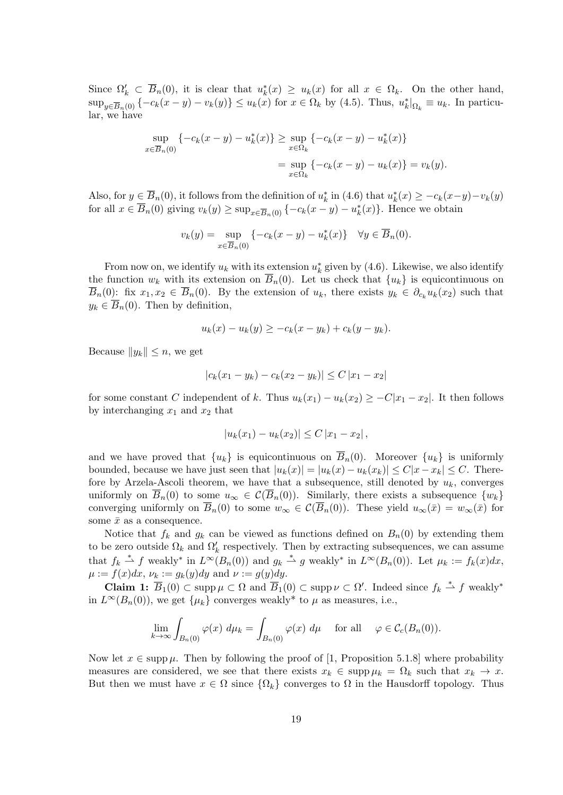Since  $\Omega'_k \subset B_n(0)$ , it is clear that  $u^*_k(x) \geq u_k(x)$  for all  $x \in \Omega_k$ . On the other hand,  $\sup_{y\in\overline{B}_n(0)}\{-c_k(x-y)-v_k(y)\}\leq u_k(x)$  for  $x\in\Omega_k$  by (4.5). Thus,  $u_k^*|_{\Omega_k}\equiv u_k$ . In particular, we have

$$
\sup_{x \in \overline{B}_n(0)} \{ -c_k(x - y) - u_k^*(x) \} \ge \sup_{x \in \Omega_k} \{ -c_k(x - y) - u_k^*(x) \}
$$
  
= 
$$
\sup_{x \in \Omega_k} \{ -c_k(x - y) - u_k(x) \} = v_k(y).
$$

Also, for  $y \in B_n(0)$ , it follows from the definition of  $u_k^*$  in (4.6) that  $u_k^*(x) \geq -c_k(x-y)-v_k(y)$ for all  $x \in B_n(0)$  giving  $v_k(y) \ge \sup_{x \in \overline{B}_n(0)} \{-c_k(x-y) - u_k^*(x)\}\.$  Hence we obtain

$$
v_k(y) = \sup_{x \in \overline{B}_n(0)} \{-c_k(x - y) - u_k^*(x)\} \quad \forall y \in \overline{B}_n(0).
$$

From now on, we identify  $u_k$  with its extension  $u_k^*$  given by (4.6). Likewise, we also identify the function  $w_k$  with its extension on  $B_n(0)$ . Let us check that  $\{u_k\}$  is equicontinuous on  $\overline{B}_n(0)$ : fix  $x_1, x_2 \in \overline{B}_n(0)$ . By the extension of  $u_k$ , there exists  $y_k \in \partial_{c_k} u_k(x_2)$  such that  $y_k \in \overline{B}_n(0)$ . Then by definition,

$$
u_k(x) - u_k(y) \ge -c_k(x - y_k) + c_k(y - y_k).
$$

Because  $||y_k|| \leq n$ , we get

$$
|c_k(x_1 - y_k) - c_k(x_2 - y_k)| \le C |x_1 - x_2|
$$

for some constant *C* independent of *k*. Thus  $u_k(x_1) - u_k(x_2) \geq -C|x_1 - x_2|$ . It then follows by interchanging  $x_1$  and  $x_2$  that

$$
|u_k(x_1) - u_k(x_2)| \le C |x_1 - x_2|,
$$

and we have proved that  $\{u_k\}$  is equicontinuous on  $\overline{B}_n(0)$ . Moreover  $\{u_k\}$  is uniformly bounded, because we have just seen that  $|u_k(x)| = |u_k(x) - u_k(x_k)| \le C|x - x_k| \le C$ . Therefore by Arzela-Ascoli theorem, we have that a subsequence, still denoted by  $u_k$ , converges uniformly on  $\overline{B}_n(0)$  to some  $u_\infty \in C(\overline{B}_n(0))$ . Similarly, there exists a subsequence  $\{w_k\}$ converging uniformly on  $\overline{B}_n(0)$  to some  $w_\infty \in C(\overline{B}_n(0))$ . These yield  $u_\infty(\overline{x}) = w_\infty(\overline{x})$  for some  $\bar{x}$  as a consequence.

Notice that  $f_k$  and  $g_k$  can be viewed as functions defined on  $B_n(0)$  by extending them to be zero outside  $\Omega_k$  and  $\Omega'_k$  respectively. Then by extracting subsequences, we can assume that  $f_k \stackrel{*}{\rightharpoonup} f$  weakly<sup>\*</sup> in  $L^{\infty}(B_n(0))$  and  $g_k \stackrel{*}{\rightharpoonup} g$  weakly<sup>\*</sup> in  $L^{\infty}(B_n(0))$ . Let  $\mu_k := f_k(x)dx$ ,  $\mu := f(x)dx, \nu_k := g_k(y)dy$  and  $\nu := g(y)dy$ .

**Claim 1:**  $\overline{B}_1(0) \subset \text{supp }\mu \subset \Omega$  and  $\overline{B}_1(0) \subset \text{supp }\nu \subset \Omega'$ . Indeed since  $f_k \stackrel{*}{\rightharpoonup} f$  weakly<sup>\*</sup> in  $L^{\infty}(B_n(0))$ , we get  $\{\mu_k\}$  converges weakly<sup>\*</sup> to  $\mu$  as measures, i.e.,

$$
\lim_{k \to \infty} \int_{B_n(0)} \varphi(x) \, d\mu_k = \int_{B_n(0)} \varphi(x) \, d\mu \quad \text{for all} \quad \varphi \in \mathcal{C}_c(B_n(0)).
$$

Now let  $x \in \text{supp }\mu$ . Then by following the proof of [1, Proposition 5.1.8] where probability measures are considered, we see that there exists  $x_k \in \text{supp } \mu_k = \Omega_k$  such that  $x_k \to x$ . But then we must have  $x \in \Omega$  since  $\{\Omega_k\}$  converges to  $\Omega$  in the Hausdorff topology. Thus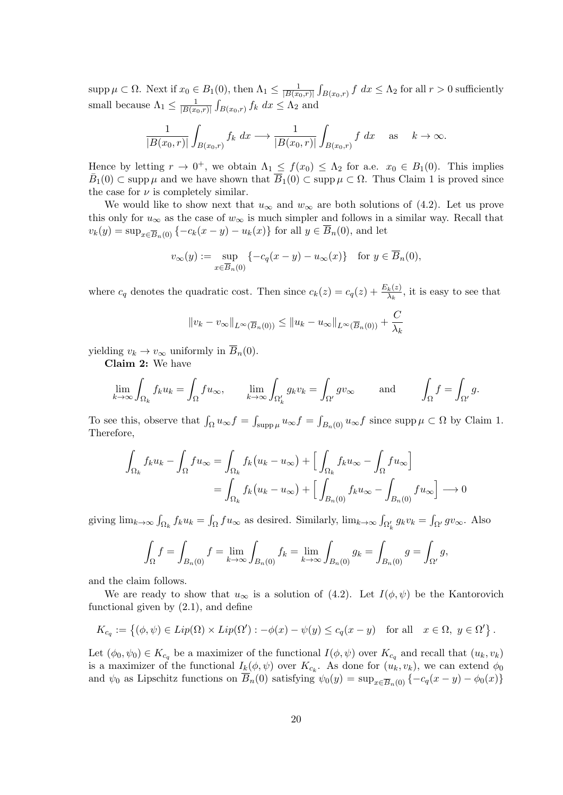supp  $\mu \subset \Omega$ . Next if  $x_0 \in B_1(0)$ , then  $\Lambda_1 \leq \frac{1}{|B(x_0)|}$ *|B*(*x*0*,r*)*|*  $\int_{B(x_0,r)} f \, dx \leq \Lambda_2$  for all  $r > 0$  sufficiently small because  $\Lambda_1 \leq \frac{1}{|B(x)|}$ *|B*(*x*0*,r*)*|*  $\int_{B(x_0,r)} f_k \, dx \leq \Lambda_2$  and

$$
\frac{1}{|B(x_0,r)|}\int_{B(x_0,r)}f_k\ dx\longrightarrow\frac{1}{|B(x_0,r)|}\int_{B(x_0,r)}f\ dx\quad\text{as}\quad k\to\infty.
$$

Hence by letting  $r \to 0^+$ , we obtain  $\Lambda_1 \leq f(x_0) \leq \Lambda_2$  for a.e.  $x_0 \in B_1(0)$ . This implies  $\bar{B}_1(0) \subset \text{supp }\mu$  and we have shown that  $\bar{B}_1(0) \subset \text{supp }\mu \subset \Omega$ . Thus Claim 1 is proved since the case for  $\nu$  is completely similar.

We would like to show next that  $u_{\infty}$  and  $w_{\infty}$  are both solutions of (4.2). Let us prove this only for  $u_{\infty}$  as the case of  $w_{\infty}$  is much simpler and follows in a similar way. Recall that  $v_k(y) = \sup_{x \in \overline{B}_n(0)} \{-c_k(x-y) - u_k(x)\}\$ for all  $y \in \overline{B}_n(0)$ , and let

$$
v_{\infty}(y) := \sup_{x \in \overline{B}_n(0)} \{-c_q(x - y) - u_{\infty}(x)\} \text{ for } y \in \overline{B}_n(0),
$$

where  $c_q$  denotes the quadratic cost. Then since  $c_k(z) = c_q(z) + \frac{E_k(z)}{\lambda_k}$ , it is easy to see that

$$
||v_k - v_{\infty}||_{L^{\infty}(\overline{B}_n(0))} \le ||u_k - u_{\infty}||_{L^{\infty}(\overline{B}_n(0))} + \frac{C}{\lambda_k}
$$

yielding  $v_k \to v_\infty$  uniformly in  $\overline{B}_n(0)$ .

**Claim 2:** We have

$$
\lim_{k \to \infty} \int_{\Omega_k} f_k u_k = \int_{\Omega} f u_{\infty}, \qquad \lim_{k \to \infty} \int_{\Omega'_k} g_k v_k = \int_{\Omega'} g v_{\infty} \qquad \text{and} \qquad \int_{\Omega} f = \int_{\Omega'} g.
$$

To see this, observe that  $\int_{\Omega} u_{\infty} f = \int_{\text{supp }\mu} u_{\infty} f = \int_{B_n(0)} u_{\infty} f$  since  $\text{supp }\mu \subset \Omega$  by Claim 1. Therefore,

$$
\int_{\Omega_k} f_k u_k - \int_{\Omega} f u_\infty = \int_{\Omega_k} f_k (u_k - u_\infty) + \left[ \int_{\Omega_k} f_k u_\infty - \int_{\Omega} f u_\infty \right]
$$

$$
= \int_{\Omega_k} f_k (u_k - u_\infty) + \left[ \int_{B_n(0)} f_k u_\infty - \int_{B_n(0)} f u_\infty \right] \longrightarrow 0
$$

giving  $\lim_{k\to\infty} \int_{\Omega_k} f_k u_k = \int_{\Omega} f u_{\infty}$  as desired. Similarly,  $\lim_{k\to\infty} \int_{\Omega'_k} g_k v_k = \int_{\Omega'} g v_{\infty}$ . Also

$$
\int_{\Omega} f = \int_{B_n(0)} f = \lim_{k \to \infty} \int_{B_n(0)} f_k = \lim_{k \to \infty} \int_{B_n(0)} g_k = \int_{B_n(0)} g = \int_{\Omega'} g,
$$

and the claim follows.

We are ready to show that  $u_{\infty}$  is a solution of (4.2). Let  $I(\phi, \psi)$  be the Kantorovich functional given by (2.1), and define

$$
K_{c_q} := \{ (\phi, \psi) \in Lip(\Omega) \times Lip(\Omega') : -\phi(x) - \psi(y) \le c_q(x - y) \text{ for all } x \in \Omega, y \in \Omega' \}.
$$

Let  $(\phi_0, \psi_0) \in K_{c_q}$  be a maximizer of the functional  $I(\phi, \psi)$  over  $K_{c_q}$  and recall that  $(u_k, v_k)$ is a maximizer of the functional  $I_k(\phi, \psi)$  over  $K_{c_k}$ . As done for  $(u_k, v_k)$ , we can extend  $\phi_0$ and  $\psi_0$  as Lipschitz functions on  $\overline{B}_n(0)$  satisfying  $\psi_0(y) = \sup_{x \in \overline{B}_n(0)} \{-c_q(x-y) - \phi_0(x)\}$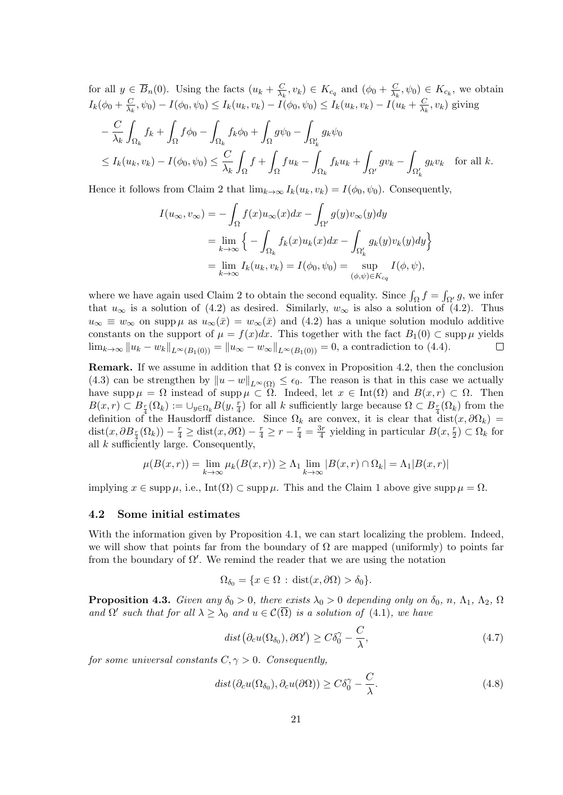for all  $y \in \overline{B}_n(0)$ . Using the facts  $(u_k + \frac{C}{\lambda_k})$  $\frac{C}{\lambda_k}$ ,  $v_k$ )  $\in K_{c_q}$  and  $(\phi_0 + \frac{C}{\lambda_k})$  $\frac{C}{\lambda_k}, \psi_0$   $\in K_{c_k}$ , we obtain  $I_k(\phi_0 + \frac{C}{\lambda_k})$  $\frac{C}{\lambda_k}, \psi_0) - I(\phi_0, \psi_0) \leq I_k(u_k, v_k) - I(\phi_0, \psi_0) \leq I_k(u_k, v_k) - I(u_k + \frac{C}{\lambda_k})$  $\frac{C}{\lambda_k}$ ,  $v_k$ ) giving

$$
-\frac{C}{\lambda_k} \int_{\Omega_k} f_k + \int_{\Omega} f \phi_0 - \int_{\Omega_k} f_k \phi_0 + \int_{\Omega} g \psi_0 - \int_{\Omega'_k} g_k \psi_0
$$
  

$$
\leq I_k(u_k, v_k) - I(\phi_0, \psi_0) \leq \frac{C}{\lambda_k} \int_{\Omega} f + \int_{\Omega} f u_k - \int_{\Omega_k} f_k u_k + \int_{\Omega'} g v_k - \int_{\Omega'_k} g_k v_k \quad \text{for all } k.
$$

Hence it follows from Claim 2 that  $\lim_{k\to\infty} I_k(u_k,v_k) = I(\phi_0,\psi_0)$ . Consequently,

$$
I(u_{\infty}, v_{\infty}) = -\int_{\Omega} f(x)u_{\infty}(x)dx - \int_{\Omega'} g(y)v_{\infty}(y)dy
$$
  
= 
$$
\lim_{k \to \infty} \left\{ -\int_{\Omega_k} f_k(x)u_k(x)dx - \int_{\Omega'_k} g_k(y)v_k(y)dy \right\}
$$
  
= 
$$
\lim_{k \to \infty} I_k(u_k, v_k) = I(\phi_0, \psi_0) = \sup_{(\phi, \psi) \in K_{c_q}} I(\phi, \psi),
$$

where we have again used Claim 2 to obtain the second equality. Since  $\int_{\Omega} f = \int_{\Omega'} g$ , we infer that  $u_{\infty}$  is a solution of (4.2) as desired. Similarly,  $w_{\infty}$  is also a solution of (4.2). Thus  $u_{\infty} \equiv w_{\infty}$  on supp *µ* as  $u_{\infty}(\bar{x}) = w_{\infty}(\bar{x})$  and (4.2) has a unique solution modulo additive constants on the support of  $\mu = f(x)dx$ . This together with the fact  $B_1(0) \subset \text{supp }\mu$  yields  $\lim_{k\to\infty} ||u_k - w_k||_{L^{\infty}(B_1(0))} = ||u_{\infty} - w_{\infty}||_{L^{\infty}(B_1(0))} = 0$ , a contradiction to (4.4).  $\Box$ 

**Remark.** If we assume in addition that  $\Omega$  is convex in Proposition 4.2, then the conclusion (4.3) can be strengthen by  $||u - w||_{L^{\infty}(\Omega)} \leq \epsilon_0$ . The reason is that in this case we actually have supp  $\mu = \Omega$  instead of supp  $\mu \subset \Omega$ . Indeed, let  $x \in \text{Int}(\Omega)$  and  $B(x,r) \subset \Omega$ . Then  $B(x, r) \subset B_{\frac{r}{4}}(\Omega_k) := \bigcup_{y \in \Omega_k} B(y, \frac{r}{4})$  for all *k* sufficiently large because  $\Omega \subset B_{\frac{r}{4}}(\Omega_k)$  from the definition of the Hausdorff distance. Since  $\Omega_k$  are convex, it is clear that dist $(x, \partial \Omega_k)$ dist $(x, \partial B_{\frac{r}{4}}(\Omega_k)) - \frac{r}{4} \ge \text{dist}(x, \partial \Omega) - \frac{r}{4} \ge r - \frac{r}{4} = \frac{3r}{4}$  $\frac{3r}{4}$  yielding in particular  $B(x, \frac{r}{2}) \subset \Omega_k$  for all *k* sufficiently large. Consequently,

$$
\mu(B(x,r)) = \lim_{k \to \infty} \mu_k(B(x,r)) \ge \Lambda_1 \lim_{k \to \infty} |B(x,r) \cap \Omega_k| = \Lambda_1 |B(x,r)|
$$

implying  $x \in \text{supp }\mu$ , i.e., Int $(\Omega) \subset \text{supp }\mu$ . This and the Claim 1 above give supp  $\mu = \Omega$ .

### **4.2 Some initial estimates**

With the information given by Proposition 4.1, we can start localizing the problem. Indeed, we will show that points far from the boundary of  $\Omega$  are mapped (uniformly) to points far from the boundary of Ω*′* . We remind the reader that we are using the notation

$$
\Omega_{\delta_0} = \{x \in \Omega : \text{dist}(x, \partial \Omega) > \delta_0\}.
$$

**Proposition 4.3.** *Given any*  $\delta_0 > 0$ *, there exists*  $\lambda_0 > 0$  *depending only on*  $\delta_0$ *, n,*  $\Lambda_1$ *,*  $\Lambda_2$ *,*  $\Omega$ *and*  $\Omega'$  *such that for all*  $\lambda \geq \lambda_0$  *and*  $u \in C(\overline{\Omega})$  *is a solution of* (4.1)*, we have* 

$$
dist(\partial_c u(\Omega_{\delta_0}), \partial \Omega') \ge C\delta_0^{\gamma} - \frac{C}{\lambda},\tag{4.7}
$$

*for some universal constants*  $C, \gamma > 0$ *. Consequently,* 

$$
dist(\partial_c u(\Omega_{\delta_0}), \partial_c u(\partial \Omega)) \ge C\delta_0^{\gamma} - \frac{C}{\lambda}.
$$
\n(4.8)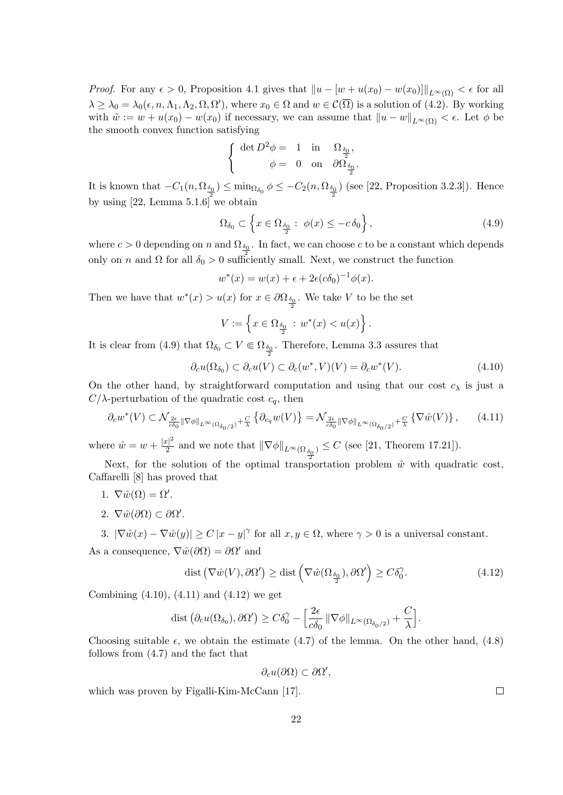*Proof.* For any  $\epsilon > 0$ , Proposition 4.1 gives that  $||u - [w + u(x_0) - w(x_0)]||_{L^{\infty}(\Omega)} < \epsilon$  for all  $\lambda \geq \lambda_0 = \lambda_0(\epsilon, n, \Lambda_1, \Lambda_2, \Omega, \Omega')$ , where  $x_0 \in \Omega$  and  $w \in \mathcal{C}(\Omega)$  is a solution of (4.2). By working with  $\tilde{w} := w + u(x_0) - w(x_0)$  if necessary, we can assume that  $||u - w||_{L^{\infty}(\Omega)} < \epsilon$ . Let  $\phi$  be the smooth convex function satisfying

$$
\left\{ \begin{array}{rcl} \det D^2 \phi=&1 &\mbox{in} &\Omega_{\frac{\delta_0}{2}}, \\ \phi=&0 &\mbox{on} &\partial \Omega_{\frac{\delta_0}{2}}. \end{array} \right.
$$

It is known that  $-C_1(n, \Omega_{\frac{\delta_0}{2}}) \le \min_{\Omega_{\delta_0}} \phi \le -C_2(n, \Omega_{\frac{\delta_0}{2}})$  (see [22, Proposition 3.2.3]). Hence by using  $[22, \text{Lemma } 5.1.6]$  we obtain

$$
\Omega_{\delta_0} \subset \left\{ x \in \Omega_{\frac{\delta_0}{2}} : \phi(x) \le -c \delta_0 \right\},\tag{4.9}
$$

where  $c > 0$  depending on *n* and  $\Omega_{\delta_0}$ . In fact, we can choose *c* to be a constant which depends only on *n* and  $\Omega$  for all  $\delta_0 > 0$  sufficiently small. Next, we construct the function

$$
w^*(x) = w(x) + \epsilon + 2\epsilon(c\delta_0)^{-1}\phi(x).
$$

Then we have that  $w^*(x) > u(x)$  for  $x \in \partial \Omega_{\frac{\delta_0}{2}}$ . We take *V* to be the set

$$
V := \left\{ x \in \Omega_{\frac{\delta_0}{2}} : w^*(x) < u(x) \right\}.
$$

It is clear from (4.9) that  $\Omega_{\delta_0} \subset V \Subset \Omega_{\frac{\delta_0}{2}}$ . Therefore, Lemma 3.3 assures that

$$
\partial_c u(\Omega_{\delta_0}) \subset \partial_c u(V) \subset \partial_c (w^*, V)(V) = \partial_c w^*(V). \tag{4.10}
$$

On the other hand, by straightforward computation and using that our cost  $c_{\lambda}$  is just a *C*/ $λ$ -perturbation of the quadratic cost  $c<sub>q</sub>$ , then

$$
\partial_c w^*(V) \subset \mathcal{N}_{\frac{2\epsilon}{c\delta_0} \|\nabla \phi\|_{L^\infty(\Omega_{\delta_0/2})} + \frac{C}{\lambda}} \left\{ \partial_{c_q} w(V) \right\} = \mathcal{N}_{\frac{2\epsilon}{c\delta_0} \|\nabla \phi\|_{L^\infty(\Omega_{\delta_0/2})} + \frac{C}{\lambda}} \left\{ \nabla \hat{w}(V) \right\},\tag{4.11}
$$

where  $\hat{w} = w + \frac{|x|^2}{2}$  $\frac{p_1}{2}$  and we note that  $\|\nabla \phi\|_{L^{\infty}(\Omega_{\frac{\delta_0}{2}})} \leq C$  (see [21, Theorem 17.21]).

Next, for the solution of the optimal transportation problem  $\hat{w}$  with quadratic cost, Caffarelli [8] has proved that

- 1.  $\nabla \hat{w}(\Omega) = \Omega'$ .
- 2.  $\nabla \hat{w}(\partial \Omega) \subset \partial \Omega'.$

3.  $|\nabla \hat{w}(x) - \nabla \hat{w}(y)| \ge C |x - y|^{\gamma}$  for all  $x, y \in \Omega$ , where  $\gamma > 0$  is a universal constant. As a consequence,  $\nabla \hat{w}(\partial \Omega) = \partial \Omega'$  and

$$
\text{dist}\left(\nabla\hat{w}(V),\partial\Omega'\right) \ge \text{dist}\left(\nabla\hat{w}(\Omega_{\frac{\delta_0}{2}}),\partial\Omega'\right) \ge C\delta_0^\gamma. \tag{4.12}
$$

Combining  $(4.10)$ ,  $(4.11)$  and  $(4.12)$  we get

$$
\text{dist}(\partial_c u(\Omega_{\delta_0}), \partial \Omega') \geq C\delta_0^{\gamma} - \left[\frac{2\epsilon}{c\delta_0} \|\nabla \phi\|_{L^{\infty}(\Omega_{\delta_0/2})} + \frac{C}{\lambda}\right].
$$

Choosing suitable  $\epsilon$ , we obtain the estimate  $(4.7)$  of the lemma. On the other hand,  $(4.8)$ follows from (4.7) and the fact that

$$
\partial_c u(\partial\Omega) \subset \partial\Omega',
$$

which was proven by Figalli-Kim-McCann [17].

 $\Box$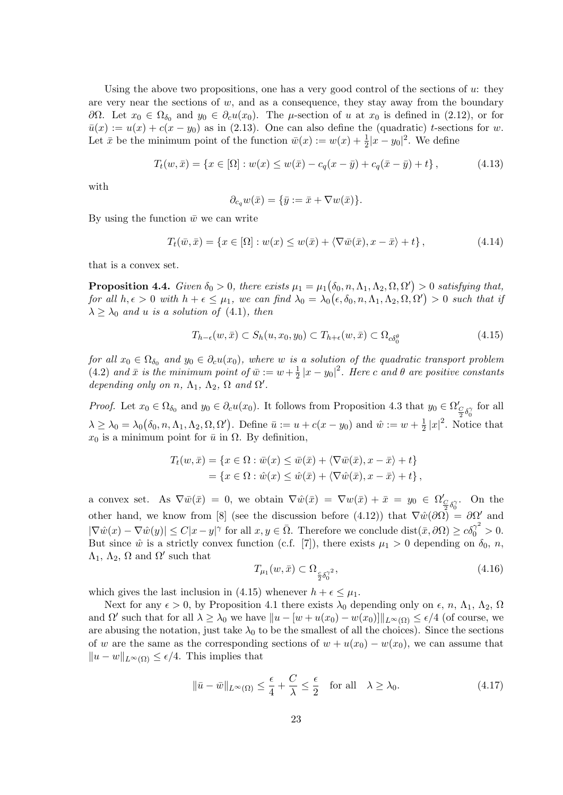Using the above two propositions, one has a very good control of the sections of *u*: they are very near the sections of  $w$ , and as a consequence, they stay away from the boundary *∂*Ω. Let *x*<sub>0</sub>  $∈$  Ω<sub>*δ*<sub>0</sub></sub> and *y*<sub>0</sub>  $∈$  *∂*<sub>*c</sub>u*(*x*<sub>0</sub>). The *µ*-section of *u* at *x*<sub>0</sub> is defined in (2.12), or for</sub>  $\bar{u}(x) := u(x) + c(x - y_0)$  as in (2.13). One can also define the (quadratic) *t*-sections for *w*. Let  $\bar{x}$  be the minimum point of the function  $\bar{w}(x) := w(x) + \frac{1}{2}|x - y_0|^2$ . We define

$$
T_t(w, \bar{x}) = \{x \in [\Omega] : w(x) \le w(\bar{x}) - c_q(x - \bar{y}) + c_q(\bar{x} - \bar{y}) + t\},\tag{4.13}
$$

with

$$
\partial_{c_q} w(\bar{x}) = \{\bar{y} := \bar{x} + \nabla w(\bar{x})\}.
$$

By using the function  $\bar{w}$  we can write

$$
T_t(\bar{w}, \bar{x}) = \{x \in [\Omega] : w(x) \le w(\bar{x}) + \langle \nabla \bar{w}(\bar{x}), x - \bar{x} \rangle + t\},\tag{4.14}
$$

that is a convex set.

**Proposition 4.4.** *Given*  $\delta_0 > 0$ *, there exists*  $\mu_1 = \mu_1(\delta_0, n, \Lambda_1, \Lambda_2, \Omega, \Omega') > 0$  *satisfying that, for all*  $h, \epsilon > 0$  *with*  $h + \epsilon \leq \mu_1$ *, we can find*  $\lambda_0 = \lambda_0(\epsilon, \delta_0, n, \Lambda_1, \Lambda_2, \Omega, \Omega') > 0$  *such that if*  $\lambda \geq \lambda_0$  *and u is a solution of* (4.1)*, then* 

$$
T_{h-\epsilon}(w,\bar{x}) \subset S_h(u,x_0,y_0) \subset T_{h+\epsilon}(w,\bar{x}) \subset \Omega_{c\delta_0^{\theta}}
$$
\n
$$
(4.15)
$$

*for all*  $x_0 \in \Omega_{\delta_0}$  *and*  $y_0 \in \partial_c u(x_0)$ *, where w is a solution of the quadratic transport problem* (4.2) and  $\bar{x}$  is the minimum point of  $\bar{w} := w + \frac{1}{2}$  $\frac{1}{2} |x - y_0|^2$ . Here *c* and  $\theta$  are positive constants *depending only on n*,  $\Lambda_1$ ,  $\Lambda_2$ ,  $\Omega$  *and*  $\Omega'$ *.* 

*Proof.* Let  $x_0 \in \Omega_{\delta_0}$  and  $y_0 \in \partial_c u(x_0)$ . It follows from Proposition 4.3 that  $y_0 \in \Omega'_{\frac{C}{2}\delta_0^{\gamma}}$  for all  $\lambda \ge \lambda_0 = \lambda_0(\delta_0, n, \Lambda_1, \Lambda_2, \Omega, \Omega')$ . Define  $\bar{u} := u + c(x - y_0)$  and  $\hat{w} := w + \frac{1}{2}$  $\frac{1}{2} |x|^2$ . Notice that  $x_0$  is a minimum point for  $\bar{u}$  in  $\Omega$ . By definition,

$$
T_t(w, \bar{x}) = \{x \in \Omega : \bar{w}(x) \leq \bar{w}(\bar{x}) + \langle \nabla \bar{w}(\bar{x}), x - \bar{x} \rangle + t\}
$$
  
= 
$$
\{x \in \Omega : \hat{w}(x) \leq \hat{w}(\bar{x}) + \langle \nabla \hat{w}(\bar{x}), x - \bar{x} \rangle + t\},\
$$

a convex set. As  $\nabla \bar{w}(\bar{x}) = 0$ , we obtain  $\nabla \hat{w}(\bar{x}) = \nabla w(\bar{x}) + \bar{x} = y_0 \in \Omega'_{\leq \delta_0^{\gamma}}$ . On the other hand, we know from [8] (see the discussion before (4.12)) that  $\nabla \hat{w}(\partial \Omega) = \partial \Omega'$  and  $|\nabla \hat{w}(x) - \nabla \hat{w}(y)| \le C|x - y|^{\gamma}$  for all  $x, y \in \overline{\Omega}$ . Therefore we conclude  $dist(\overline{x}, \partial \Omega) \ge c\delta_0^{\gamma^2} > 0$ . But since  $\hat{w}$  is a strictly convex function (c.f. [7]), there exists  $\mu_1 > 0$  depending on  $\delta_0$ , *n*,  $\Lambda_1$ ,  $\Lambda_2$ ,  $\Omega$  and  $\Omega'$  such that

$$
T_{\mu_1}(w,\bar{x}) \subset \Omega_{\frac{c}{2}\delta_0^{\gamma^2}},\tag{4.16}
$$

which gives the last inclusion in (4.15) whenever  $h + \epsilon \leq \mu_1$ .

Next for any  $\epsilon > 0$ , by Proposition 4.1 there exists  $\lambda_0$  depending only on  $\epsilon$ ,  $n$ ,  $\Lambda_1$ ,  $\Lambda_2$ ,  $\Omega$ and  $\Omega'$  such that for all  $\lambda \geq \lambda_0$  we have  $||u - [w + u(x_0) - w(x_0)]||_{L^{\infty}(\Omega)} \leq \epsilon/4$  (of course, we are abusing the notation, just take  $\lambda_0$  to be the smallest of all the choices). Since the sections of *w* are the same as the corresponding sections of  $w + u(x_0) - w(x_0)$ , we can assume that  $||u - w||_{L^{\infty}(\Omega)} \leq \epsilon/4$ . This implies that

$$
\|\bar{u} - \bar{w}\|_{L^{\infty}(\Omega)} \le \frac{\epsilon}{4} + \frac{C}{\lambda} \le \frac{\epsilon}{2} \quad \text{for all} \quad \lambda \ge \lambda_0. \tag{4.17}
$$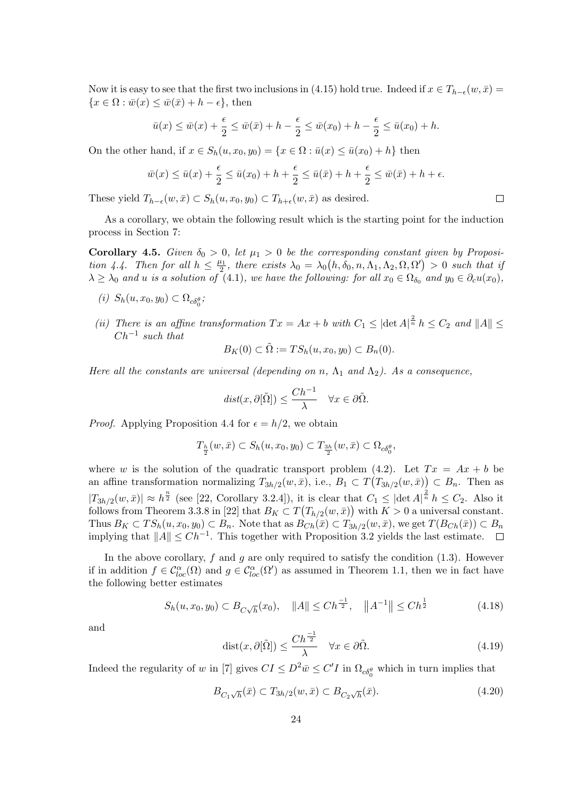Now it is easy to see that the first two inclusions in (4.15) hold true. Indeed if  $x \in T_{h-\epsilon}(w, \bar{x})$  ${x \in \Omega : \bar{w}(x) \leq \bar{w}(\bar{x}) + h - \epsilon}, \text{ then}$ 

$$
\bar{u}(x) \le \bar{w}(x) + \frac{\epsilon}{2} \le \bar{w}(\bar{x}) + h - \frac{\epsilon}{2} \le \bar{w}(x_0) + h - \frac{\epsilon}{2} \le \bar{u}(x_0) + h.
$$

On the other hand, if  $x \in S_h(u, x_0, y_0) = \{x \in \Omega : \bar{u}(x) \leq \bar{u}(x_0) + h\}$  then

$$
\bar{w}(x) \le \bar{u}(x) + \frac{\epsilon}{2} \le \bar{u}(x_0) + h + \frac{\epsilon}{2} \le \bar{u}(\bar{x}) + h + \frac{\epsilon}{2} \le \bar{w}(\bar{x}) + h + \epsilon.
$$

 $\Box$ 

These yield  $T_{h-\epsilon}(w,\bar{x}) \subset S_h(u,x_0,y_0) \subset T_{h+\epsilon}(w,\bar{x})$  as desired.

As a corollary, we obtain the following result which is the starting point for the induction process in Section 7:

**Corollary 4.5.** *Given*  $\delta_0 > 0$ , let  $\mu_1 > 0$  be the corresponding constant given by Proposi*tion 4.4. Then for all*  $h \leq \frac{\mu_1}{2}$  $\lambda_0 = \lambda_0(h, \delta_0, n, \Lambda_1, \Lambda_2, \Omega, \Omega') > 0$  such that if  $\lambda \geq \lambda_0$  *and u is a solution of* (4.1)*, we have the following: for all*  $x_0 \in \Omega_{\delta_0}$  *and*  $y_0 \in \partial_c u(x_0)$ *,* 

- $(i)$  *S<sub>h</sub>* $(u, x_0, y_0) \subset \Omega_{c\delta_0^{\theta}};$
- *(ii) There is an affine transformation*  $Tx = Ax + b$  *with*  $C_1 \leq |\det A|^{\frac{2}{n}} h \leq C_2$  *and*  $||A|| \leq$ *Ch−*<sup>1</sup> *such that*

$$
B_K(0) \subset \tilde{\Omega} := TS_h(u, x_0, y_0) \subset B_n(0).
$$

*Here all the constants are universal (depending on n*,  $\Lambda_1$  *and*  $\Lambda_2$ ). As a consequence,

$$
dist(x, \partial[\tilde{\Omega}]) \le \frac{Ch^{-1}}{\lambda} \quad \forall x \in \partial \tilde{\Omega}.
$$

*Proof.* Applying Proposition 4.4 for  $\epsilon = h/2$ , we obtain

$$
T_{\frac{h}{2}}(w,\bar{x}) \subset S_h(u,x_0,y_0) \subset T_{\frac{3h}{2}}(w,\bar{x}) \subset \Omega_{c\delta_0^{\theta}},
$$

where *w* is the solution of the quadratic transport problem (4.2). Let  $Tx = Ax + b$  be an affine transformation normalizing  $T_{3h/2}(w, \bar{x})$ , i.e.,  $B_1 \subset T(T_{3h/2}(w, \bar{x})) \subset B_n$ . Then as  $|T_{3h/2}(w,\bar{x})| \approx h^{\frac{n}{2}}$  (see [22, Corollary 3.2.4]), it is clear that  $C_1 \leq |\det A|^{\frac{2}{n}} h \leq C_2$ . Also it follows from Theorem 3.3.8 in [22] that  $B_K \subset T(T_{h/2}(w,\bar{x}))$  with  $K > 0$  a universal constant. Thus  $B_K \subset TS_h(u, x_0, y_0) \subset B_n$ . Note that as  $B_{Ch}(\bar{x}) \subset T_{3h/2}(w, \bar{x})$ , we get  $T(B_{Ch}(\bar{x})) \subset B_n$ implying that *∥A∥ ≤ Ch−*<sup>1</sup> . This together with Proposition 3.2 yields the last estimate.

In the above corollary,  $f$  and  $g$  are only required to satisfy the condition  $(1.3)$ . However if in addition  $f \in \mathcal{C}^{\alpha}_{loc}(\Omega)$  and  $g \in \mathcal{C}^{\alpha}_{loc}(\Omega')$  as assumed in Theorem 1.1, then we in fact have the following better estimates

$$
S_h(u, x_0, y_0) \subset B_{C\sqrt{h}}(x_0), \quad \|A\| \le Ch^{\frac{-1}{2}}, \quad \|A^{-1}\| \le Ch^{\frac{1}{2}} \tag{4.18}
$$

and

$$
dist(x, \partial[\tilde{\Omega}]) \le \frac{Ch^{\frac{-1}{2}}}{\lambda} \quad \forall x \in \partial \tilde{\Omega}.
$$
 (4.19)

Indeed the regularity of *w* in [7] gives  $CI \le D^2 \bar{w} \le C'I$  in  $\Omega_{c\delta_0^{\theta}}$  which in turn implies that

$$
B_{C_1\sqrt{h}}(\bar{x}) \subset T_{3h/2}(w,\bar{x}) \subset B_{C_2\sqrt{h}}(\bar{x}).\tag{4.20}
$$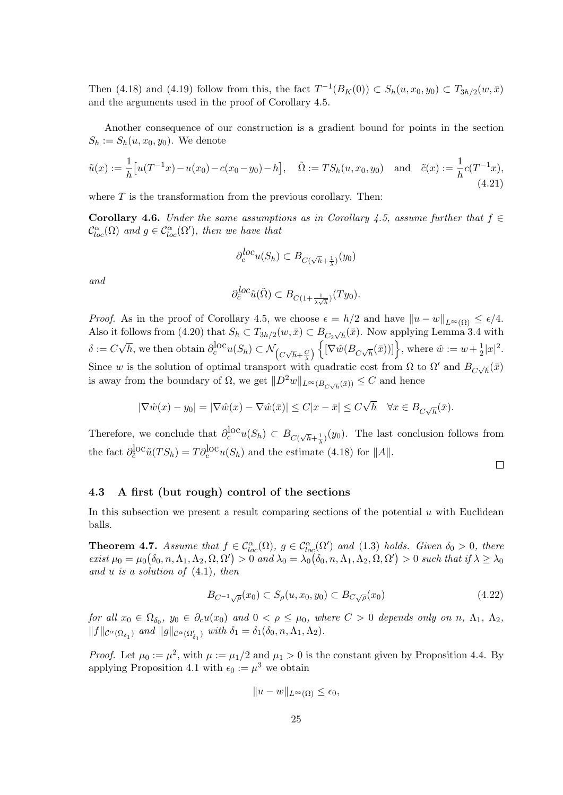Then (4.18) and (4.19) follow from this, the fact  $T^{-1}(B_K(0)) \subset S_h(u, x_0, y_0) \subset T_{3h/2}(w, \bar{x})$ and the arguments used in the proof of Corollary 4.5.

Another consequence of our construction is a gradient bound for points in the section  $S_h := S_h(u, x_0, y_0)$ . We denote

$$
\tilde{u}(x) := \frac{1}{h} \left[ u(T^{-1}x) - u(x_0) - c(x_0 - y_0) - h \right], \quad \tilde{\Omega} := TS_h(u, x_0, y_0) \quad \text{and} \quad \tilde{c}(x) := \frac{1}{h} c(T^{-1}x),
$$
\n(4.21)

where *T* is the transformation from the previous corollary. Then:

**Corollary 4.6.** *Under the same assumptions as in Corollary 4.5, assume further that*  $f \in$  $\mathcal{C}^{\alpha}_{loc}(\Omega)$  *and*  $g \in \mathcal{C}^{\alpha}_{loc}(\Omega')$ *, then we have that* 

$$
\partial_c^{loc} u(S_h) \subset B_{C(\sqrt{h} + \frac{1}{\lambda})}(y_0)
$$

*and*

$$
\partial_{\tilde{c}}^{loc}\tilde{u}(\tilde{\Omega}) \subset B_{C(1+\frac{1}{\lambda\sqrt{h}})}(Ty_0).
$$

*Proof.* As in the proof of Corollary 4.5, we choose  $\epsilon = h/2$  and have  $||u - w||_{L^{\infty}(\Omega)} \leq \epsilon/4$ . Also it follows from (4.20) that  $S_h \subset T_{3h/2}(w, \bar{x}) \subset B_{C_2\sqrt{h}}(\bar{x})$ . Now applying Lemma 3.4 with  $\delta := C$ *√*  $\overline{h}$ , we then obtain  $\partial_c^{\text{loc}} u(S_h) \subset \mathcal{N}_{\left(\frac{C\sqrt{h}+\frac{C}{\lambda}}{\lambda}\right)}$ Since *w* is the solution of optimal transport with quadratic cost from  $\Omega$  to  $\Omega'$  and  $B_{C\sqrt{h}}(\bar{x})$  $\left\{ \left[ \nabla \hat{w} (B_{C\sqrt{h}}(\bar{x})) \right] \right\}$ , where  $\hat{w} := w + \frac{1}{2}$  $\frac{1}{2}|x|^2.$ is away from the boundary of  $\Omega$ , we get  $||D^2w||_{L^{\infty}(B_{C\sqrt{h}}(\bar{x}))} \leq C$  and hence

$$
|\nabla \hat{w}(x) - y_0| = |\nabla \hat{w}(x) - \nabla \hat{w}(\bar{x})| \le C|x - \bar{x}| \le C\sqrt{h} \quad \forall x \in B_{C\sqrt{h}}(\bar{x}).
$$

Therefore, we conclude that  $\partial_c^{\text{loc}} u(S_h) \subset B_{C(\sqrt{h}+\frac{1}{2})}(y_0)$ . The last conclusion follows from *λ* the fact  $\partial_{\tilde{c}}^{\text{loc}} \tilde{u}(TS_h) = T \partial_c^{\text{loc}} u(S_h)$  and the estimate (4.18) for  $||A||$ .

 $\Box$ 

### **4.3 A first (but rough) control of the sections**

In this subsection we present a result comparing sections of the potential *u* with Euclidean balls.

**Theorem 4.7.** *Assume that*  $f \in C^{\alpha}_{loc}(\Omega)$ ,  $g \in C^{\alpha}_{loc}(\Omega')$  *and* (1.3) *holds. Given*  $\delta_0 > 0$ *, there* exist  $\mu_0 = \mu_0(\delta_0, n, \Lambda_1, \Lambda_2, \Omega, \Omega') > 0$  and  $\lambda_0 = \lambda_0(\delta_0, n, \Lambda_1, \Lambda_2, \Omega, \Omega') > 0$  such that if  $\lambda \geq \lambda_0$ *and u is a solution of* (4.1)*, then*

$$
B_{C^{-1}\sqrt{\rho}}(x_0) \subset S_{\rho}(u, x_0, y_0) \subset B_{C\sqrt{\rho}}(x_0)
$$
\n(4.22)

for all  $x_0 \in \Omega_{\delta_0}$ ,  $y_0 \in \partial_c u(x_0)$  and  $0 < \rho \leq \mu_0$ , where  $C > 0$  depends only on  $n, \Lambda_1, \Lambda_2$ ,  $||f||_{\mathcal{C}^{\alpha}(\Omega_{\delta_1})}$  *and*  $||g||_{\mathcal{C}^{\alpha}(\Omega'_{\delta_1})}$  *with*  $\delta_1 = \delta_1(\delta_0, n, \Lambda_1, \Lambda_2)$ *.* 

*Proof.* Let  $\mu_0 := \mu^2$ , with  $\mu := \mu_1/2$  and  $\mu_1 > 0$  is the constant given by Proposition 4.4. By applying Proposition 4.1 with  $\epsilon_0 := \mu^3$  we obtain

$$
||u - w||_{L^{\infty}(\Omega)} \le \epsilon_0,
$$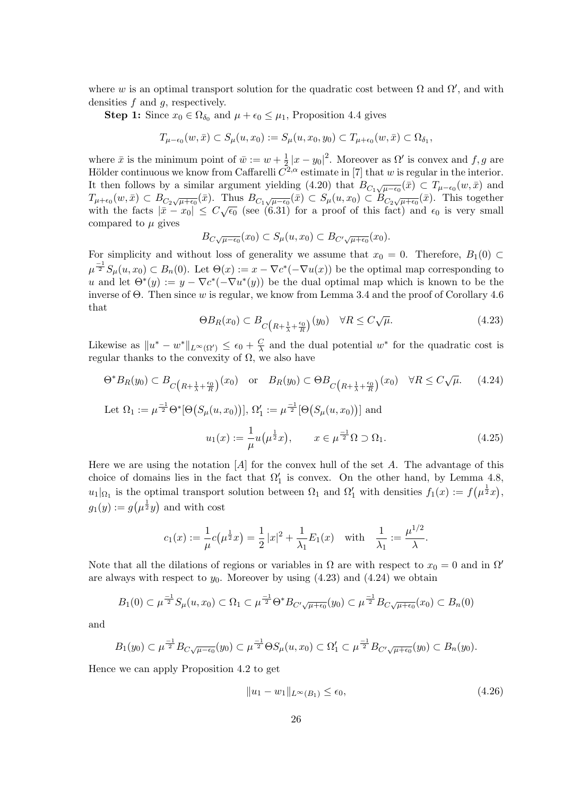where *w* is an optimal transport solution for the quadratic cost between  $\Omega$  and  $\Omega'$ , and with densities *f* and *g*, respectively.

**Step 1:** Since  $x_0 \in \Omega_{\delta_0}$  and  $\mu + \epsilon_0 \leq \mu_1$ , Proposition 4.4 gives

$$
T_{\mu-\epsilon_0}(w,\bar{x}) \subset S_{\mu}(u,x_0) := S_{\mu}(u,x_0,y_0) \subset T_{\mu+\epsilon_0}(w,\bar{x}) \subset \Omega_{\delta_1},
$$

where  $\bar{x}$  is the minimum point of  $\bar{w} := w + \frac{1}{2}$  $\frac{1}{2}|x-y_0|^2$ . Moreover as  $\Omega'$  is convex and  $f, g$  are Hölder continuous we know from Caffarelli  $C^{2,\alpha}$  estimate in [7] that *w* is regular in the interior. It then follows by a similar argument yielding (4.20) that  $B_{C_1\sqrt{\mu-\epsilon_0}}(\bar{x}) \subset T_{\mu-\epsilon_0}(w,\bar{x})$  and  $T_{\mu+e_0}(w,\bar{x}) \subset B_{C_2\sqrt{\mu+e_0}}(\bar{x})$ . Thus  $B_{C_1\sqrt{\mu-e_0}}(\bar{x}) \subset S_{\mu}(u,x_0) \subset B_{C_2\sqrt{\mu+e_0}}(\bar{x})$ . This together with the facts  $|\bar{x} - x_0| \leq C \sqrt{\epsilon_0}$  (see (6.31) for a proof of this fact) and  $\epsilon_0$  is very small compared to *µ* gives

$$
B_{C\sqrt{\mu-\epsilon_0}}(x_0)\subset S_{\mu}(u,x_0)\subset B_{C'\sqrt{\mu+\epsilon_0}}(x_0).
$$

For simplicity and without loss of generality we assume that  $x_0 = 0$ . Therefore,  $B_1(0) \subset$  $\mu^{-1} S_\mu(u, x_0) \subset B_n(0)$ . Let  $\Theta(x) := x - \nabla c^*(-\nabla u(x))$  be the optimal map corresponding to *u* and let  $\Theta^*(y) := y - \nabla c^*(-\nabla u^*(y))$  be the dual optimal map which is known to be the inverse of Θ. Then since *w* is regular, we know from Lemma 3.4 and the proof of Corollary 4.6 that

$$
\Theta B_R(x_0) \subset B_{C\left(R + \frac{1}{\lambda} + \frac{\epsilon_0}{R}\right)}(y_0) \quad \forall R \le C\sqrt{\mu}.\tag{4.23}
$$

Likewise as  $||u^* - w^*||_{L^\infty(\Omega')} \leq \epsilon_0 + \frac{C}{\lambda}$  $\frac{C}{\lambda}$  and the dual potential  $w^*$  for the quadratic cost is regular thanks to the convexity of  $\Omega$ , we also have

$$
\Theta^* B_R(y_0) \subset B_{\overline{C}\left(R + \frac{1}{\lambda} + \frac{\epsilon_0}{R}\right)}(x_0) \quad \text{or} \quad B_R(y_0) \subset \Theta B_{\overline{C}\left(R + \frac{1}{\lambda} + \frac{\epsilon_0}{R}\right)}(x_0) \quad \forall R \le C\sqrt{\mu}. \tag{4.24}
$$

Let 
$$
\Omega_1 := \mu^{\frac{-1}{2}} \Theta^* [\Theta(S_\mu(u, x_0))], \Omega'_1 := \mu^{\frac{-1}{2}} [\Theta(S_\mu(u, x_0))] \text{ and}
$$
  

$$
u_1(x) := \frac{1}{\mu} u(\mu^{\frac{1}{2}} x), \qquad x \in \mu^{\frac{-1}{2}} \Omega \supset \Omega_1.
$$
 (4.25)

Here we are using the notation [*A*] for the convex hull of the set *A*. The advantage of this choice of domains lies in the fact that  $\Omega'_{1}$  is convex. On the other hand, by Lemma 4.8,  $u_1|_{\Omega_1}$  is the optimal transport solution between  $\Omega_1$  and  $\Omega'_1$  with densities  $f_1(x) := f(\mu^{\frac{1}{2}}x)$ ,  $g_1(y) := g(\mu^{\frac{1}{2}}y)$  and with cost

$$
c_1(x) := \frac{1}{\mu}c(\mu^{\frac{1}{2}}x) = \frac{1}{2}|x|^2 + \frac{1}{\lambda_1}E_1(x) \text{ with } \frac{1}{\lambda_1} := \frac{\mu^{1/2}}{\lambda}.
$$

Note that all the dilations of regions or variables in  $\Omega$  are with respect to  $x_0 = 0$  and in  $\Omega'$ are always with respect to  $y_0$ . Moreover by using  $(4.23)$  and  $(4.24)$  we obtain

$$
B_1(0) \subset \mu^{\frac{-1}{2}} S_{\mu}(u, x_0) \subset \Omega_1 \subset \mu^{\frac{-1}{2}} \Theta^* B_{C' \sqrt{\mu + \epsilon_0}}(y_0) \subset \mu^{\frac{-1}{2}} B_{C \sqrt{\mu + \epsilon_0}}(x_0) \subset B_n(0)
$$

and

$$
B_1(y_0) \subset \mu^{\frac{-1}{2}} B_{C\sqrt{\mu-\epsilon_0}}(y_0) \subset \mu^{\frac{-1}{2}} \Theta S_{\mu}(u, x_0) \subset \Omega'_1 \subset \mu^{\frac{-1}{2}} B_{C'\sqrt{\mu+\epsilon_0}}(y_0) \subset B_n(y_0).
$$

Hence we can apply Proposition 4.2 to get

$$
||u_1 - w_1||_{L^{\infty}(B_1)} \le \epsilon_0,
$$
\n(4.26)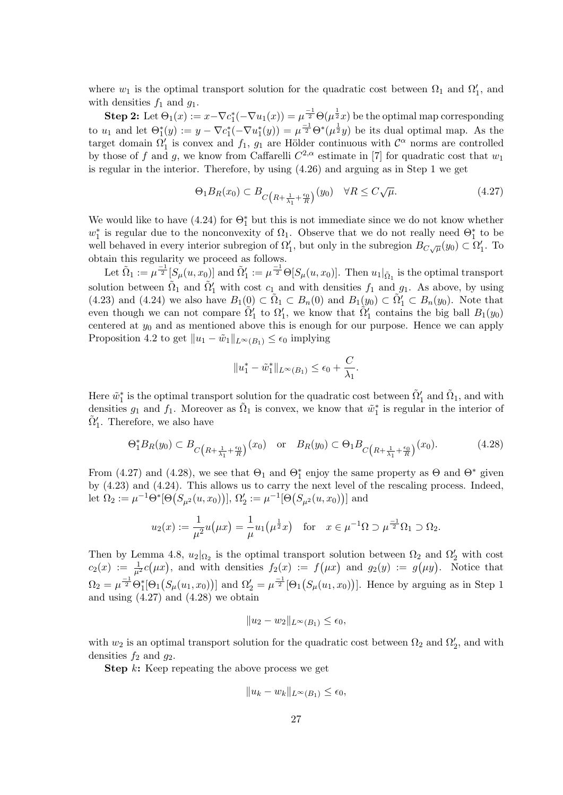where  $w_1$  is the optimal transport solution for the quadratic cost between  $\Omega_1$  and  $\Omega'_1$ , and with densities  $f_1$  and  $g_1$ .

**Step 2:** Let  $\Theta_1(x) := x - \nabla c_1^*(-\nabla u_1(x)) = \mu^{\frac{-1}{2}} \Theta(\mu^{\frac{1}{2}}x)$  be the optimal map corresponding to  $u_1$  and let  $\Theta_1^*(y) := y - \nabla c_1^*(-\nabla u_1^*(y)) = \mu^{\frac{-1}{2}} \Theta^*(\mu^{\frac{1}{2}}y)$  be its dual optimal map. As the target domain  $\Omega'_1$  is convex and  $f_1$ ,  $g_1$  are Hölder continuous with  $\mathcal{C}^{\alpha}$  norms are controlled by those of *f* and *g*, we know from Caffarelli  $C^{2,\alpha}$  estimate in [7] for quadratic cost that  $w_1$ is regular in the interior. Therefore, by using (4.26) and arguing as in Step 1 we get

$$
\Theta_1 B_R(x_0) \subset B_{C\left(R + \frac{1}{\lambda_1} + \frac{\epsilon_0}{R}\right)}(y_0) \quad \forall R \le C\sqrt{\mu}.\tag{4.27}
$$

We would like to have  $(4.24)$  for  $\Theta_1^*$  but this is not immediate since we do not know whether  $w_1^*$  is regular due to the nonconvexity of  $\Omega_1$ . Observe that we do not really need  $\Theta_1^*$  to be well behaved in every interior subregion of  $\Omega'_{1}$ , but only in the subregion  $B_{C\sqrt{\mu}}(y_0) \subset \Omega'_{1}$ . To obtain this regularity we proceed as follows.

Let  $\tilde{\Omega}_1 := \mu^{\frac{-1}{2}} [S_\mu(u, x_0)]$  and  $\tilde{\Omega}'_1 := \mu^{\frac{-1}{2}} \Theta[S_\mu(u, x_0)]$ . Then  $u_1|_{\tilde{\Omega}_1}$  is the optimal transport solution between  $\tilde{\Omega}_1$  and  $\tilde{\Omega}'_1$  with cost  $c_1$  and with densities  $f_1$  and  $g_1$ . As above, by using  $(4.23)$  and  $(4.24)$  we also have  $B_1(0) \subset \tilde{\Omega}_1 \subset B_n(0)$  and  $B_1(y_0) \subset \tilde{\Omega}'_1 \subset B_n(y_0)$ . Note that even though we can not compare  $\tilde{\Omega}'_1$  to  $\Omega'_1$ , we know that  $\tilde{\Omega}'_1$  contains the big ball  $B_1(y_0)$ centered at *y*<sup>0</sup> and as mentioned above this is enough for our purpose. Hence we can apply Proposition 4.2 to get  $||u_1 - \tilde{w}_1||_{L^{\infty}(B_1)} \leq \epsilon_0$  implying

$$
||u_1^* - \tilde{w}_1^*||_{L^{\infty}(B_1)} \le \epsilon_0 + \frac{C}{\lambda_1}.
$$

Here  $\tilde{w}_1^*$  is the optimal transport solution for the quadratic cost between  $\tilde{\Omega}'_1$  and  $\tilde{\Omega}_1$ , and with densities  $g_1$  and  $f_1$ . Moreover as  $\tilde{\Omega}_1$  is convex, we know that  $\tilde{w}_1^*$  is regular in the interior of  $\tilde{\Omega}'_1$ . Therefore, we also have

$$
\Theta_1^* B_R(y_0) \subset B_{C\left(R + \frac{1}{\lambda_1} + \frac{\epsilon_0}{R}\right)}(x_0) \quad \text{or} \quad B_R(y_0) \subset \Theta_1 B_{C\left(R + \frac{1}{\lambda_1} + \frac{\epsilon_0}{R}\right)}(x_0). \tag{4.28}
$$

From (4.27) and (4.28), we see that  $\Theta_1$  and  $\Theta_1^*$  enjoy the same property as  $\Theta$  and  $\Theta^*$  given by (4.23) and (4.24). This allows us to carry the next level of the rescaling process. Indeed, let  $\Omega_2 := \mu^{-1} \Theta^* [\Theta(S_{\mu^2}(u, x_0))], \Omega'_2 := \mu^{-1} [\Theta(S_{\mu^2}(u, x_0))]$  and

$$
u_2(x) := \frac{1}{\mu^2} u(\mu x) = \frac{1}{\mu} u_1(\mu^{\frac{1}{2}} x) \quad \text{for} \quad x \in \mu^{-1} \Omega \supset \mu^{\frac{-1}{2}} \Omega_1 \supset \Omega_2.
$$

Then by Lemma 4.8,  $u_2|_{\Omega_2}$  is the optimal transport solution between  $\Omega_2$  and  $\Omega'_2$  with cost  $c_2(x) := \frac{1}{\mu^2} c(\mu x)$ , and with densities  $f_2(x) := f(\mu x)$  and  $g_2(y) := g(\mu y)$ . Notice that  $\Omega_2 = \mu^{\frac{-1}{2}} \Theta_1^* [\Theta_1(S_\mu(u_1, x_0))]$  and  $\Omega_2' = \mu^{\frac{-1}{2}} [\Theta_1(S_\mu(u_1, x_0))]$ . Hence by arguing as in Step 1 and using  $(4.27)$  and  $(4.28)$  we obtain

$$
||u_2 - w_2||_{L^{\infty}(B_1)} \le \epsilon_0,
$$

with  $w_2$  is an optimal transport solution for the quadratic cost between  $\Omega_2$  and  $\Omega'_2$ , and with densities  $f_2$  and  $g_2$ .

**Step** *k***:** Keep repeating the above process we get

$$
||u_k - w_k||_{L^{\infty}(B_1)} \le \epsilon_0,
$$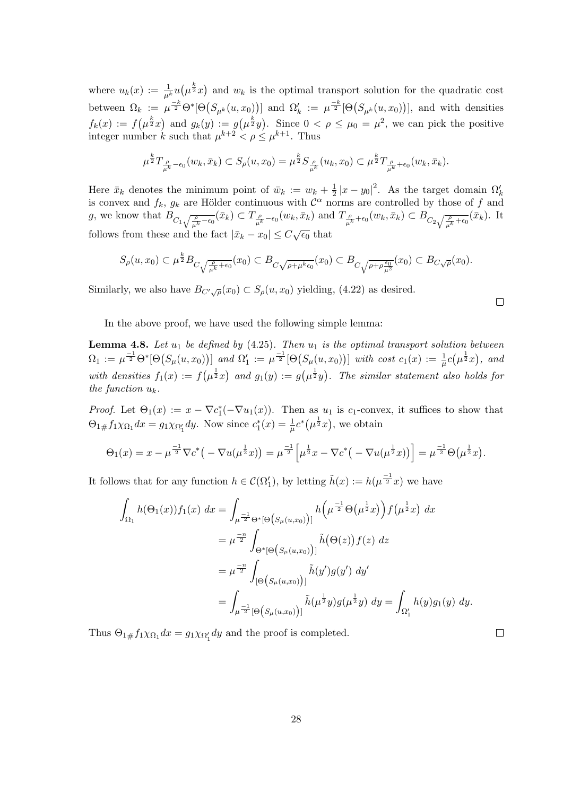where  $u_k(x) := \frac{1}{\mu^k} u(\mu^{\frac{k}{2}}x)$  and  $w_k$  is the optimal transport solution for the quadratic cost between  $\Omega_k := \mu^{\frac{-k}{2}} \Theta^* [\Theta(S_{\mu^k}(u, x_0))]$  and  $\Omega'_k := \mu^{\frac{-k}{2}} [\Theta(S_{\mu^k}(u, x_0))]$ , and with densities  $f_k(x) := f(\mu^{\frac{k}{2}}x)$  and  $g_k(y) := g(\mu^{\frac{k}{2}}y)$ . Since  $0 < \rho \leq \mu_0 = \mu^2$ , we can pick the positive integer number *k* such that  $\mu^{k+2} < \rho \le \mu^{k+1}$ . Thus

$$
\mu^{\frac{k}{2}}T_{\frac{\rho}{\mu^k}-\epsilon_0}(w_k,\bar{x}_k)\subset S_{\rho}(u,x_0)=\mu^{\frac{k}{2}}S_{\frac{\rho}{\mu^k}}(u_k,x_0)\subset \mu^{\frac{k}{2}}T_{\frac{\rho}{\mu^k}+\epsilon_0}(w_k,\bar{x}_k).
$$

Here  $\bar{x}_k$  denotes the minimum point of  $\bar{w}_k := w_k + \frac{1}{2}$  $\frac{1}{2} |x - y_0|^2$ . As the target domain  $\Omega'_k$ is convex and  $f_k$ ,  $g_k$  are Hölder continuous with  $\mathcal{C}^{\alpha}$  norms are controlled by those of f and g, we know that  $B_{C_1\sqrt{\frac{\rho}{\mu^k}}-\epsilon_0}(\bar{x}_k) \subset T_{\frac{\rho}{\mu^k}-\epsilon_0}(w_k,\bar{x}_k)$  and  $T_{\frac{\rho}{\mu^k}+\epsilon_0}(w_k,\bar{x}_k) \subset B_{C_2\sqrt{\frac{\rho}{\mu^k}+\epsilon_0}}(\bar{x}_k)$ . It follows from these and the fact  $|\bar{x}_k - x_0| \leq C \sqrt{\epsilon_0}$  that

$$
S_{\rho}(u,x_0) \subset \mu^{\frac{k}{2}} B_{C\sqrt{\frac{\rho}{\mu^{k}}+\epsilon_0}}(x_0) \subset B_{C\sqrt{\rho+\mu^{k}\epsilon_0}}(x_0) \subset B_{C\sqrt{\rho+\rho\frac{\epsilon_0}{\mu^2}}}(x_0) \subset B_{C\sqrt{\rho}}(x_0).
$$

Similarly, we also have  $B_{C'\sqrt{\rho}}(x_0) \subset S_{\rho}(u,x_0)$  yielding, (4.22) as desired.

 $\Box$ 

 $\Box$ 

In the above proof, we have used the following simple lemma:

**Lemma 4.8.** *Let u*<sup>1</sup> *be defined by* (4.25)*. Then u*<sup>1</sup> *is the optimal transport solution between*  $\Omega_1 := \mu^{\frac{-1}{2}} \Theta^* [\Theta(S_\mu(u, x_0))]$  and  $\Omega'_1 := \mu^{\frac{-1}{2}} [\Theta(S_\mu(u, x_0))]$  with cost  $c_1(x) := \frac{1}{\mu} c(\mu^{\frac{1}{2}} x)$ , and with densities  $f_1(x) := f(\mu^{\frac{1}{2}}x)$  and  $g_1(y) := g(\mu^{\frac{1}{2}}y)$ . The similar statement also holds for *the function uk.*

*Proof.* Let  $\Theta_1(x) := x - \nabla c_1^*(-\nabla u_1(x))$ . Then as  $u_1$  is *c*<sub>1</sub>-convex, it suffices to show that  $\Theta_{1\#} f_1 \chi_{\Omega_1} dx = g_1 \chi_{\Omega'_1} dy$ . Now since  $c_1^*(x) = \frac{1}{\mu} c^*(\mu^{\frac{1}{2}} x)$ , we obtain

$$
\Theta_1(x) = x - \mu^{\frac{-1}{2}} \nabla c^* \big( - \nabla u(\mu^{\frac{1}{2}} x) \big) = \mu^{\frac{-1}{2}} \Big[ \mu^{\frac{1}{2}} x - \nabla c^* \big( - \nabla u(\mu^{\frac{1}{2}} x) \big) \Big] = \mu^{\frac{-1}{2}} \Theta \big( \mu^{\frac{1}{2}} x \big).
$$

It follows that for any function  $h \in \mathcal{C}(\Omega'_1)$ , by letting  $\tilde{h}(x) := h(\mu^{\frac{-1}{2}}x)$  we have

$$
\int_{\Omega_1} h(\Theta_1(x)) f_1(x) dx = \int_{\mu \to 0} \int_{\Theta^*[\Theta(g_\mu(u, x_0))] } h(\mu \to 0) \left( \mu \to 0 \right) f(\mu \to x) dx
$$
  
\n
$$
= \mu \to 0 \qquad \int_{\Theta^*[\Theta(g_\mu(u, x_0))] } h(\Theta(z)) f(z) dz
$$
  
\n
$$
= \mu \to 0 \qquad \int_{[\Theta(g_\mu(u, x_0))] } \tilde{h}(y') g(y') dy'
$$
  
\n
$$
= \int_{\mu \to 0} \int_{\Theta(g_\mu(u, x_0))] } \tilde{h}(\mu \to 0) g(\mu \to 0) dy = \int_{\Omega'_1} h(y) g_1(y) dy.
$$

Thus  $\Theta_{1\#} f_1 \chi_{\Omega_1} dx = g_1 \chi_{\Omega'_1} dy$  and the proof is completed.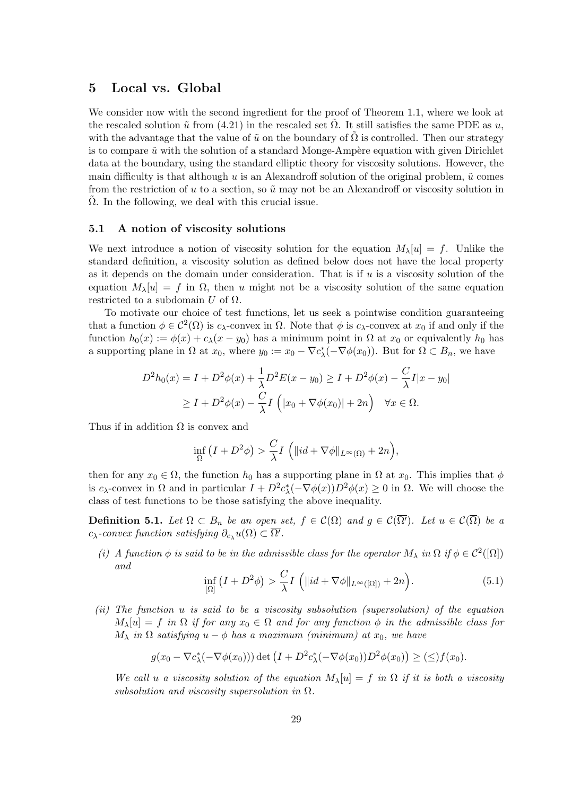## **5 Local vs. Global**

We consider now with the second ingredient for the proof of Theorem 1.1, where we look at the rescaled solution  $\tilde{u}$  from (4.21) in the rescaled set  $\Omega$ . It still satisfies the same PDE as  $u$ , with the advantage that the value of  $\tilde{u}$  on the boundary of  $\Omega$  is controlled. Then our strategy is to compare  $\tilde{u}$  with the solution of a standard Monge-Ampère equation with given Dirichlet data at the boundary, using the standard elliptic theory for viscosity solutions. However, the main difficulty is that although  $u$  is an Alexandroff solution of the original problem,  $\tilde{u}$  comes from the restriction of *u* to a section, so ˜*u* may not be an Alexandroff or viscosity solution in  $\Omega$ . In the following, we deal with this crucial issue.

### **5.1 A notion of viscosity solutions**

We next introduce a notion of viscosity solution for the equation  $M_\lambda[u] = f$ . Unlike the standard definition, a viscosity solution as defined below does not have the local property as it depends on the domain under consideration. That is if *u* is a viscosity solution of the equation  $M_{\lambda}[u] = f$  in  $\Omega$ , then *u* might not be a viscosity solution of the same equation restricted to a subdomain  $U$  of  $\Omega$ .

To motivate our choice of test functions, let us seek a pointwise condition guaranteeing that a function  $\phi \in C^2(\Omega)$  is *c*<sub> $\lambda$ </sub>-convex in  $\Omega$ . Note that  $\phi$  is *c*<sub> $\lambda$ </sub>-convex at *x*<sub>0</sub> if and only if the function  $h_0(x) := \phi(x) + c_\lambda(x - y_0)$  has a minimum point in  $\Omega$  at  $x_0$  or equivalently  $h_0$  has a supporting plane in  $\Omega$  at  $x_0$ , where  $y_0 := x_0 - \nabla c^*_{\lambda}(-\nabla \phi(x_0))$ . But for  $\Omega \subset B_n$ , we have

$$
D^{2}h_{0}(x) = I + D^{2}\phi(x) + \frac{1}{\lambda}D^{2}E(x - y_{0}) \geq I + D^{2}\phi(x) - \frac{C}{\lambda}I|x - y_{0}|
$$
  
 
$$
\geq I + D^{2}\phi(x) - \frac{C}{\lambda}I\left(|x_{0} + \nabla\phi(x_{0})| + 2n\right) \quad \forall x \in \Omega.
$$

Thus if in addition  $\Omega$  is convex and

$$
\inf_{\Omega} (I + D^2 \phi) > \frac{C}{\lambda} I \left( \|id + \nabla \phi\|_{L^{\infty}(\Omega)} + 2n \right),
$$

then for any  $x_0 \in \Omega$ , the function  $h_0$  has a supporting plane in  $\Omega$  at  $x_0$ . This implies that  $\phi$ is  $c_{\lambda}$ -convex in  $\Omega$  and in particular  $I + D^2 c_{\lambda}^* (-\nabla \phi(x)) D^2 \phi(x) \geq 0$  in  $\Omega$ . We will choose the class of test functions to be those satisfying the above inequality.

**Definition 5.1.** *Let*  $\Omega \subset B_n$  *be an open set,*  $f \in C(\Omega)$  *and*  $g \in C(\overline{\Omega'})$ *. Let*  $u \in C(\overline{\Omega})$  *be a*  $c_{\lambda}$ *-convex function satisfying*  $\partial_{c_{\lambda}}u(\Omega) \subset \Omega'$ *.* 

*(i) A* function  $\phi$  *is said to be in the admissible class for the operator*  $M_{\lambda}$  *in*  $\Omega$  *if*  $\phi \in C^2([0])$ *and*

$$
\inf_{\lbrack \Omega \rbrack} (I + D^2 \phi) > \frac{C}{\lambda} I \left( \|id + \nabla \phi \|_{L^\infty(\lbrack \Omega \rbrack)} + 2n \right). \tag{5.1}
$$

*(ii) The function u is said to be a viscosity subsolution (supersolution) of the equation*  $M_{\lambda}[u] = f$  *in*  $\Omega$  *if for any*  $x_0 \in \Omega$  *and for any function*  $\phi$  *in the admissible class for*  $M_{\lambda}$  *in*  $\Omega$  *satisfying*  $u - \phi$  *has a maximum (minimum) at*  $x_0$ *, we have* 

$$
g(x_0 - \nabla c_{\lambda}^*(-\nabla \phi(x_0))) \det (I + D^2 c_{\lambda}^*(-\nabla \phi(x_0))D^2 \phi(x_0)) \geq (\leq) f(x_0).
$$

*We call u a* viscosity solution of the equation  $M_{\lambda}[u] = f$  *in*  $\Omega$  *if it is both a viscosity subsolution and viscosity supersolution in* Ω*.*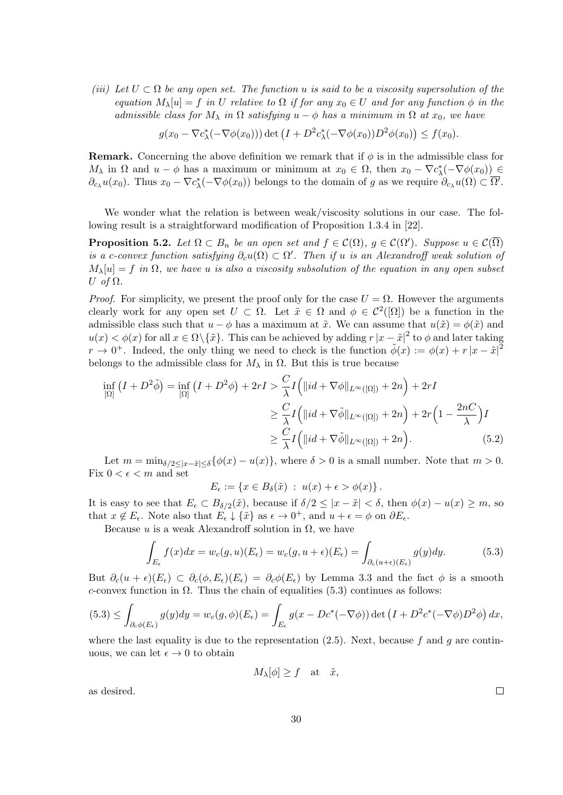*(iii)* Let  $U \subset \Omega$  be any open set. The function u is said to be a viscosity supersolution of the *equation*  $M_\lambda[u] = f$  *in U relative to*  $\Omega$  *if for any*  $x_0 \in U$  *and for any function*  $\phi$  *in the admissible class for*  $M_{\lambda}$  *in*  $\Omega$  *satisfying*  $u - \phi$  *has a minimum in*  $\Omega$  *at*  $x_0$ *, we have* 

$$
g(x_0 - \nabla c_{\lambda}^*(-\nabla \phi(x_0))) \det \left(I + D^2 c_{\lambda}^*(-\nabla \phi(x_0))D^2 \phi(x_0)\right) \le f(x_0).
$$

**Remark.** Concerning the above definition we remark that if  $\phi$  is in the admissible class for *M*<sub> $\lambda$ </sub> in  $\Omega$  and  $u - \phi$  has a maximum or minimum at  $x_0 \in \Omega$ , then  $x_0 - \nabla c^*_{\lambda}(-\nabla \phi(x_0))$   $\in$  $\partial_{c_\lambda}u(x_0)$ . Thus  $x_0 - \nabla c^*_\lambda(-\nabla\phi(x_0))$  belongs to the domain of g as we require  $\partial_{c_\lambda}u(\Omega) \subset \Omega'$ .

We wonder what the relation is between weak/viscosity solutions in our case. The following result is a straightforward modification of Proposition 1.3.4 in [22].

**Proposition 5.2.** *Let*  $\Omega \subset B_n$  *be an open set and*  $f \in C(\Omega)$ *,*  $g \in C(\Omega')$ *. Suppose*  $u \in C(\Omega)$ *is a c-convex function satisfying*  $\partial_c u(\Omega) \subset \Omega'$ . Then if *u is an Alexandroff weak solution of*  $M_{\lambda}[u] = f$  *in*  $\Omega$ *, we have u is also a viscosity subsolution of the equation in any open subset U of* Ω*.*

*Proof.* For simplicity, we present the proof only for the case  $U = \Omega$ . However the arguments clearly work for any open set  $U \subset \Omega$ . Let  $\tilde{x} \in \Omega$  and  $\phi \in C^2(\Omega)$  be a function in the admissible class such that  $u - \phi$  has a maximum at  $\tilde{x}$ . We can assume that  $u(\tilde{x}) = \phi(\tilde{x})$  and  $u(x) < \phi(x)$  for all  $x \in \Omega \setminus {\tilde{x}}$ . This can be achieved by adding  $r |x - \tilde{x}|^2$  to  $\phi$  and later taking  $r \to 0^+$ . Indeed, the only thing we need to check is the function  $\tilde{\phi}(x) := \phi(x) + r|x - \tilde{x}|^2$ belongs to the admissible class for  $M_{\lambda}$  in  $\Omega$ . But this is true because

$$
\inf_{\left[\Omega\right]} \left( I + D^2 \tilde{\phi} \right) = \inf_{\left[\Omega\right]} \left( I + D^2 \phi \right) + 2rI > \frac{C}{\lambda} I \left( \|id + \nabla \phi \|_{L^\infty(\left[\Omega\right])} + 2n \right) + 2rI
$$
\n
$$
\geq \frac{C}{\lambda} I \left( \|id + \nabla \tilde{\phi} \|_{L^\infty(\left[\Omega\right])} + 2n \right) + 2r \left( 1 - \frac{2nC}{\lambda} \right) I
$$
\n
$$
\geq \frac{C}{\lambda} I \left( \|id + \nabla \tilde{\phi} \|_{L^\infty(\left[\Omega\right])} + 2n \right). \tag{5.2}
$$

Let  $m = \min_{\delta/2 < |x - \tilde{x}| < \delta} \{\phi(x) - u(x)\},\$  where  $\delta > 0$  is a small number. Note that  $m > 0$ . Fix  $0 < \epsilon < m$  and set

$$
E_{\epsilon} := \{ x \in B_{\delta}(\tilde{x}) \; : \; u(x) + \epsilon > \phi(x) \}.
$$

It is easy to see that  $E_{\epsilon} \subset B_{\delta/2}(\tilde{x})$ , because if  $\delta/2 \leq |x - \tilde{x}| < \delta$ , then  $\phi(x) - u(x) \geq m$ , so that  $x \notin E_{\epsilon}$ . Note also that  $E_{\epsilon} \downarrow {\tilde{x}}$  as  $\epsilon \to 0^+$ , and  $u + \epsilon = \phi$  on  $\partial E_{\epsilon}$ .

Because  $u$  is a weak Alexandroff solution in  $\Omega$ , we have

$$
\int_{E_{\epsilon}} f(x)dx = w_c(g, u)(E_{\epsilon}) = w_c(g, u + \epsilon)(E_{\epsilon}) = \int_{\partial_c(u + \epsilon)(E_{\epsilon})} g(y)dy.
$$
\n(5.3)

But  $\partial_c(u+\epsilon)(E_\epsilon) \subset \partial_c(\phi, E_\epsilon)(E_\epsilon) = \partial_c\phi(E_\epsilon)$  by Lemma 3.3 and the fact  $\phi$  is a smooth *c*-convex function in  $\Omega$ . Thus the chain of equalities (5.3) continues as follows:

$$
(5.3) \leq \int_{\partial_c \phi(E_\epsilon)} g(y) dy = w_c(g, \phi)(E_\epsilon) = \int_{E_\epsilon} g(x - Dc^*(-\nabla \phi)) \det \left( I + D^2 c^*(-\nabla \phi) D^2 \phi \right) dx,
$$

where the last equality is due to the representation  $(2.5)$ . Next, because f and q are continuous, we can let  $\epsilon \to 0$  to obtain

$$
M_{\lambda}[\phi] \ge f \quad \text{at} \quad \tilde{x},
$$

as desired.

 $\Box$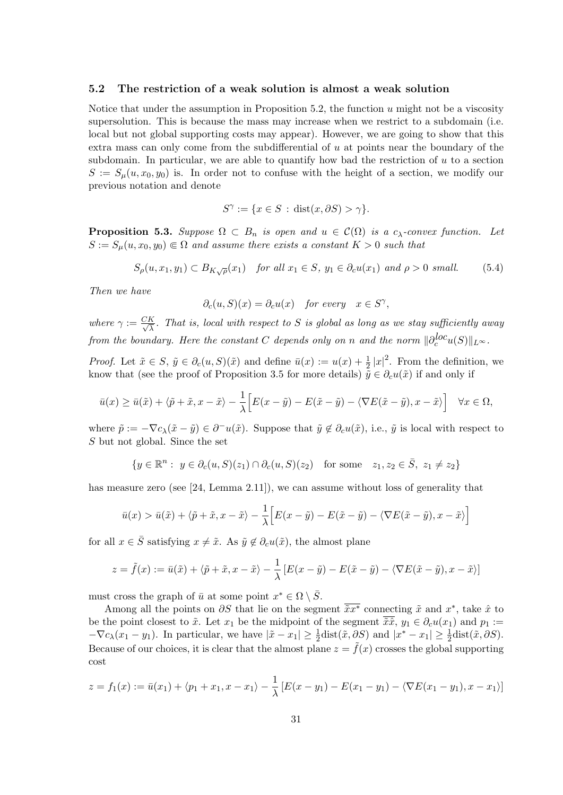#### **5.2 The restriction of a weak solution is almost a weak solution**

Notice that under the assumption in Proposition 5.2, the function *u* might not be a viscosity supersolution. This is because the mass may increase when we restrict to a subdomain (i.e. local but not global supporting costs may appear). However, we are going to show that this extra mass can only come from the subdifferential of *u* at points near the boundary of the subdomain. In particular, we are able to quantify how bad the restriction of *u* to a section  $S := S_\mu(u, x_0, y_0)$  is. In order not to confuse with the height of a section, we modify our previous notation and denote

$$
S^{\gamma} := \{ x \in S \, : \, \text{dist}(x, \partial S) > \gamma \}.
$$

**Proposition 5.3.** *Suppose*  $\Omega \subset B_n$  *is open and*  $u \in \mathcal{C}(\Omega)$  *is a c*<sub> $\lambda$ </sub>*-convex function. Let*  $S := S_u(u, x_0, y_0) \in \Omega$  *and assume there exists a constant*  $K > 0$  *such that* 

$$
S_{\rho}(u, x_1, y_1) \subset B_{K\sqrt{\rho}}(x_1) \quad \text{for all } x_1 \in S, y_1 \in \partial_c u(x_1) \text{ and } \rho > 0 \text{ small.} \tag{5.4}
$$

*Then we have*

$$
\partial_c(u, S)(x) = \partial_c u(x)
$$
 for every  $x \in S^{\gamma}$ ,

*where*  $\gamma := \frac{CK}{\sqrt{\lambda}}$ . That is, local with respect to S is global as long as we stay sufficiently away *from the boundary. Here the constant C depends only on n and the norm*  $\|\partial_c^{loc}u(S)\|_{L^\infty}$ .

*Proof.* Let  $\tilde{x} \in S$ ,  $\tilde{y} \in \partial_c(u, S)(\tilde{x})$  and define  $\bar{u}(x) := u(x) + \frac{1}{2}|x|^2$ . From the definition, we know that (see the proof of Proposition 3.5 for more details)  $\tilde{y} \in \partial_c u(\tilde{x})$  if and only if

$$
\bar{u}(x) \ge \bar{u}(\tilde{x}) + \langle \tilde{p} + \tilde{x}, x - \tilde{x} \rangle - \frac{1}{\lambda} \Big[ E(x - \tilde{y}) - E(\tilde{x} - \tilde{y}) - \langle \nabla E(\tilde{x} - \tilde{y}), x - \tilde{x} \rangle \Big] \quad \forall x \in \Omega,
$$

where  $\tilde{p} := -\nabla c_{\lambda}(\tilde{x} - \tilde{y}) \in \partial^{-}u(\tilde{x})$ . Suppose that  $\tilde{y} \notin \partial_{c}u(\tilde{x})$ , i.e.,  $\tilde{y}$  is local with respect to *S* but not global. Since the set

$$
\{y \in \mathbb{R}^n : y \in \partial_c(u, S)(z_1) \cap \partial_c(u, S)(z_2) \text{ for some } z_1, z_2 \in \overline{S}, z_1 \neq z_2\}
$$

has measure zero (see [24, Lemma 2.11]), we can assume without loss of generality that

$$
\bar{u}(x) > \bar{u}(\tilde{x}) + \langle \tilde{p} + \tilde{x}, x - \tilde{x} \rangle - \frac{1}{\lambda} \Big[ E(x - \tilde{y}) - E(\tilde{x} - \tilde{y}) - \langle \nabla E(\tilde{x} - \tilde{y}), x - \tilde{x} \rangle \Big]
$$

for all  $x \in \overline{S}$  satisfying  $x \neq \tilde{x}$ . As  $\tilde{y} \notin \partial_c u(\tilde{x})$ , the almost plane

$$
z = \tilde{f}(x) := \bar{u}(\tilde{x}) + \langle \tilde{p} + \tilde{x}, x - \tilde{x} \rangle - \frac{1}{\lambda} \left[ E(x - \tilde{y}) - E(\tilde{x} - \tilde{y}) - \langle \nabla E(\tilde{x} - \tilde{y}), x - \tilde{x} \rangle \right]
$$

must cross the graph of  $\bar{u}$  at some point  $x^* \in \Omega \setminus \bar{S}$ .

Among all the points on *∂S* that lie on the segment  $\tilde{x}x^*$  connecting  $\tilde{x}$  and  $x^*$ , take  $\hat{x}$  to be the point closest to  $\tilde{x}$ . Let  $x_1$  be the midpoint of the segment  $\overline{\tilde{x}}\tilde{x}$ ,  $y_1 \in \partial_c u(x_1)$  and  $p_1 :=$  $-\nabla c_{\lambda}(x_1 - y_1)$ . In particular, we have  $|\tilde{x} - x_1| \ge \frac{1}{2}$ dist $(\tilde{x}, \partial S)$  and  $|x^* - x_1| \ge \frac{1}{2}$ dist $(\tilde{x}, \partial S)$ . Because of our choices, it is clear that the almost plane  $z = \tilde{f}(x)$  crosses the global supporting cost

$$
z = f_1(x) := \bar{u}(x_1) + \langle p_1 + x_1, x - x_1 \rangle - \frac{1}{\lambda} \left[ E(x - y_1) - E(x_1 - y_1) - \langle \nabla E(x_1 - y_1), x - x_1 \rangle \right]
$$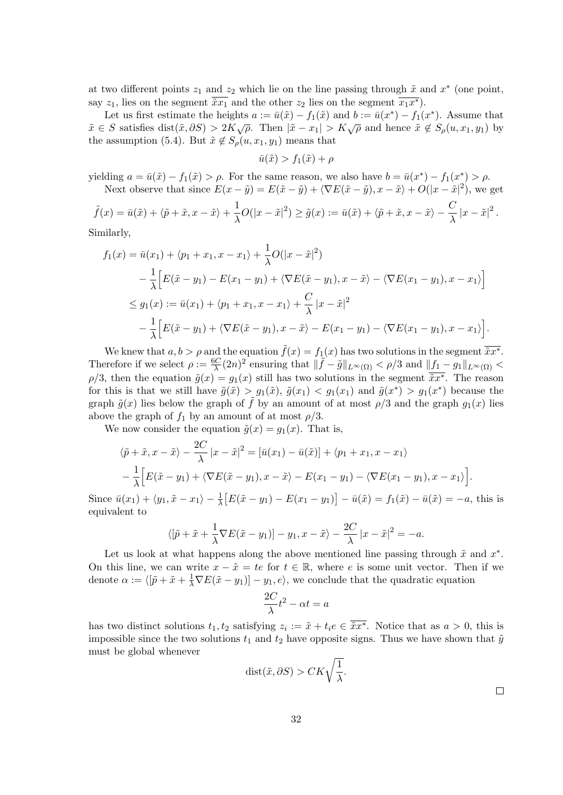at two different points  $z_1$  and  $z_2$  which lie on the line passing through  $\tilde{x}$  and  $x^*$  (one point, say  $z_1$ , lies on the segment  $\overline{\tilde{x}x_1}$  and the other  $z_2$  lies on the segment  $\overline{x_1x^*}$ ).

Let us first estimate the heights  $a := \bar{u}(\tilde{x}) - f_1(\tilde{x})$  and  $b := \bar{u}(x^*) - f_1(x^*)$ . Assume that  $\tilde{x} \in S$  satisfies  $dist(\tilde{x}, \partial S) > 2K\sqrt{\rho}$ . Then  $|\tilde{x} - x_1| > K\sqrt{\rho}$  and hence  $\tilde{x} \notin S_\rho(u, x_1, y_1)$  by the assumption (5.4). But  $\tilde{x} \notin S$ <sup> $o$ </sup> $(u, x_1, y_1)$  means that

$$
\bar{u}(\tilde{x}) > f_1(\tilde{x}) + \rho
$$

 $y$ ielding  $a = \bar{u}(\tilde{x}) - f_1(\tilde{x}) > \rho$ . For the same reason, we also have  $b = \bar{u}(x^*) - f_1(x^*) > \rho$ . Next observe that since  $E(x - \tilde{y}) = E(\tilde{x} - \tilde{y}) + \langle \nabla E(\tilde{x} - \tilde{y}), x - \tilde{x} \rangle + O(|x - \tilde{x}|^2)$ , we get

$$
\tilde{f}(x) = \bar{u}(\tilde{x}) + \langle \tilde{p} + \tilde{x}, x - \tilde{x} \rangle + \frac{1}{\lambda}O(|x - \tilde{x}|^2) \ge \tilde{g}(x) := \bar{u}(\tilde{x}) + \langle \tilde{p} + \tilde{x}, x - \tilde{x} \rangle - \frac{C}{\lambda} |x - \tilde{x}|^2.
$$

Similarly,

$$
f_1(x) = \bar{u}(x_1) + \langle p_1 + x_1, x - x_1 \rangle + \frac{1}{\lambda}O(|x - \tilde{x}|^2)
$$
  
\n
$$
- \frac{1}{\lambda} \Big[ E(\tilde{x} - y_1) - E(x_1 - y_1) + \langle \nabla E(\tilde{x} - y_1), x - \tilde{x} \rangle - \langle \nabla E(x_1 - y_1), x - x_1 \rangle \Big]
$$
  
\n
$$
\leq g_1(x) := \bar{u}(x_1) + \langle p_1 + x_1, x - x_1 \rangle + \frac{C}{\lambda} |x - \tilde{x}|^2
$$
  
\n
$$
- \frac{1}{\lambda} \Big[ E(\tilde{x} - y_1) + \langle \nabla E(\tilde{x} - y_1), x - \tilde{x} \rangle - E(x_1 - y_1) - \langle \nabla E(x_1 - y_1), x - x_1 \rangle \Big].
$$

We knew that  $a, b > \rho$  and the equation  $\tilde{f}(x) = f_1(x)$  has two solutions in the segment  $\overline{\tilde{x}x^*}$ . Therefore if we select  $\rho := \frac{6C}{\lambda}(2n)^2$  ensuring that  $\|\tilde{f} - \tilde{g}\|_{L^{\infty}(\Omega)} < \rho/3$  and  $\|f_1 - g_1\|_{L^{\infty}(\Omega)} <$  $\rho/3$ , then the equation  $\tilde{g}(x) = g_1(x)$  still has two solutions in the segment  $\tilde{x}x^*$ . The reason for this is that we still have  $\tilde{g}(\tilde{x}) > g_1(\tilde{x}), \tilde{g}(x_1) < g_1(x_1)$  and  $\tilde{g}(x^*) > g_1(x^*)$  because the graph  $\tilde{g}(x)$  lies below the graph of f by an amount of at most  $\rho/3$  and the graph  $g_1(x)$  lies above the graph of  $f_1$  by an amount of at most  $\rho/3$ .

We now consider the equation  $\tilde{g}(x) = g_1(x)$ . That is,

$$
\langle \tilde{p} + \tilde{x}, x - \tilde{x} \rangle - \frac{2C}{\lambda} |x - \tilde{x}|^2 = [\bar{u}(x_1) - \bar{u}(\tilde{x})] + \langle p_1 + x_1, x - x_1 \rangle
$$

$$
- \frac{1}{\lambda} \Big[ E(\tilde{x} - y_1) + \langle \nabla E(\tilde{x} - y_1), x - \tilde{x} \rangle - E(x_1 - y_1) - \langle \nabla E(x_1 - y_1), x - x_1 \rangle \Big].
$$

Since  $\bar{u}(x_1) + \langle y_1, \tilde{x} - x_1 \rangle - \frac{1}{\lambda} [E(\tilde{x} - y_1) - E(x_1 - y_1)] - \bar{u}(\tilde{x}) = f_1(\tilde{x}) - \bar{u}(\tilde{x}) = -a$ , this is equivalent to

$$
\langle [\tilde{p} + \tilde{x} + \frac{1}{\lambda} \nabla E(\tilde{x} - y_1)] - y_1, x - \tilde{x} \rangle - \frac{2C}{\lambda} |x - \tilde{x}|^2 = -a.
$$

Let us look at what happens along the above mentioned line passing through  $\tilde{x}$  and  $x^*$ . On this line, we can write  $x - \tilde{x} = te$  for  $t \in \mathbb{R}$ , where *e* is some unit vector. Then if we denote  $\alpha := \langle [\tilde{p} + \tilde{x} + \frac{1}{\lambda} \nabla E(\tilde{x} - y_1)] - y_1, e \rangle$ , we conclude that the quadratic equation

$$
\frac{2C}{\lambda}t^2 - \alpha t = a
$$

has two distinct solutions  $t_1, t_2$  satisfying  $z_i := \tilde{x} + t_i e \in \overline{\tilde{x}x^*}$ . Notice that as  $a > 0$ , this is impossible since the two solutions  $t_1$  and  $t_2$  have opposite signs. Thus we have shown that  $\tilde{y}$ must be global whenever

$$
dist(\tilde{x}, \partial S) > CK\sqrt{\frac{1}{\lambda}}.
$$

 $\sqcup$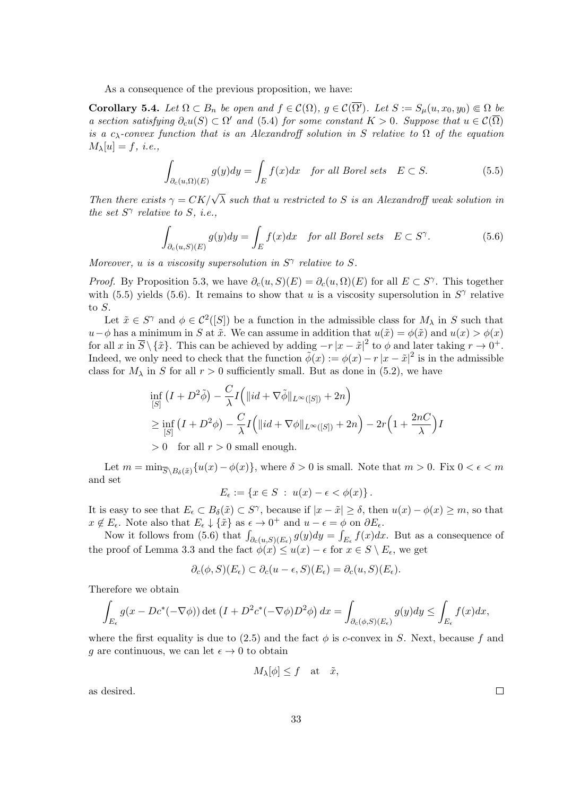As a consequence of the previous proposition, we have:

**Corollary 5.4.** *Let*  $\Omega \subset B_n$  *be open and*  $f \in \mathcal{C}(\Omega)$ *,*  $g \in \mathcal{C}(\overline{\Omega'})$ *. Let*  $S := S_u(u, x_0, y_0) \in \Omega$  *be a* section satisfying  $\partial_c u(S) \subset \Omega'$  and (5.4) for some constant  $K > 0$ . Suppose that  $u \in C(\Omega)$ *is a*  $c_{\lambda}$ -convex function that is an Alexandroff solution in *S* relative to  $\Omega$  of the equation  $M_{\lambda}[u] = f$ , *i.e.*,

$$
\int_{\partial_c(u,\Omega)(E)} g(y) dy = \int_E f(x) dx \quad \text{for all Borel sets} \quad E \subset S. \tag{5.5}
$$

*Then there exists*  $\gamma = CK/\sqrt{\lambda}$  *such that u restricted to S is an Alexandroff weak solution in the set*  $S^{\gamma}$  *relative to*  $S$ *, i.e.,* 

$$
\int_{\partial_c(u,S)(E)} g(y) dy = \int_E f(x) dx \quad \text{for all Borel sets} \quad E \subset S^\gamma. \tag{5.6}
$$

*Moreover, u is a viscosity supersolution in*  $S^{\gamma}$  *relative to*  $S$ *.* 

*Proof.* By Proposition 5.3, we have  $\partial_c(u, S)(E) = \partial_c(u, \Omega)(E)$  for all  $E \subset S^{\gamma}$ . This together with (5.5) yields (5.6). It remains to show that *u* is a viscosity supersolution in  $S^{\gamma}$  relative to *S*.

Let  $\tilde{x} \in S^{\gamma}$  and  $\phi \in C^{2}([S])$  be a function in the admissible class for  $M_{\lambda}$  in *S* such that *u*−*ϕ* has a minimum in *S* at  $\tilde{x}$ . We can assume in addition that  $u(\tilde{x}) = \phi(\tilde{x})$  and  $u(x) > \phi(x)$ for all *x* in  $\overline{S} \setminus {\{\tilde{x}\}}$ . This can be achieved by adding  $-r|x - \tilde{x}|^2$  to  $\phi$  and later taking  $r \to 0^+$ . Indeed, we only need to check that the function  $\tilde{\phi}(x) := \phi(x) - r|x - \tilde{x}|^2$  is in the admissible class for  $M_{\lambda}$  in *S* for all  $r > 0$  sufficiently small. But as done in (5.2), we have

$$
\inf_{[S]} (I + D^2 \tilde{\phi}) - \frac{C}{\lambda} I(|id + \nabla \tilde{\phi}||_{L^{\infty}([S])} + 2n)
$$
\n
$$
\geq \inf_{[S]} (I + D^2 \phi) - \frac{C}{\lambda} I(|id + \nabla \phi||_{L^{\infty}([S])} + 2n) - 2r \left(1 + \frac{2nC}{\lambda}\right)I
$$
\n
$$
> 0 \quad \text{for all } r > 0 \text{ small enough.}
$$

Let  $m = \min_{\overline{S} \setminus B_\delta(\tilde{x})} \{u(x) - \phi(x)\},\$  where  $\delta > 0$  is small. Note that  $m > 0$ . Fix  $0 < \epsilon < m$ and set

$$
E_{\epsilon} := \{ x \in S \; : \; u(x) - \epsilon < \phi(x) \} \, .
$$

It is easy to see that  $E_{\epsilon} \subset B_{\delta}(\tilde{x}) \subset S^{\gamma}$ , because if  $|x - \tilde{x}| \geq \delta$ , then  $u(x) - \phi(x) \geq m$ , so that  $x \notin E_{\epsilon}$ . Note also that  $E_{\epsilon} \downarrow {\hat{x}}$  as  $\epsilon \to 0^+$  and  $u - \epsilon = \phi$  on  $\partial E_{\epsilon}$ .

Now it follows from (5.6) that  $\int_{\partial_c(u,S)(E_\epsilon)} g(y) dy = \int_{E_\epsilon} f(x) dx$ . But as a consequence of the proof of Lemma 3.3 and the fact  $\phi(x) \leq u(x) - \epsilon$  for  $x \in S \setminus E_{\epsilon}$ , we get

$$
\partial_c(\phi, S)(E_{\epsilon}) \subset \partial_c(u-\epsilon, S)(E_{\epsilon}) = \partial_c(u, S)(E_{\epsilon}).
$$

Therefore we obtain

$$
\int_{E_{\epsilon}} g(x - Dc^*(-\nabla \phi)) \det \left( I + D^2 c^*(-\nabla \phi) D^2 \phi \right) dx = \int_{\partial_c(\phi, S)(E_{\epsilon})} g(y) dy \le \int_{E_{\epsilon}} f(x) dx,
$$

where the first equality is due to  $(2.5)$  and the fact  $\phi$  is *c*-convex in *S*. Next, because *f* and *g* are continuous, we can let  $\epsilon \to 0$  to obtain

$$
M_{\lambda}[\phi] \le f \quad \text{at} \quad \tilde{x},
$$

as desired.

 $\Box$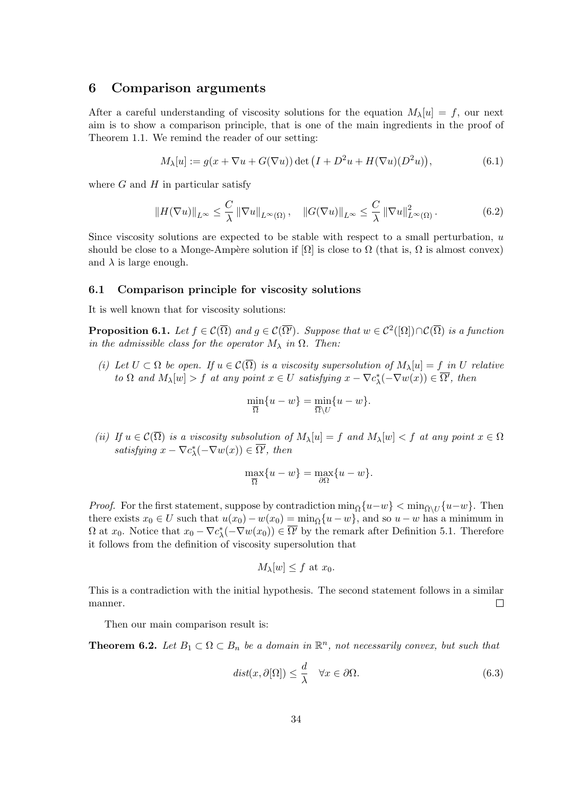### **6 Comparison arguments**

After a careful understanding of viscosity solutions for the equation  $M_\lambda[u] = f$ , our next aim is to show a comparison principle, that is one of the main ingredients in the proof of Theorem 1.1. We remind the reader of our setting:

$$
M_{\lambda}[u] := g(x + \nabla u + G(\nabla u)) \det \left( I + D^2 u + H(\nabla u)(D^2 u) \right), \tag{6.1}
$$

where *G* and *H* in particular satisfy

$$
||H(\nabla u)||_{L^{\infty}} \leq \frac{C}{\lambda} ||\nabla u||_{L^{\infty}(\Omega)}, \quad ||G(\nabla u)||_{L^{\infty}} \leq \frac{C}{\lambda} ||\nabla u||_{L^{\infty}(\Omega)}^{2}.
$$
 (6.2)

Since viscosity solutions are expected to be stable with respect to a small perturbation, *u* should be close to a Monge-Ampère solution if  $[\Omega]$  is close to  $\Omega$  (that is,  $\Omega$  is almost convex) and  $\lambda$  is large enough.

#### **6.1 Comparison principle for viscosity solutions**

It is well known that for viscosity solutions:

**Proposition 6.1.** *Let*  $f \in \mathcal{C}(\overline{\Omega})$  *and*  $g \in \mathcal{C}(\overline{\Omega'})$ *. Suppose that*  $w \in \mathcal{C}^2([\Omega]) \cap \mathcal{C}(\overline{\Omega})$  *is a function in the admissible class for the operator*  $M_{\lambda}$  *in*  $\Omega$ *. Then:* 

*(i) Let U ⊂* Ω *be open. If u ∈ C*(Ω) *is a viscosity supersolution of Mλ*[*u*] = *f in U relative* to  $\Omega$  and  $M_{\lambda}[w] > f$  at any point  $x \in U$  satisfying  $x - \nabla c_{\lambda}^*(-\nabla w(x)) \in \Omega'$ , then

$$
\min_{\overline{\Omega}} \{u - w\} = \min_{\overline{\Omega} \setminus U} \{u - w\}.
$$

*(ii) If*  $u \in \mathcal{C}(\overline{\Omega})$  *is a viscosity subsolution of*  $M_{\lambda}[u] = f$  *and*  $M_{\lambda}[w] < f$  *at any point*  $x \in \Omega$  $satisfying \ x - \nabla c^*_{\lambda}(-\nabla w(x)) \in \Omega'$ , then

$$
\max_{\overline{\Omega}} \{u - w\} = \max_{\partial \Omega} \{u - w\}.
$$

*Proof.* For the first statement, suppose by contradiction  $\min_{\bar{\Omega}} \{u - w\} < \min_{\bar{\Omega} \setminus U} \{u - w\}$ . Then there exists  $x_0 \in U$  such that  $u(x_0) - w(x_0) = \min_{\overline{\Omega}} \{u - w\}$ , and so  $u - w$  has a minimum in  $\Omega$  at  $x_0$ . Notice that  $x_0 - \nabla c^*_{\lambda}(-\nabla w(x_0)) \in \Omega'$  by the remark after Definition 5.1. Therefore it follows from the definition of viscosity supersolution that

$$
M_{\lambda}[w] \leq f
$$
 at  $x_0$ .

This is a contradiction with the initial hypothesis. The second statement follows in a similar manner.  $\Box$ 

Then our main comparison result is:

**Theorem 6.2.** *Let*  $B_1 \subset \Omega \subset B_n$  *be a domain in*  $\mathbb{R}^n$ *, not necessarily convex, but such that* 

$$
dist(x, \partial[\Omega]) \le \frac{d}{\lambda} \quad \forall x \in \partial\Omega.
$$
 (6.3)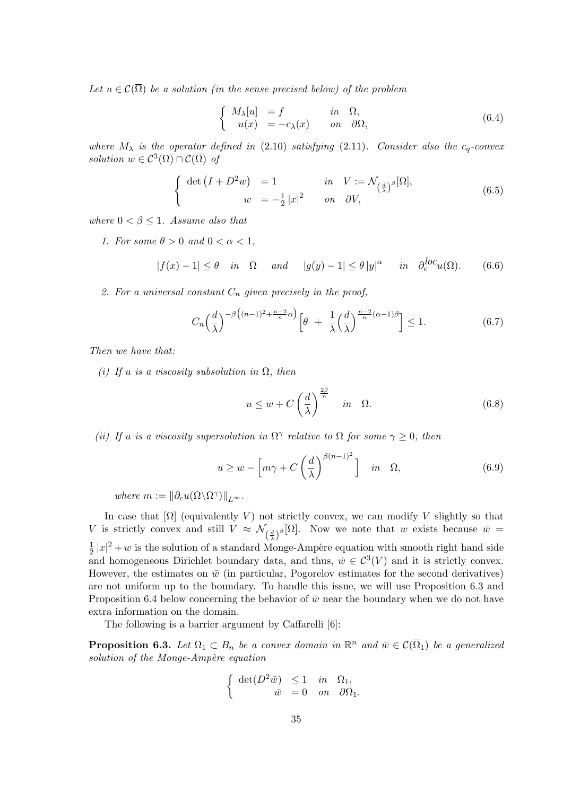*Let*  $u \in \mathcal{C}(\overline{\Omega})$  *be a solution (in the sense precised below) of the problem* 

$$
\begin{cases}\nM_{\lambda}[u] = f & \text{in } \Omega, \\
u(x) = -c_{\lambda}(x) & \text{on } \partial\Omega,\n\end{cases}
$$
\n(6.4)

*where*  $M_{\lambda}$  *is the operator defined in* (2.10) *satisfying* (2.11)*. Consider also the*  $c_q$ -convex *solution*  $w \in C^3(\Omega) \cap C(\overline{\Omega})$  *of* 

$$
\begin{cases} \det(I + D^2 w) = 1 & \text{in} \quad V := \mathcal{N}_{\left(\frac{d}{\lambda}\right)^{\beta}}[\Omega], \\ w = -\frac{1}{2}|x|^2 & \text{on} \quad \partial V, \end{cases} \tag{6.5}
$$

*where*  $0 < \beta \leq 1$ *. Assume also that* 

*1.* For some  $\theta > 0$  and  $0 < \alpha < 1$ ,

$$
|f(x) - 1| \le \theta \quad in \quad \Omega \quad \text{and} \quad |g(y) - 1| \le \theta \, |y|^\alpha \quad \text{in} \quad \partial_c^{loc} u(\Omega). \tag{6.6}
$$

*2. For a universal constant C<sup>n</sup> given precisely in the proof,*

$$
C_n\left(\frac{d}{\lambda}\right)^{-\beta\left((n-1)^2 + \frac{n-2}{n}\alpha\right)} \left[\theta + \frac{1}{\lambda}\left(\frac{d}{\lambda}\right)^{\frac{n-2}{n}(\alpha-1)\beta}\right] \le 1. \tag{6.7}
$$

*Then we have that:*

*(i)* If *u is a viscosity subsolution in*  $\Omega$ *, then* 

$$
u \le w + C \left(\frac{d}{\lambda}\right)^{\frac{2\beta}{n}} \quad in \quad \Omega. \tag{6.8}
$$

*(ii) If u is a viscosity supersolution in*  $\Omega^{\gamma}$  *relative to*  $\Omega$  *for some*  $\gamma \geq 0$ *, then* 

$$
u \ge w - \left[ m\gamma + C \left( \frac{d}{\lambda} \right)^{\beta(n-1)^2} \right] \quad in \quad \Omega,
$$
\n(6.9)

 $where m := ||\partial_c u(\Omega \setminus \Omega^{\gamma})||_{L^{\infty}}.$ 

In case that  $[\Omega]$  (equivalently *V*) not strictly convex, we can modify *V* slightly so that *V* is strictly convex and still  $V \approx \mathcal{N}_{(\frac{d}{\lambda})^{\beta}}[\Omega]$ . Now we note that *w* exists because  $\bar{w} =$ 1  $\frac{1}{2} |x|^2 + w$  is the solution of a standard Monge-Ampère equation with smooth right hand side and homogeneous Dirichlet boundary data, and thus,  $\bar{w} \in C^3(V)$  and it is strictly convex. However, the estimates on  $\bar{w}$  (in particular, Pogorelov estimates for the second derivatives) are not uniform up to the boundary. To handle this issue, we will use Proposition 6.3 and Proposition 6.4 below concerning the behavior of  $\bar{w}$  near the boundary when we do not have extra information on the domain.

The following is a barrier argument by Caffarelli [6]:

**Proposition 6.3.** *Let*  $\Omega_1 \subset B_n$  *be a convex domain in*  $\mathbb{R}^n$  *and*  $\bar{w} \in C(\overline{\Omega}_1)$  *be a generalized solution of the Monge-Amp`ere equation*

$$
\left\{\begin{array}{rcl}\det(D^2\bar{w})&\leq 1&\text{in}&\Omega_1,\\ \bar{w}&=0&\text{on}&\partial\Omega_1.\end{array}\right.
$$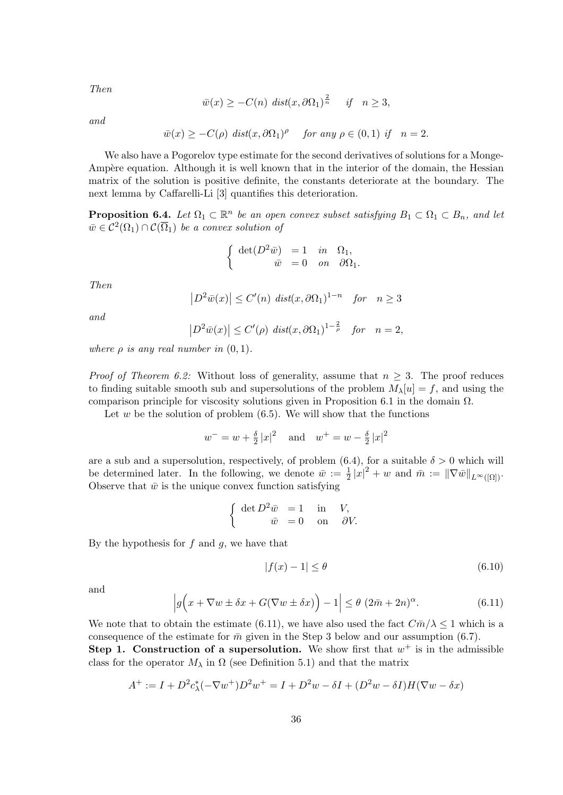*Then*

$$
\overline{w}(x) \geq -C(n) \operatorname{dist}(x, \partial \Omega_1)^{\frac{2}{n}} \quad \text{if} \quad n \geq 3,
$$

*and*

$$
\overline{w}(x) \geq -C(\rho) \text{ dist}(x, \partial \Omega_1)^\rho \text{ for any } \rho \in (0, 1) \text{ if } n = 2.
$$

We also have a Pogorelov type estimate for the second derivatives of solutions for a Monge-Ampère equation. Although it is well known that in the interior of the domain, the Hessian matrix of the solution is positive definite, the constants deteriorate at the boundary. The next lemma by Caffarelli-Li [3] quantifies this deterioration.

**Proposition 6.4.** *Let*  $\Omega_1 \subset \mathbb{R}^n$  *be an open convex subset satisfying*  $B_1 \subset \Omega_1 \subset B_n$ *, and let*  $\bar{w} \in C^2(\Omega_1) \cap C(\overline{\Omega}_1)$  *be a convex solution of* 

$$
\begin{cases} \det(D^2 \bar{w}) = 1 & in \quad \Omega_1, \\ \bar{w} = 0 & on \quad \partial \Omega_1. \end{cases}
$$

*Then*

$$
\left|D^2\bar{w}(x)\right| \le C'(n) \ \text{dist}(x,\partial\Omega_1)^{1-n} \quad \text{for} \quad n \ge 3
$$

*and*

$$
\left|D^2\bar{w}(x)\right| \le C'(\rho) \ \text{dist}(x,\partial\Omega_1)^{1-\frac{2}{\rho}} \quad \text{for} \quad n=2,
$$

*where*  $\rho$  *is any real number in*  $(0,1)$ *.* 

*Proof of Theorem 6.2:* Without loss of generality, assume that  $n \geq 3$ . The proof reduces to finding suitable smooth sub and supersolutions of the problem  $M_\lambda[u] = f$ , and using the comparison principle for viscosity solutions given in Proposition 6.1 in the domain  $\Omega$ .

Let  $w$  be the solution of problem  $(6.5)$ . We will show that the functions

$$
w^{-} = w + \frac{\delta}{2} |x|^2
$$
 and  $w^{+} = w - \frac{\delta}{2} |x|^2$ 

are a sub and a supersolution, respectively, of problem  $(6.4)$ , for a suitable  $\delta > 0$  which will be determined later. In the following, we denote  $\bar{w} := \frac{1}{2} |x|^2 + w$  and  $\bar{m} := ||\nabla \bar{w}||_{L^{\infty}([\Omega])}$ . Observe that  $\bar{w}$  is the unique convex function satisfying

$$
\begin{cases} \det D^2 \bar{w} = 1 & \text{in} \quad V, \\ \bar{w} = 0 & \text{on} \quad \partial V. \end{cases}
$$

By the hypothesis for *f* and *g*, we have that

$$
|f(x) - 1| \le \theta \tag{6.10}
$$

and

$$
\left| g\Big(x + \nabla w \pm \delta x + G(\nabla w \pm \delta x)\Big) - 1 \right| \le \theta \ (2\bar{m} + 2n)^{\alpha}.
$$
 (6.11)

We note that to obtain the estimate (6.11), we have also used the fact  $C\bar{m}/\lambda \leq 1$  which is a consequence of the estimate for  $\bar{m}$  given in the Step 3 below and our assumption (6.7).

**Step 1. Construction of a supersolution.** We show first that  $w^+$  is in the admissible class for the operator  $M_{\lambda}$  in  $\Omega$  (see Definition 5.1) and that the matrix

$$
A^{+} := I + D^{2} c_{\lambda}^{*} (-\nabla w^{+}) D^{2} w^{+} = I + D^{2} w - \delta I + (D^{2} w - \delta I) H (\nabla w - \delta x)
$$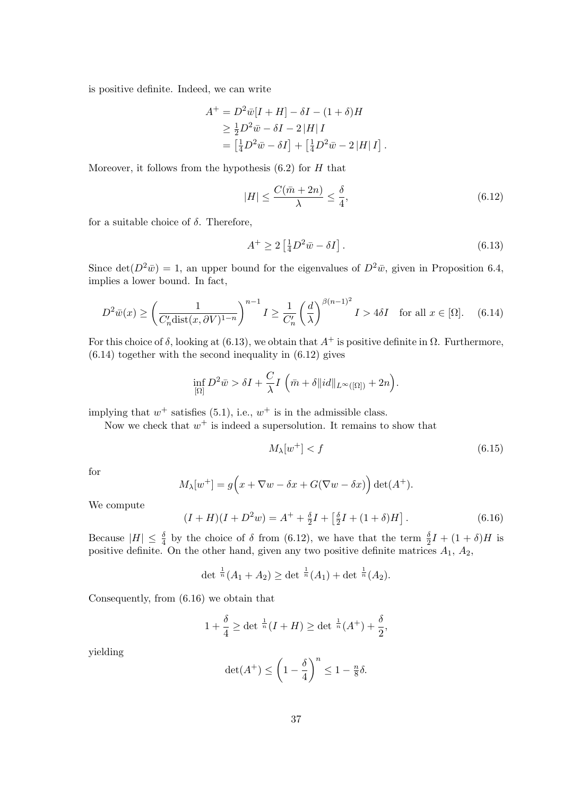is positive definite. Indeed, we can write

$$
A^+ = D^2 \overline{w}[I + H] - \delta I - (1 + \delta)H
$$
  
\n
$$
\geq \frac{1}{2} D^2 \overline{w} - \delta I - 2|H|I
$$
  
\n
$$
= \left[\frac{1}{4} D^2 \overline{w} - \delta I\right] + \left[\frac{1}{4} D^2 \overline{w} - 2|H|I\right]
$$

Moreover, it follows from the hypothesis (6.2) for *H* that

$$
|H| \le \frac{C(\bar{m} + 2n)}{\lambda} \le \frac{\delta}{4},\tag{6.12}
$$

*.*

for a suitable choice of  $\delta$ . Therefore,

$$
A^+ \ge 2\left[\frac{1}{4}D^2\bar{w} - \delta I\right].\tag{6.13}
$$

Since det( $D^2\bar{w}$ ) = 1, an upper bound for the eigenvalues of  $D^2\bar{w}$ , given in Proposition 6.4, implies a lower bound. In fact,

$$
D^2 \bar{w}(x) \ge \left(\frac{1}{C'_n \text{dist}(x, \partial V)^{1-n}}\right)^{n-1} I \ge \frac{1}{C'_n} \left(\frac{d}{\lambda}\right)^{\beta(n-1)^2} I > 4\delta I \quad \text{for all } x \in [\Omega]. \tag{6.14}
$$

For this choice of  $\delta$ , looking at (6.13), we obtain that  $A^+$  is positive definite in  $\Omega$ . Furthermore,  $(6.14)$  together with the second inequality in  $(6.12)$  gives

$$
\inf_{\left[\Omega\right]} D^2 \bar{w} > \delta I + \frac{C}{\lambda} I\left(\bar{m} + \delta \|id\|_{L^\infty(\left[\Omega\right])} + 2n\right).
$$

implying that  $w^+$  satisfies (5.1), i.e.,  $w^+$  is in the admissible class.

Now we check that  $w^+$  is indeed a supersolution. It remains to show that

$$
M_{\lambda}[w^{+}] < f \tag{6.15}
$$

for

$$
M_{\lambda}[w^{+}] = g(x + \nabla w - \delta x + G(\nabla w - \delta x)) \det(A^{+}).
$$

We compute

$$
(I+H)(I+D2w) = A+ + \frac{\delta}{2}I + \left[\frac{\delta}{2}I + (1+\delta)H\right].
$$
 (6.16)

Because  $|H| \leq \frac{\delta}{4}$  by the choice of  $\delta$  from (6.12), we have that the term  $\frac{\delta}{2}I + (1+\delta)H$  is positive definite. On the other hand, given any two positive definite matrices *A*1, *A*2,

$$
\det \frac{1}{n}(A_1 + A_2) \ge \det \frac{1}{n}(A_1) + \det \frac{1}{n}(A_2).
$$

Consequently, from (6.16) we obtain that

$$
1 + \frac{\delta}{4} \ge \det^{\frac{1}{n}} (I + H) \ge \det^{\frac{1}{n}} (A^+) + \frac{\delta}{2},
$$

yielding

$$
\det(A^+) \le \left(1 - \frac{\delta}{4}\right)^n \le 1 - \frac{n}{8}\delta.
$$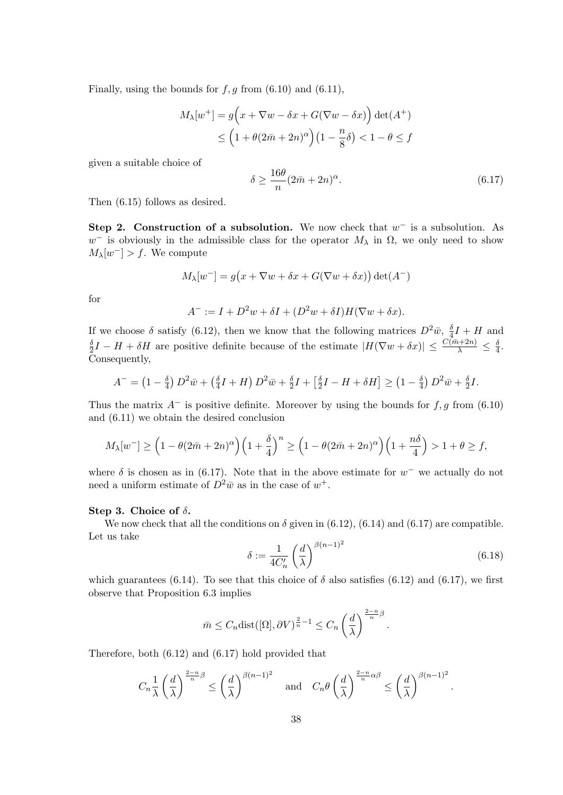Finally, using the bounds for  $f, g$  from  $(6.10)$  and  $(6.11)$ ,

$$
M_{\lambda}[w^{+}] = g(x + \nabla w - \delta x + G(\nabla w - \delta x)) \det(A^{+})
$$
  
\$\leq \left(1 + \theta(2\bar{m} + 2n)^{\alpha}\right)(1 - \frac{n}{8}\delta) < 1 - \theta \leq f\$

given a suitable choice of

$$
\delta \ge \frac{16\theta}{n}(2\bar{m} + 2n)^{\alpha}.\tag{6.17}
$$

Then (6.15) follows as desired.

**Step 2. Construction of a subsolution.** We now check that *w −* is a subsolution. As  $w^-$  is obviously in the admissible class for the operator  $M_\lambda$  in  $\Omega$ , we only need to show  $M_{\lambda}[w^{-}] > f$ . We compute

$$
M_{\lambda}[w^{-}] = g(x + \nabla w + \delta x + G(\nabla w + \delta x)) \det(A^{-})
$$

for

$$
A^- := I + D^2 w + \delta I + (D^2 w + \delta I) H (\nabla w + \delta x).
$$

If we choose  $\delta$  satisfy (6.12), then we know that the following matrices  $D^2\bar{w}$ ,  $\frac{\delta}{4}$  $\frac{\delta}{4}I + H$  and *δ*  $\frac{\delta}{2}I - H + \delta H$  are positive definite because of the estimate  $|H(\nabla w + \delta x)| \leq \frac{C(\bar{m}+2n)}{\lambda} \leq \frac{\delta}{4}$  $\frac{\delta}{4}$ . Consequently,

$$
A^{-} = \left(1 - \frac{\delta}{4}\right)D^{2}\bar{w} + \left(\frac{\delta}{4}I + H\right)D^{2}\bar{w} + \frac{\delta}{2}I + \left[\frac{\delta}{2}I - H + \delta H\right] \geq \left(1 - \frac{\delta}{4}\right)D^{2}\bar{w} + \frac{\delta}{2}I.
$$

Thus the matrix *A−* is positive definite. Moreover by using the bounds for *f, g* from (6.10) and (6.11) we obtain the desired conclusion

$$
M_{\lambda}[w^{-}] \ge \left(1 - \theta(2\bar{m} + 2n)^{\alpha}\right) \left(1 + \frac{\delta}{4}\right)^{n} \ge \left(1 - \theta(2\bar{m} + 2n)^{\alpha}\right) \left(1 + \frac{n\delta}{4}\right) > 1 + \theta \ge f,
$$

where  $\delta$  is chosen as in (6.17). Note that in the above estimate for  $w^-$  we actually do not need a uniform estimate of  $D^2\bar{w}$  as in the case of  $w^+$ .

#### **Step 3. Choice of** *δ***.**

We now check that all the conditions on  $\delta$  given in (6.12), (6.14) and (6.17) are compatible. Let us take

$$
\delta := \frac{1}{4C'_n} \left(\frac{d}{\lambda}\right)^{\beta(n-1)^2} \tag{6.18}
$$

*.*

which guarantees (6.14). To see that this choice of  $\delta$  also satisfies (6.12) and (6.17), we first observe that Proposition 6.3 implies

$$
\bar{m} \leq C_n \text{dist}([\Omega], \partial V)^{\frac{2}{n}-1} \leq C_n \left(\frac{d}{\lambda}\right)^{\frac{2-n}{n}\beta}.
$$

Therefore, both (6.12) and (6.17) hold provided that

$$
C_n \frac{1}{\lambda} \left(\frac{d}{\lambda}\right)^{\frac{2-n}{n}\beta} \le \left(\frac{d}{\lambda}\right)^{\beta(n-1)^2} \quad \text{and} \quad C_n \theta \left(\frac{d}{\lambda}\right)^{\frac{2-n}{n}\alpha\beta} \le \left(\frac{d}{\lambda}\right)^{\beta(n-1)^2}
$$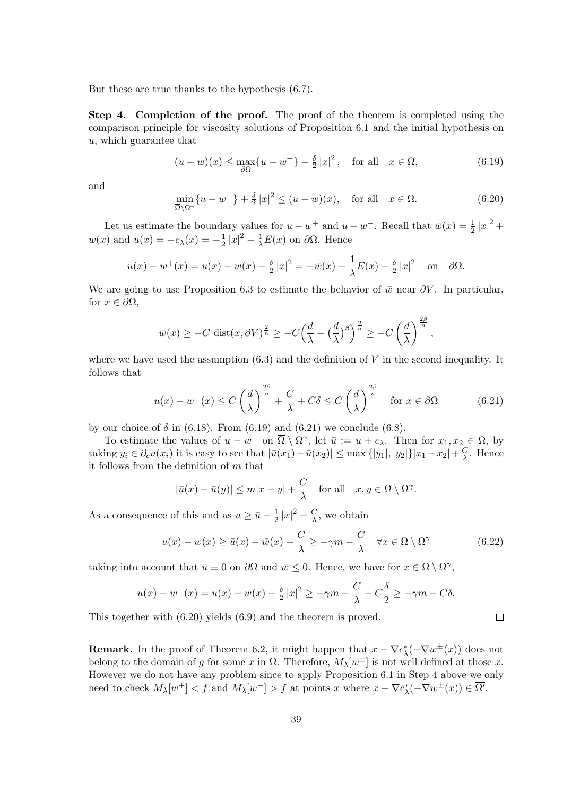But these are true thanks to the hypothesis (6.7).

**Step 4. Completion of the proof.** The proof of the theorem is completed using the comparison principle for viscosity solutions of Proposition 6.1 and the initial hypothesis on *u*, which guarantee that

$$
(u-w)(x) \le \max_{\partial \Omega} \{u - w^+\} - \frac{\delta}{2} |x|^2, \quad \text{for all} \quad x \in \Omega,
$$
\n
$$
(6.19)
$$

and

$$
\min_{\overline{\Omega}\setminus\Omega^{\gamma}} \{u - w^{-}\} + \frac{\delta}{2} |x|^2 \le (u - w)(x), \quad \text{for all} \quad x \in \Omega. \tag{6.20}
$$

Let us estimate the boundary values for  $u - w^+$  and  $u - w^-$ . Recall that  $\bar{w}(x) = \frac{1}{2} |x|^2 + w^+$  $w(x)$  and  $u(x) = -c_{\lambda}(x) = -\frac{1}{2}$  $\frac{1}{2}|x|^2 - \frac{1}{\lambda}E(x)$  on  $\partial\Omega$ . Hence

$$
u(x) - w^{+}(x) = u(x) - w(x) + \frac{\delta}{2}|x|^{2} = -\bar{w}(x) - \frac{1}{\lambda}E(x) + \frac{\delta}{2}|x|^{2} \text{ on } \partial\Omega.
$$

We are going to use Proposition 6.3 to estimate the behavior of  $\bar{w}$  near  $\partial V$ . In particular, for  $x \in \partial\Omega$ ,

$$
\bar{w}(x) \ge -C \operatorname{dist}(x, \partial V)^{\frac{2}{n}} \ge -C\Big(\frac{d}{\lambda} + \Big(\frac{d}{\lambda}\Big)^{\beta}\Big)^{\frac{2}{n}} \ge -C\left(\frac{d}{\lambda}\right)^{\frac{2\beta}{n}}
$$

where we have used the assumption  $(6.3)$  and the definition of *V* in the second inequality. It follows that

$$
u(x) - w^{+}(x) \le C\left(\frac{d}{\lambda}\right)^{\frac{2\beta}{n}} + \frac{C}{\lambda} + C\delta \le C\left(\frac{d}{\lambda}\right)^{\frac{2\beta}{n}} \quad \text{for } x \in \partial\Omega \tag{6.21}
$$

*,*

 $\Box$ 

by our choice of  $\delta$  in (6.18). From (6.19) and (6.21) we conclude (6.8).

To estimate the values of  $u - w^-$  on  $\overline{\Omega} \setminus \Omega^{\gamma}$ , let  $\overline{u} := u + c_{\lambda}$ . Then for  $x_1, x_2 \in \Omega$ , by taking  $y_i \in \partial_c u(x_i)$  it is easy to see that  $|\bar{u}(x_1) - \bar{u}(x_2)| \leq \max\{|y_1|, |y_2|\}|x_1 - x_2| + \frac{C}{\lambda}$ *λ* . Hence it follows from the definition of *m* that

$$
|\bar{u}(x) - \bar{u}(y)| \le m|x - y| + \frac{C}{\lambda} \quad \text{for all} \quad x, y \in \Omega \setminus \Omega^{\gamma}.
$$

As a consequence of this and as  $u \geq \bar{u} - \frac{1}{2}$  $\frac{1}{2}|x|^2 - \frac{C}{\lambda}$  $\frac{C}{\lambda}$ , we obtain

$$
u(x) - w(x) \ge \bar{u}(x) - \bar{w}(x) - \frac{C}{\lambda} \ge -\gamma m - \frac{C}{\lambda} \quad \forall x \in \Omega \setminus \Omega^{\gamma}
$$
\n(6.22)

taking into account that  $\bar{u} \equiv 0$  on  $\partial\Omega$  and  $\bar{w} \leq 0$ . Hence, we have for  $x \in \overline{\Omega} \setminus \Omega^{\gamma}$ ,

$$
u(x) - w^{-}(x) = u(x) - w(x) - \frac{\delta}{2}|x|^2 \ge -\gamma m - \frac{C}{\lambda} - C\frac{\delta}{2} \ge -\gamma m - C\delta.
$$

This together with (6.20) yields (6.9) and the theorem is proved.

**Remark.** In the proof of Theorem 6.2, it might happen that  $x - \nabla c^*_{\lambda}(-\nabla w^{\pm}(x))$  does not belong to the domain of *g* for some *x* in  $\Omega$ . Therefore,  $M_{\lambda}[w^{\pm}]$  is not well defined at those *x*. However we do not have any problem since to apply Proposition 6.1 in Step 4 above we only need to check  $M_{\lambda}[w^{+}] < f$  and  $M_{\lambda}[w^{-}] > f$  at points x where  $x - \nabla c_{\lambda}^{*}(-\nabla w^{\pm}(x)) \in \overline{\Omega'}$ .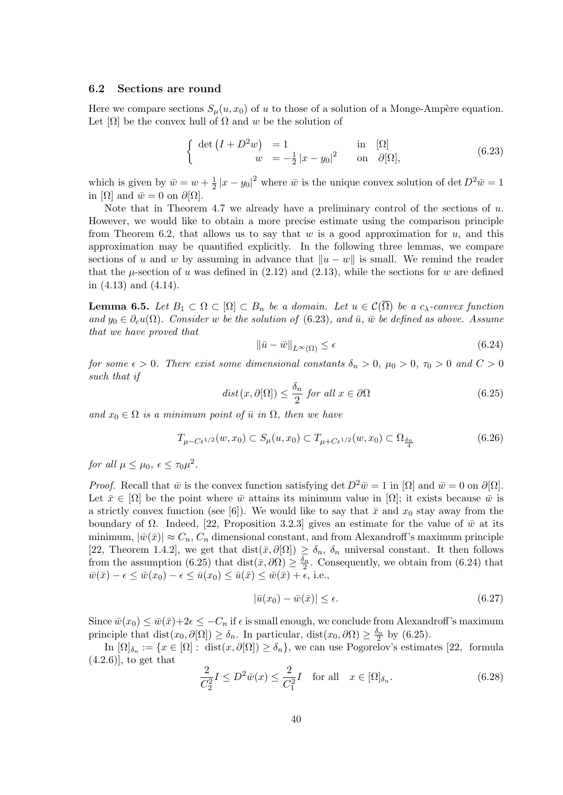### **6.2 Sections are round**

Here we compare sections  $S_\mu(u, x_0)$  of *u* to those of a solution of a Monge-Ampère equation. Let  $[\Omega]$  be the convex hull of  $\Omega$  and w be the solution of

$$
\begin{cases} \det(I + D^2 w) = 1 & \text{in} \quad [\Omega] \\ w = -\frac{1}{2}|x - y_0|^2 & \text{on} \quad \partial[\Omega], \end{cases}
$$
 (6.23)

which is given by  $\bar{w} = w + \frac{1}{2}$  $\frac{1}{2}|x-y_0|^2$  where  $\bar{w}$  is the unique convex solution of det  $D^2\bar{w}=1$ in  $[\Omega]$  and  $\bar{w} = 0$  on  $\partial[\Omega]$ .

Note that in Theorem 4.7 we already have a preliminary control of the sections of *u*. However, we would like to obtain a more precise estimate using the comparison principle from Theorem 6.2, that allows us to say that *w* is a good approximation for *u*, and this approximation may be quantified explicitly. In the following three lemmas, we compare sections of *u* and *w* by assuming in advance that  $||u - w||$  is small. We remind the reader that the  $\mu$ -section of *u* was defined in (2.12) and (2.13), while the sections for *w* are defined in (4.13) and (4.14).

**Lemma 6.5.** *Let B*<sub>1</sub> *⊂*  $Ω$  *⊂*  $[Ω]$  *⊂ B<sub>n</sub> be a domain. Let*  $u ∈ C(\overline{Ω})$  *be a c<sub>λ</sub>-convex function*  $\partial_{\mathcal{U}} u = \partial_{\mathcal{U}} u(\Omega)$ . Consider *w* be the solution of (6.23), and  $\bar{u}$ ,  $\bar{w}$  be defined as above. Assume *that we have proved that*

$$
\|\bar{u} - \bar{w}\|_{L^{\infty}(\Omega)} \le \epsilon \tag{6.24}
$$

*for some*  $\epsilon > 0$ *. There exist some dimensional constants*  $\delta_n > 0$ ,  $\mu_0 > 0$ ,  $\tau_0 > 0$  and  $C > 0$ *such that if*

$$
dist(x, \partial[\Omega]) \le \frac{\delta_n}{2} \text{ for all } x \in \partial\Omega \tag{6.25}
$$

 $\{and \ x_0 \in \Omega \text{ is a minimum point of } \bar{u} \text{ in } \Omega, \text{ then we have}$ 

$$
T_{\mu - C\epsilon^{1/2}}(w, x_0) \subset S_{\mu}(u, x_0) \subset T_{\mu + C\epsilon^{1/2}}(w, x_0) \subset \Omega_{\frac{\delta_n}{4}}
$$
(6.26)

*for all*  $\mu \leq \mu_0, \ \epsilon \leq \tau_0 \mu^2$ .

*Proof.* Recall that  $\bar{w}$  is the convex function satisfying det  $D^2\bar{w} = 1$  in  $[\Omega]$  and  $\bar{w} = 0$  on  $\partial[\Omega]$ . Let  $\bar{x} \in [\Omega]$  be the point where  $\bar{w}$  attains its minimum value in  $[\Omega]$ ; it exists because  $\bar{w}$  is a strictly convex function (see [6]). We would like to say that  $\bar{x}$  and  $x_0$  stay away from the boundary of  $\Omega$ . Indeed, [22, Proposition 3.2.3] gives an estimate for the value of  $\bar{w}$  at its minimum,  $|\bar{w}(\bar{x})| \approx C_n$ ,  $C_n$  dimensional constant, and from Alexandroff's maximum principle [22, Theorem 1.4.2], we get that  $dist(\bar{x}, \partial[\Omega]) \geq \delta_n$ ,  $\delta_n$  universal constant. It then follows from the assumption (6.25) that dist $(\bar{x}, \partial \Omega) \geq \frac{\delta_n}{2}$ . Consequently, we obtain from (6.24) that  $\overline{w}(\overline{x}) - \epsilon \leq \overline{w}(x_0) - \epsilon \leq \overline{u}(x_0) \leq \overline{u}(\overline{x}) \leq \overline{w}(\overline{x}) + \epsilon$ , i.e.,

$$
|\bar{u}(x_0) - \bar{w}(\bar{x})| \le \epsilon. \tag{6.27}
$$

Since  $\bar{w}(x_0) \leq \bar{w}(\bar{x}) + 2\epsilon \leq -C_n$  if  $\epsilon$  is small enough, we conclude from Alexandroff's maximum principle that  $dist(x_0, \partial[\Omega]) \ge \delta_n$ . In particular,  $dist(x_0, \partial\Omega) \ge \frac{\delta_n}{2}$  by (6.25).

In  $[\Omega]_{\delta_n} := \{x \in [\Omega] : \text{dist}(x, \partial[\Omega]) \ge \delta_n\}$ , we can use Pogorelov's estimates [22, formula  $(4.2.6)$ , to get that

$$
\frac{2}{C_2^2}I \le D^2\bar{w}(x) \le \frac{2}{C_1^2}I \quad \text{for all} \quad x \in [\Omega]_{\delta_n}.\tag{6.28}
$$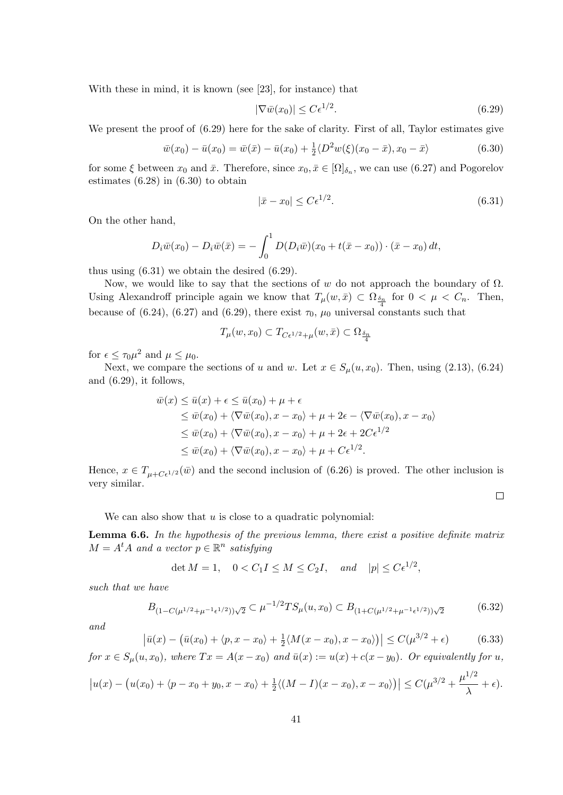With these in mind, it is known (see [23], for instance) that

$$
|\nabla \bar{w}(x_0)| \le C\epsilon^{1/2}.\tag{6.29}
$$

We present the proof of  $(6.29)$  here for the sake of clarity. First of all, Taylor estimates give

$$
\bar{w}(x_0) - \bar{u}(x_0) = \bar{w}(\bar{x}) - \bar{u}(x_0) + \frac{1}{2} \langle D^2 w(\xi)(x_0 - \bar{x}), x_0 - \bar{x} \rangle \tag{6.30}
$$

for some  $\xi$  between  $x_0$  and  $\bar{x}$ . Therefore, since  $x_0, \bar{x} \in [\Omega]_{\delta_n}$ , we can use (6.27) and Pogorelov estimates (6.28) in (6.30) to obtain

$$
|\bar{x} - x_0| \le C\epsilon^{1/2}.\tag{6.31}
$$

On the other hand,

$$
D_i \bar{w}(x_0) - D_i \bar{w}(\bar{x}) = -\int_0^1 D(D_i \bar{w})(x_0 + t(\bar{x} - x_0)) \cdot (\bar{x} - x_0) dt,
$$

thus using (6.31) we obtain the desired (6.29).

Now, we would like to say that the sections of *w* do not approach the boundary of  $\Omega$ . Using Alexandroff principle again we know that  $T_\mu(w,\bar{x}) \subset \Omega_{\frac{\delta_n}{4}}$  for  $0 < \mu < C_n$ . Then, because of (6.24), (6.27) and (6.29), there exist  $\tau_0$ ,  $\mu_0$  universal constants such that

$$
T_{\mu}(w, x_0) \subset T_{C\epsilon^{1/2} + \mu}(w, \bar{x}) \subset \Omega_{\frac{\delta_n}{4}}
$$

for  $\epsilon \leq \tau_0 \mu^2$  and  $\mu \leq \mu_0$ .

Next, we compare the sections of *u* and *w*. Let  $x \in S_\mu(u, x_0)$ . Then, using (2.13), (6.24) and (6.29), it follows,

$$
\overline{w}(x) \leq \overline{u}(x) + \epsilon \leq \overline{u}(x_0) + \mu + \epsilon
$$
\n
$$
\leq \overline{w}(x_0) + \langle \nabla \overline{w}(x_0), x - x_0 \rangle + \mu + 2\epsilon - \langle \nabla \overline{w}(x_0), x - x_0 \rangle
$$
\n
$$
\leq \overline{w}(x_0) + \langle \nabla \overline{w}(x_0), x - x_0 \rangle + \mu + 2\epsilon + 2C\epsilon^{1/2}
$$
\n
$$
\leq \overline{w}(x_0) + \langle \nabla \overline{w}(x_0), x - x_0 \rangle + \mu + C\epsilon^{1/2}.
$$

Hence,  $x \in T_{\mu+C\epsilon^{1/2}}(\bar{w})$  and the second inclusion of (6.26) is proved. The other inclusion is very similar.

 $\Box$ 

We can also show that *u* is close to a quadratic polynomial:

**Lemma 6.6.** *In the hypothesis of the previous lemma, there exist a positive definite matrix*  $M = A<sup>t</sup>A$  *and a vector*  $p \in \mathbb{R}^n$  *satisfying* 

$$
\det M = 1, \quad 0 < C_1 I \le M \le C_2 I, \quad \text{and} \quad |p| \le C \epsilon^{1/2},
$$

*such that we have*

$$
B_{(1-C(\mu^{1/2}+\mu^{-1}\epsilon^{1/2}))\sqrt{2}} \subset \mu^{-1/2}TS_{\mu}(u,x_0) \subset B_{(1+C(\mu^{1/2}+\mu^{-1}\epsilon^{1/2}))\sqrt{2}}
$$
(6.32)

*and*

$$
\left|\bar{u}(x) - \left(\bar{u}(x_0) + \langle p, x - x_0 \rangle + \frac{1}{2} \langle M(x - x_0), x - x_0 \rangle\right)\right| \le C(\mu^{3/2} + \epsilon)
$$
 (6.33)

for  $x \in S_\mu(u, x_0)$ , where  $Tx = A(x - x_0)$  and  $\bar{u}(x) := u(x) + c(x - y_0)$ . Or equivalently for u,

$$
\left| u(x) - \left( u(x_0) + \langle p - x_0 + y_0, x - x_0 \rangle + \frac{1}{2} \langle (M - I)(x - x_0), x - x_0 \rangle \right) \right| \leq C(\mu^{3/2} + \frac{\mu^{1/2}}{\lambda} + \epsilon).
$$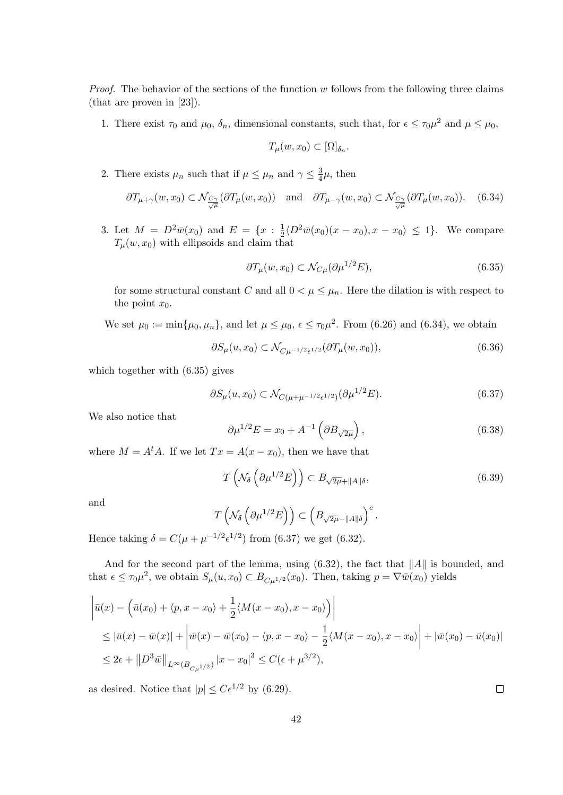*Proof.* The behavior of the sections of the function *w* follows from the following three claims (that are proven in [23]).

1. There exist  $\tau_0$  and  $\mu_0$ ,  $\delta_n$ , dimensional constants, such that, for  $\epsilon \leq \tau_0 \mu^2$  and  $\mu \leq \mu_0$ ,

$$
T_{\mu}(w,x_0) \subset [\Omega]_{\delta_n}.
$$

2. There exists  $\mu_n$  such that if  $\mu \leq \mu_n$  and  $\gamma \leq \frac{3}{4}$  $\frac{3}{4}\mu$ , then

$$
\partial T_{\mu+\gamma}(w,x_0) \subset \mathcal{N}_{\frac{C\gamma}{\sqrt{\mu}}}(\partial T_{\mu}(w,x_0)) \quad \text{and} \quad \partial T_{\mu-\gamma}(w,x_0) \subset \mathcal{N}_{\frac{C\gamma}{\sqrt{\mu}}}(\partial T_{\mu}(w,x_0)). \tag{6.34}
$$

3. Let  $M = D^2 \bar{w}(x_0)$  and  $E = \{x : \frac{1}{2}\}$  $\frac{1}{2} \langle D^2 \bar{w}(x_0)(x - x_0), x - x_0 \rangle \leq 1$ . We compare  $T_\mu(w, x_0)$  with ellipsoids and claim that

$$
\partial T_{\mu}(w, x_0) \subset \mathcal{N}_{C\mu}(\partial \mu^{1/2} E),\tag{6.35}
$$

for some structural constant *C* and all  $0 < \mu \leq \mu_n$ . Here the dilation is with respect to the point  $x_0$ .

We set  $\mu_0 := \min{\mu_0, \mu_n}$ , and let  $\mu \leq \mu_0$ ,  $\epsilon \leq \tau_0 \mu^2$ . From (6.26) and (6.34), we obtain

$$
\partial S_{\mu}(u,x_0) \subset \mathcal{N}_{C\mu^{-1/2}\epsilon^{1/2}}(\partial T_{\mu}(w,x_0)),\tag{6.36}
$$

which together with (6.35) gives

$$
\partial S_{\mu}(u, x_0) \subset \mathcal{N}_{C(\mu + \mu^{-1/2} \epsilon^{1/2})}(\partial \mu^{1/2} E). \tag{6.37}
$$

We also notice that

$$
\partial \mu^{1/2} E = x_0 + A^{-1} \left( \partial B_{\sqrt{2\mu}} \right), \tag{6.38}
$$

where  $M = A<sup>t</sup>A$ . If we let  $Tx = A(x - x_0)$ , then we have that

$$
T\left(\mathcal{N}_{\delta}\left(\partial\mu^{1/2}E\right)\right) \subset B_{\sqrt{2\mu}+\|A\|\delta},\tag{6.39}
$$

and

$$
T\left(\mathcal{N}_{\delta}\left(\partial\mu^{1/2}E\right)\right)\subset\left(B_{\sqrt{2\mu}-\|A\|\delta}\right)^{c}.
$$

Hence taking  $\delta = C(\mu + \mu^{-1/2} \epsilon^{1/2})$  from (6.37) we get (6.32).

And for the second part of the lemma, using (6.32), the fact that *∥A∥* is bounded, and that  $\epsilon \leq \tau_0 \mu^2$ , we obtain  $S_\mu(u, x_0) \subset B_{C\mu^{1/2}}(x_0)$ . Then, taking  $p = \nabla \bar{w}(x_0)$  yields

$$
\begin{aligned}\n\left| \bar{u}(x) - \left( \bar{u}(x_0) + \langle p, x - x_0 \rangle + \frac{1}{2} \langle M(x - x_0), x - x_0 \rangle \right) \right| \\
&\leq |\bar{u}(x) - \bar{w}(x)| + \left| \bar{w}(x) - \bar{w}(x_0) - \langle p, x - x_0 \rangle - \frac{1}{2} \langle M(x - x_0), x - x_0 \rangle \right| + |\bar{w}(x_0) - \bar{u}(x_0)| \\
&\leq 2\epsilon + ||D^3 \bar{w}||_{L^{\infty}(B_{C\mu^{1/2}})} |x - x_0|^3 \leq C(\epsilon + \mu^{3/2}),\n\end{aligned}
$$

as desired. Notice that  $|p| \leq C\epsilon^{1/2}$  by (6.29).

 $\Box$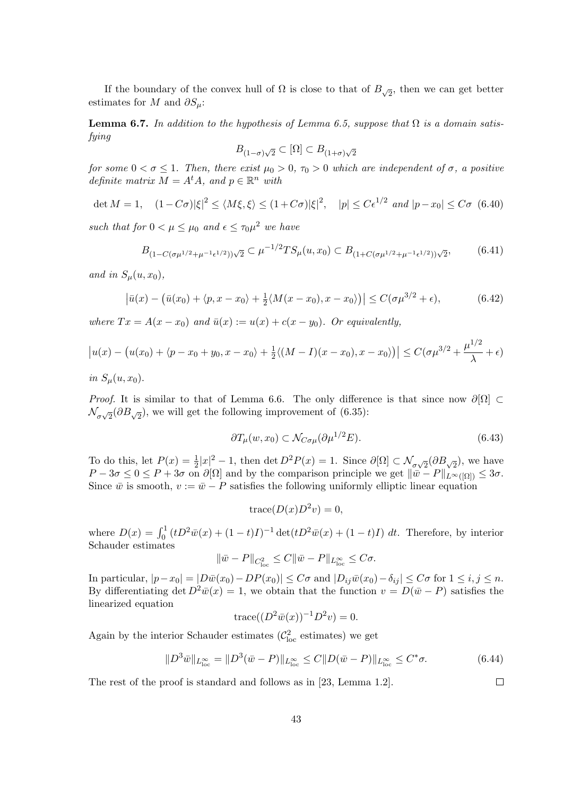If the boundary of the convex hull of  $\Omega$  is close to that of  $B_{\sqrt{2}}$ , then we can get better estimates for *M* and  $\partial S_\mu$ :

**Lemma 6.7.** In addition to the hypothesis of Lemma 6.5, suppose that  $\Omega$  is a domain satis*fying*

$$
B_{(1-\sigma)\sqrt{2}}\subset [\Omega]\subset B_{(1+\sigma)\sqrt{2}}
$$

*for some*  $0 < \sigma \leq 1$ *. Then, there exist*  $\mu_0 > 0$ *,*  $\tau_0 > 0$  *which are independent of*  $\sigma$ *, a positive definite matrix*  $M = A^t A$ *, and*  $p \in \mathbb{R}^n$  *with* 

$$
\det M = 1, \quad (1 - C\sigma)|\xi|^2 \le \langle M\xi, \xi \rangle \le (1 + C\sigma)|\xi|^2, \quad |p| \le C\epsilon^{1/2} \text{ and } |p - x_0| \le C\sigma \tag{6.40}
$$

*such that for*  $0 < \mu \leq \mu_0$  *and*  $\epsilon \leq \tau_0 \mu^2$  *we have* 

$$
B_{(1-C(\sigma\mu^{1/2}+\mu^{-1}\epsilon^{1/2}))\sqrt{2}} \subset \mu^{-1/2}TS_{\mu}(u,x_0) \subset B_{(1+C(\sigma\mu^{1/2}+\mu^{-1}\epsilon^{1/2}))\sqrt{2}},\tag{6.41}
$$

and in  $S_u(u, x_0)$ ,

$$
\left|\bar{u}(x) - \left(\bar{u}(x_0) + \langle p, x - x_0 \rangle + \frac{1}{2} \langle M(x - x_0), x - x_0 \rangle\right)\right| \le C(\sigma \mu^{3/2} + \epsilon),\tag{6.42}
$$

*where*  $Tx = A(x - x_0)$  *and*  $\bar{u}(x) := u(x) + c(x - y_0)$ *. Or equivalently,* 

$$
\left| u(x) - \left( u(x_0) + \langle p - x_0 + y_0, x - x_0 \rangle + \frac{1}{2} \langle (M - I)(x - x_0), x - x_0 \rangle \right) \right| \le C(\sigma \mu^{3/2} + \frac{\mu^{1/2}}{\lambda} + \epsilon)
$$

*in*  $S_u(u, x_0)$ .

*Proof.* It is similar to that of Lemma 6.6. The only difference is that since now  $\partial[\Omega]$  ⊂  $\mathcal{N}_{\sigma\sqrt{2}}(\partial B_{\sqrt{2}})$ , we will get the following improvement of (6.35):

$$
\partial T_{\mu}(w, x_0) \subset \mathcal{N}_{C\sigma\mu}(\partial \mu^{1/2} E). \tag{6.43}
$$

1*/*2

 $\Box$ 

To do this, let  $P(x) = \frac{1}{2}|x|^2 - 1$ , then det  $D^2P(x) = 1$ . Since  $\partial[\Omega] \subset \mathcal{N}_{\sigma\sqrt{2}}(\partial B_{\sqrt{2}})$ , we have  $P - 3\sigma \leq 0 \leq P + 3\sigma$  on  $\partial[\Omega]$  and by the comparison principle we get  $\|\bar{w} - P\|_{L^{\infty}([\Omega])} \leq 3\sigma$ . Since  $\bar{w}$  is smooth,  $v := \bar{w} - P$  satisfies the following uniformly elliptic linear equation

$$
\operatorname{trace}(D(x)D^2v) = 0,
$$

where  $D(x) = \int_0^1 (tD^2 \bar{w}(x) + (1-t)I)^{-1} \det(tD^2 \bar{w}(x) + (1-t)I) dt$ . Therefore, by interior Schauder estimates

$$
\|\bar{w} - P\|_{C^2_{loc}} \le C \|\bar{w} - P\|_{L^{\infty}_{loc}} \le C\sigma.
$$

In particular,  $|p-x_0|=|D\bar{w}(x_0)-DP(x_0)|\leq C\sigma$  and  $|D_{ij}\bar{w}(x_0)-\delta_{ij}|\leq C\sigma$  for  $1\leq i,j\leq n$ . By differentiating det  $D^2\bar{w}(x) = 1$ , we obtain that the function  $v = D(\bar{w} - P)$  satisfies the linearized equation

$$
\operatorname{trace}((D^2\bar{w}(x))^{-1}D^2v) = 0.
$$

Again by the interior Schauder estimates  $(\mathcal{C}^2_{\text{loc}})$  estimates) we get

$$
||D^3\bar{w}||_{L^{\infty}_{loc}} = ||D^3(\bar{w} - P)||_{L^{\infty}_{loc}} \le C||D(\bar{w} - P)||_{L^{\infty}_{loc}} \le C^*\sigma.
$$
\n(6.44)

The rest of the proof is standard and follows as in [23, Lemma 1.2].

43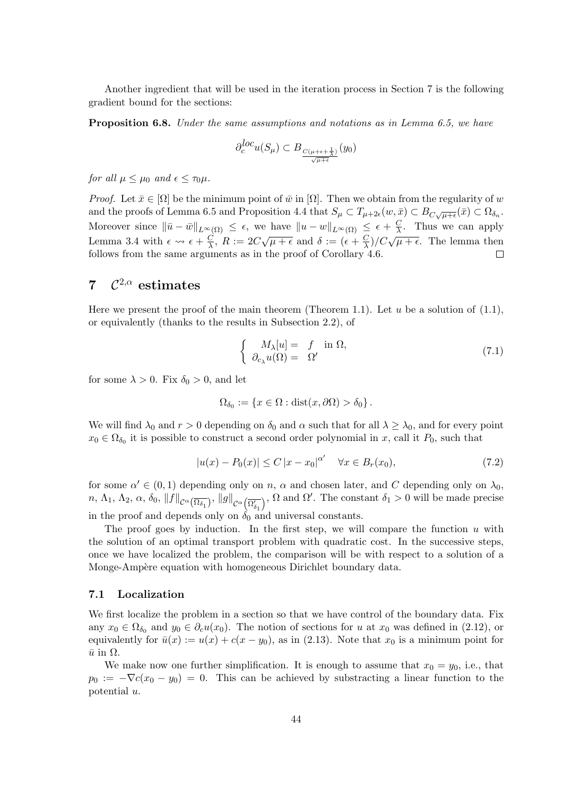Another ingredient that will be used in the iteration process in Section 7 is the following gradient bound for the sections:

**Proposition 6.8.** *Under the same assumptions and notations as in Lemma 6.5, we have*

$$
\partial^{loc}_{c}u(S_{\mu})\subset B_{\frac{C(\mu+\epsilon+\frac{1}{\lambda})}{\sqrt{\mu+\epsilon}}}(y_0)
$$

*for all*  $\mu \leq \mu_0$  *and*  $\epsilon \leq \tau_0 \mu$ .

*Proof.* Let  $\bar{x} \in [\Omega]$  be the minimum point of  $\bar{w}$  in  $[\Omega]$ . Then we obtain from the regularity of  $w$ and the proofs of Lemma 6.5 and Proposition 4.4 that  $S_{\mu} \subset T_{\mu+2\epsilon}(w,\bar{x}) \subset B_{C\sqrt{\mu+\epsilon}}(\bar{x}) \subset \Omega_{\delta_n}$ . Moreover since  $||\bar{u} - \bar{w}||_{L^{\infty}(\Omega)} \leq \epsilon$ , we have  $||u - w||_{L^{\infty}(\Omega)} \leq \epsilon + \frac{C}{\lambda}$  $\frac{C}{\lambda}$ . Thus we can apply *√*  $\frac{C}{\lambda}$ )/ $C\sqrt{\mu+\epsilon}$ . The lemma then Lemma 3.4 with  $\epsilon \rightarrow \epsilon + \frac{C}{\lambda}$  $\frac{C}{\lambda}$ ,  $R := 2C\sqrt{\mu + \epsilon}$  and  $\delta := (\epsilon + \frac{C}{\lambda})$ follows from the same arguments as in the proof of Corollary 4.6.  $\Box$ 

#### **7** *C* <sup>2</sup>*,α* **estimates**

Here we present the proof of the main theorem (Theorem 1.1). Let *u* be a solution of (1.1), or equivalently (thanks to the results in Subsection 2.2), of

$$
\begin{cases}\nM_{\lambda}[u] = f \text{ in } \Omega, \\
\partial_{c_{\lambda}} u(\Omega) = \Omega'\n\end{cases} (7.1)
$$

for some  $\lambda > 0$ . Fix  $\delta_0 > 0$ , and let

$$
\Omega_{\delta_0} := \{ x \in \Omega : \text{dist}(x, \partial \Omega) > \delta_0 \}.
$$

We will find  $\lambda_0$  and  $r > 0$  depending on  $\delta_0$  and  $\alpha$  such that for all  $\lambda \geq \lambda_0$ , and for every point  $x_0 \in \Omega_{\delta_0}$  it is possible to construct a second order polynomial in *x*, call it  $P_0$ , such that

$$
|u(x) - P_0(x)| \le C |x - x_0|^{\alpha'} \quad \forall x \in B_r(x_0), \tag{7.2}
$$

for some  $\alpha' \in (0,1)$  depending only on *n*,  $\alpha$  and chosen later, and *C* depending only on  $\lambda_0$ ,  $n, \Lambda_1, \Lambda_2, \alpha, \delta_0, \|f\|_{\mathcal{C}^{\alpha}(\overline{\Omega_{\delta_1}})}, \|g\|_{\mathcal{C}^{\alpha}\left(\overline{\Omega'_{\delta_1}}\right)}$  $\gamma$ ,  $\Omega$  and  $\Omega'$ . The constant  $\delta_1 > 0$  will be made precise in the proof and depends only on  $\delta_0$  and universal constants.

The proof goes by induction. In the first step, we will compare the function *u* with the solution of an optimal transport problem with quadratic cost. In the successive steps, once we have localized the problem, the comparison will be with respect to a solution of a Monge-Ampère equation with homogeneous Dirichlet boundary data.

### **7.1 Localization**

We first localize the problem in a section so that we have control of the boundary data. Fix any  $x_0 \in \Omega_{\delta_0}$  and  $y_0 \in \partial_c u(x_0)$ . The notion of sections for *u* at  $x_0$  was defined in (2.12), or equivalently for  $\bar{u}(x) := u(x) + c(x - y_0)$ , as in (2.13). Note that  $x_0$  is a minimum point for  $\bar{u}$  in  $\Omega$ .

We make now one further simplification. It is enough to assume that  $x_0 = y_0$ , i.e., that  $p_0 := -\nabla c(x_0 - y_0) = 0$ . This can be achieved by substracting a linear function to the potential *u*.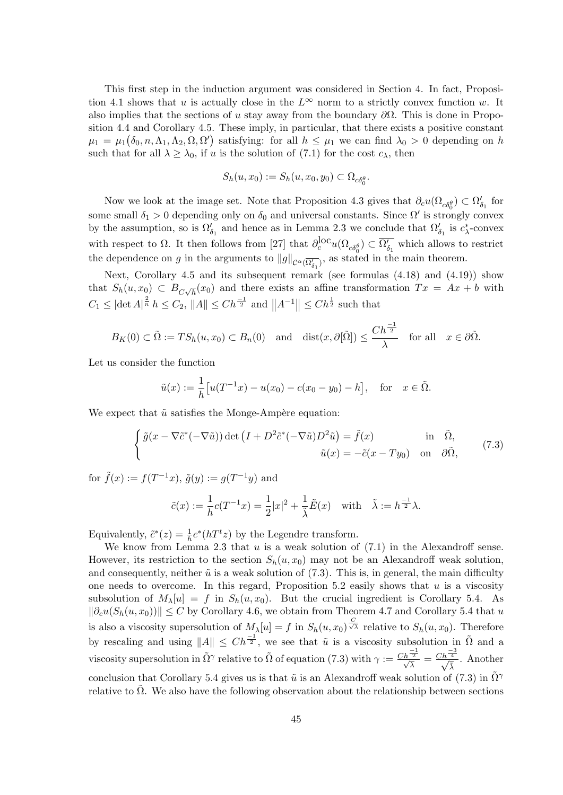This first step in the induction argument was considered in Section 4. In fact, Proposition 4.1 shows that *u* is actually close in the  $L^\infty$  norm to a strictly convex function *w*. It also implies that the sections of *u* stay away from the boundary *∂*Ω. This is done in Proposition 4.4 and Corollary 4.5. These imply, in particular, that there exists a positive constant  $\mu_1 = \mu_1(\delta_0, n, \Lambda_1, \Lambda_2, \Omega, \Omega')$  satisfying: for all  $h \leq \mu_1$  we can find  $\lambda_0 > 0$  depending on *h* such that for all  $\lambda \geq \lambda_0$ , if *u* is the solution of (7.1) for the cost  $c_\lambda$ , then

$$
S_h(u, x_0) := S_h(u, x_0, y_0) \subset \Omega_{c\delta_0^{\theta}}.
$$

Now we look at the image set. Note that Proposition 4.3 gives that  $\partial_c u(\Omega_{c\delta_0^{\theta}}) \subset \Omega'_{\delta_1}$  for some small  $\delta_1 > 0$  depending only on  $\delta_0$  and universal constants. Since  $\Omega'$  is strongly convex by the assumption, so is  $\Omega'_{\delta_1}$  and hence as in Lemma 2.3 we conclude that  $\Omega'_{\delta_1}$  is  $c^*_{\lambda}$ -convex with respect to  $\Omega$ . It then follows from [27] that  $\partial_c^{\text{loc}} u(\Omega_{c\delta_0^{\theta}}) \subset \overline{\Omega'_{\delta_1}}$  which allows to restrict the dependence on *g* in the arguments to  $||g||_{\mathcal{C}^{\alpha}(\overline{\Omega'_{\delta_1}})}$ , as stated in the main theorem.

Next, Corollary 4.5 and its subsequent remark (see formulas (4.18) and (4.19)) show that  $S_h(u, x_0) \subset B_{C\sqrt{h}}(x_0)$  and there exists an affine transformation  $Tx = Ax + b$  with  $C_1 \leq |\det A|^{\frac{2}{n}} h \leq C_2$ ,  $||A|| \leq Ch^{\frac{-1}{2}}$  and  $||A^{-1}|| \leq Ch^{\frac{1}{2}}$  such that

$$
B_K(0) \subset \tilde{\Omega} := TS_h(u, x_0) \subset B_n(0)
$$
 and  $dist(x, \partial[\tilde{\Omega}]) \leq \frac{Ch^{\frac{-1}{2}}}{\lambda}$  for all  $x \in \partial\tilde{\Omega}$ .

Let us consider the function

$$
\tilde{u}(x) := \frac{1}{h} [u(T^{-1}x) - u(x_0) - c(x_0 - y_0) - h],
$$
 for  $x \in \tilde{\Omega}$ .

We expect that  $\tilde{u}$  satisfies the Monge-Ampère equation:

$$
\begin{cases}\n\tilde{g}(x - \nabla \tilde{c}^*(-\nabla \tilde{u})) \det (I + D^2 \tilde{c}^*(-\nabla \tilde{u})D^2 \tilde{u}) = \tilde{f}(x) & \text{in } \tilde{\Omega}, \\
\tilde{u}(x) = -\tilde{c}(x - Ty_0) & \text{on } \partial \tilde{\Omega},\n\end{cases}
$$
\n(7.3)

for  $\tilde{f}(x) := f(T^{-1}x), \, \tilde{g}(y) := g(T^{-1}y)$  and

$$
\tilde{c}(x) := \frac{1}{h}c(T^{-1}x) = \frac{1}{2}|x|^2 + \frac{1}{\tilde{\lambda}}\tilde{E}(x) \quad \text{with} \quad \tilde{\lambda} := h^{\frac{-1}{2}}\lambda.
$$

Equivalently,  $\tilde{c}^*(z) = \frac{1}{h}c^*(hT^tz)$  by the Legendre transform.

We know from Lemma 2.3 that *u* is a weak solution of (7.1) in the Alexandroff sense. However, its restriction to the section  $S_h(u, x_0)$  may not be an Alexandroff weak solution, and consequently, neither  $\tilde{u}$  is a weak solution of (7.3). This is, in general, the main difficulty one needs to overcome. In this regard, Proposition 5.2 easily shows that *u* is a viscosity subsolution of  $M_{\lambda}[u] = f$  in  $S_h(u, x_0)$ . But the crucial ingredient is Corollary 5.4. As  $||\partial_c u(S_h(u, x_0))||$  ≤ *C* by Corollary 4.6, we obtain from Theorem 4.7 and Corollary 5.4 that *u* is also a viscosity supersolution of  $M_\lambda[u] = f$  in  $S_h(u, x_0) \stackrel{C}{\sqrt{\lambda}}$  relative to  $S_h(u, x_0)$ . Therefore by rescaling and using  $||A|| \leq Ch^{\frac{-1}{2}}$ , we see that  $\tilde{u}$  is a viscosity subsolution in  $\tilde{\Omega}$  and a viscosity supersolution in  $\tilde{\Omega}^{\gamma}$  relative to  $\tilde{\Omega}$  of equation (7.3) with  $\gamma := \frac{Ch^{-\frac{1}{2}}}{\sqrt{\lambda}} = \frac{Ch^{-\frac{3}{4}}}{\sqrt{\lambda}}$  $\frac{4}{\tilde{\lambda}}$ . Another conclusion that Corollary 5.4 gives us is that  $\tilde{u}$  is an Alexandroff weak solution of (7.3) in  $\tilde{\Omega}^{\gamma}$ relative to  $\Omega$ . We also have the following observation about the relationship between sections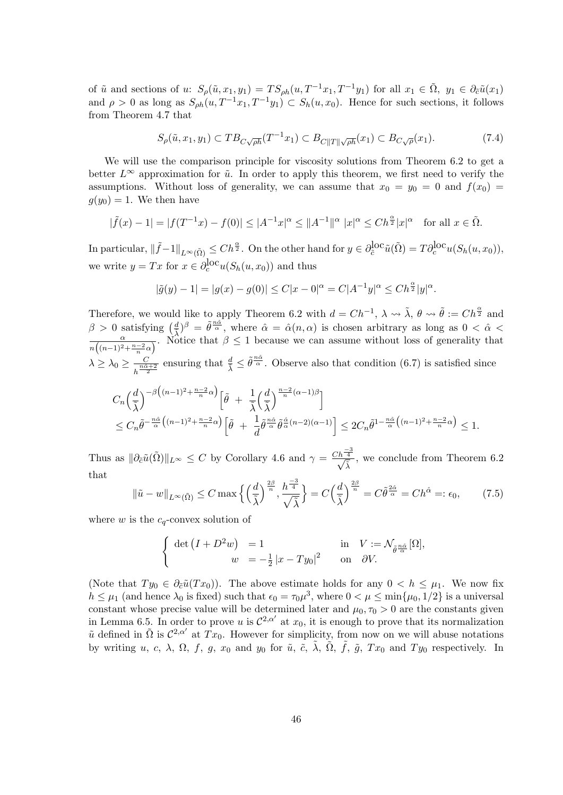of  $\tilde{u}$  and sections of u:  $S_{\rho}(\tilde{u}, x_1, y_1) = TS_{\rho h}(u, T^{-1}x_1, T^{-1}y_1)$  for all  $x_1 \in \tilde{\Omega}$ ,  $y_1 \in \partial_{\tilde{\alpha}}\tilde{u}(x_1)$ and  $\rho > 0$  as long as  $S_{\rho h}(u, T^{-1}x_1, T^{-1}y_1) \subset S_h(u, x_0)$ . Hence for such sections, it follows from Theorem 4.7 that

$$
S_{\rho}(\tilde{u}, x_1, y_1) \subset T B_{C\sqrt{\rho h}}(T^{-1}x_1) \subset B_{C\|T\|\sqrt{\rho h}}(x_1) \subset B_{C\sqrt{\rho}}(x_1). \tag{7.4}
$$

We will use the comparison principle for viscosity solutions from Theorem 6.2 to get a better  $L^\infty$  approximation for  $\tilde{u}$ . In order to apply this theorem, we first need to verify the assumptions. Without loss of generality, we can assume that  $x_0 = y_0 = 0$  and  $f(x_0) =$  $g(y_0) = 1$ . We then have

$$
|\tilde{f}(x) - 1| = |f(T^{-1}x) - f(0)| \le |A^{-1}x|^{\alpha} \le ||A^{-1}||^{\alpha} |x|^{\alpha} \le Ch^{\frac{\alpha}{2}}|x|^{\alpha} \text{ for all } x \in \tilde{\Omega}.
$$

In particular,  $\|\tilde{f}-1\|_{L^{\infty}(\tilde{\Omega})} \leq Ch^{\frac{\alpha}{2}}$ . On the other hand for  $y \in \partial_{\tilde{c}}^{loc}\tilde{u}(\tilde{\Omega}) = T\partial_{c}^{loc}u(S_h(u,x_0)),$ we write  $y = Tx$  for  $x \in \partial_c^{\text{loc}} u(S_h(u, x_0))$  and thus

$$
|\tilde{g}(y) - 1| = |g(x) - g(0)| \le C|x - 0|^{\alpha} = C|A^{-1}y|^{\alpha} \le Ch^{\frac{\alpha}{2}}|y|^{\alpha}.
$$

Therefore, we would like to apply Theorem 6.2 with  $d = Ch^{-1}$ ,  $\lambda \leadsto \tilde{\lambda}$ ,  $\theta \leadsto \tilde{\theta} := Ch^{\frac{\alpha}{2}}$  and  $\beta > 0$  satisfying  $\left(\frac{d}{\lambda}\right)^{\beta} = \tilde{\theta}^{\frac{n\alpha}{\alpha}},$  where  $\hat{\alpha} = \hat{\alpha}(n, \alpha)$  is chosen arbitrary as long as  $0 < \hat{\alpha} <$ *α*  $\frac{\alpha}{n((n-1)^2+\frac{n-2}{n}\alpha)}$ . Notice that  $\beta \leq 1$  because we can assume without loss of generality that  $\lambda \geq \lambda_0 \geq \frac{C}{\ln \hat{\alpha}}$  $\frac{C}{h^{\frac{n\hat{\alpha}+2}}}\$  ensuring that  $\frac{d}{\tilde{\lambda}} \leq \tilde{\theta}^{\frac{n\hat{\alpha}}{\alpha}}$ . Observe also that condition (6.7) is satisfied since

$$
C_n\left(\frac{d}{\tilde{\lambda}}\right)^{-\beta\left((n-1)^2 + \frac{n-2}{n}\alpha\right)} \left[\tilde{\theta} + \frac{1}{\tilde{\lambda}}\left(\frac{d}{\tilde{\lambda}}\right)^{\frac{n-2}{n}(\alpha-1)\beta}\right]
$$
  
\$\leq C\_n\tilde{\theta}^{-\frac{n\hat{\alpha}}{\alpha}\left((n-1)^2 + \frac{n-2}{n}\alpha\right)} \left[\tilde{\theta} + \frac{1}{d}\tilde{\theta}^{\frac{n\hat{\alpha}}{\alpha}}\tilde{\theta}^{\frac{\hat{\alpha}}{\alpha}(n-2)(\alpha-1)}\right] \leq 2C\_n\tilde{\theta}^{1-\frac{n\hat{\alpha}}{\alpha}\left((n-1)^2 + \frac{n-2}{n}\alpha\right)} \leq 1.

Thus as  $\|\partial_{\tilde{c}}\tilde{u}(\tilde{\Omega})\|_{L^{\infty}} \leq C$  by Corollary 4.6 and  $\gamma = \frac{Ch^{\frac{-3}{4}}}{\sqrt{5}}$  $\frac{4}{\tilde{\lambda}}$ , we conclude from Theorem 6.2 that

$$
\|\tilde{u} - w\|_{L^{\infty}(\tilde{\Omega})} \le C \max\left\{ \left(\frac{d}{\tilde{\lambda}}\right)^{\frac{2\beta}{n}}, \frac{h^{\frac{-3}{4}}}{\sqrt{\tilde{\lambda}}} \right\} = C \left(\frac{d}{\tilde{\lambda}}\right)^{\frac{2\beta}{n}} = C \tilde{\theta}^{\frac{2\hat{\alpha}}{\alpha}} = C h^{\hat{\alpha}} =: \epsilon_0, \tag{7.5}
$$

where *w* is the  $c_q$ -convex solution of

$$
\begin{cases} \det (I + D^2 w) = 1 & \text{in} \quad V := \mathcal{N}_{\tilde{\theta}^{\frac{n\hat{\alpha}}{\alpha}}}[\Omega], \\ w = -\frac{1}{2} |x - Ty_0|^2 & \text{on} \quad \partial V. \end{cases}
$$

(Note that  $Ty_0 \in \partial_{\tilde{c}} \tilde{u}(Tx_0)$ ). The above estimate holds for any  $0 < h \leq \mu_1$ . We now fix  $h \leq \mu_1$  (and hence  $\lambda_0$  is fixed) such that  $\epsilon_0 = \tau_0 \mu^3$ , where  $0 < \mu \leq \min\{\mu_0, 1/2\}$  is a universal constant whose precise value will be determined later and  $\mu_0, \tau_0 > 0$  are the constants given in Lemma 6.5. In order to prove *u* is  $C^{2,\alpha'}$  at  $x_0$ , it is enough to prove that its normalization  $\tilde{u}$  defined in  $\tilde{\Omega}$  is  $\mathcal{C}^{2,\alpha'}$  at  $Tx_0$ . However for simplicity, from now on we will abuse notations by writing *u*, *c*,  $\lambda$ ,  $\Omega$ ,  $f$ ,  $g$ ,  $x_0$  and  $y_0$  for  $\tilde{u}$ ,  $\tilde{c}$ ,  $\tilde{\lambda}$ ,  $\tilde{\Omega}$ ,  $\tilde{f}$ ,  $\tilde{g}$ ,  $Tx_0$  and  $Ty_0$  respectively. In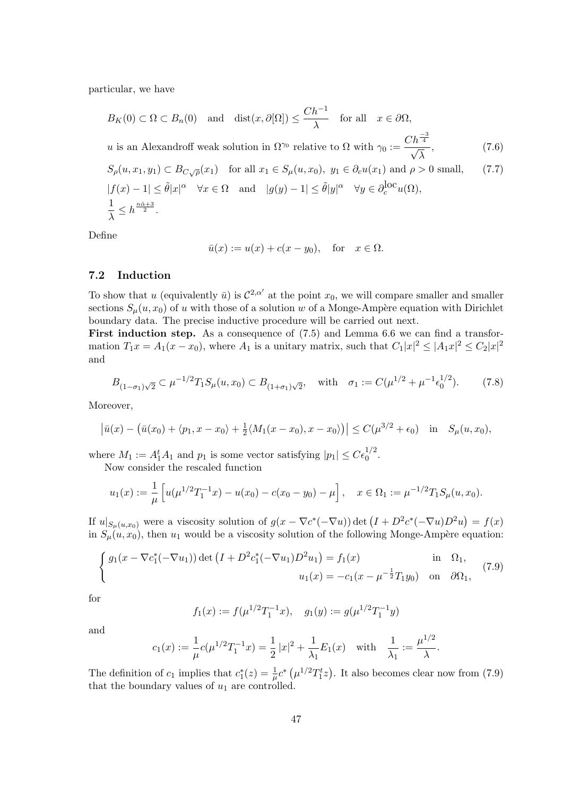particular, we have

$$
B_K(0) \subset \Omega \subset B_n(0) \text{ and } \text{dist}(x, \partial[\Omega]) \le \frac{Ch^{-1}}{\lambda} \text{ for all } x \in \partial\Omega,
$$
  
u is an Alexandroff weak solution in  $\Omega^{\gamma_0}$  relative to  $\Omega$  with  $\gamma_0 := \frac{Ch^{\frac{-3}{4}}}{\sqrt{\lambda}}$ , (7.6)  
 $S_\rho(u, x_1, y_1) \subset B_{C\sqrt{\rho}}(x_1)$  for all  $x_1 \in S_\mu(u, x_0)$ ,  $y_1 \in \partial_c u(x_1)$  and  $\rho > 0$  small, (7.7)  
 $|f(x) - 1| \le \tilde{\theta}|x|^\alpha \quad \forall x \in \Omega$  and  $|g(y) - 1| \le \tilde{\theta}|y|^\alpha \quad \forall y \in \partial_c^{\text{loc}} u(\Omega)$ ,  
 $\frac{1}{\lambda} \le h^{\frac{n\hat{\alpha}+3}{2}}$ .

Define

$$
\bar{u}(x) := u(x) + c(x - y_0), \quad \text{for} \quad x \in \Omega.
$$

### **7.2 Induction**

To show that *u* (equivalently  $\bar{u}$ ) is  $C^{2,\alpha'}$  at the point  $x_0$ , we will compare smaller and smaller sections  $S_u(u, x_0)$  of *u* with those of a solution *w* of a Monge-Ampère equation with Dirichlet boundary data. The precise inductive procedure will be carried out next.

First induction step. As a consequence of  $(7.5)$  and Lemma 6.6 we can find a transformation  $T_1x = A_1(x - x_0)$ , where  $A_1$  is a unitary matrix, such that  $C_1|x|^2 \leq |A_1x|^2 \leq C_2|x|^2$ and

$$
B_{(1-\sigma_1)\sqrt{2}} \subset \mu^{-1/2} T_1 S_{\mu}(u, x_0) \subset B_{(1+\sigma_1)\sqrt{2}}, \quad \text{with} \quad \sigma_1 := C(\mu^{1/2} + \mu^{-1} \epsilon_0^{1/2}). \tag{7.8}
$$

Moreover,

$$
|\bar{u}(x) - (\bar{u}(x_0) + \langle p_1, x - x_0 \rangle + \frac{1}{2} \langle M_1(x - x_0), x - x_0 \rangle)| \le C(\mu^{3/2} + \epsilon_0) \quad \text{in} \quad S_\mu(u, x_0),
$$

where  $M_1 := A_1^t A_1$  and  $p_1$  is some vector satisfying  $|p_1| \leq C \epsilon_0^{1/2}$ .

Now consider the rescaled function

$$
u_1(x) := \frac{1}{\mu} \left[ u(\mu^{1/2} T_1^{-1} x) - u(x_0) - c(x_0 - y_0) - \mu \right], \quad x \in \Omega_1 := \mu^{-1/2} T_1 S_\mu(u, x_0).
$$

If  $u|_{S_{\mu}(u,x_0)}$  were a viscosity solution of  $g(x - \nabla c^*(-\nabla u))$  det  $(I + D^2c^*(-\nabla u)D^2u) = f(x)$ in  $S_\mu(u, x_0)$ , then  $u_1$  would be a viscosity solution of the following Monge-Ampère equation:

$$
\begin{cases}\ng_1(x - \nabla c_1^*(-\nabla u_1)) \det \left(I + D^2 c_1^*(-\nabla u_1)D^2 u_1\right) = f_1(x) & \text{in } \Omega_1, \\
u_1(x) = -c_1(x - \mu^{-\frac{1}{2}} T_1 y_0) & \text{on } \partial \Omega_1,\n\end{cases} (7.9)
$$

for

$$
f_1(x) := f(\mu^{1/2} T_1^{-1} x), \quad g_1(y) := g(\mu^{1/2} T_1^{-1} y)
$$

and

$$
c_1(x) := \frac{1}{\mu} c(\mu^{1/2} T_1^{-1} x) = \frac{1}{2} |x|^2 + \frac{1}{\lambda_1} E_1(x) \quad \text{with} \quad \frac{1}{\lambda_1} := \frac{\mu^{1/2}}{\lambda}.
$$

The definition of  $c_1$  implies that  $c_1^*(z) = \frac{1}{\mu}c^*\left(\mu^{1/2}T_1^tz\right)$ . It also becomes clear now from (7.9) that the boundary values of *u*<sup>1</sup> are controlled.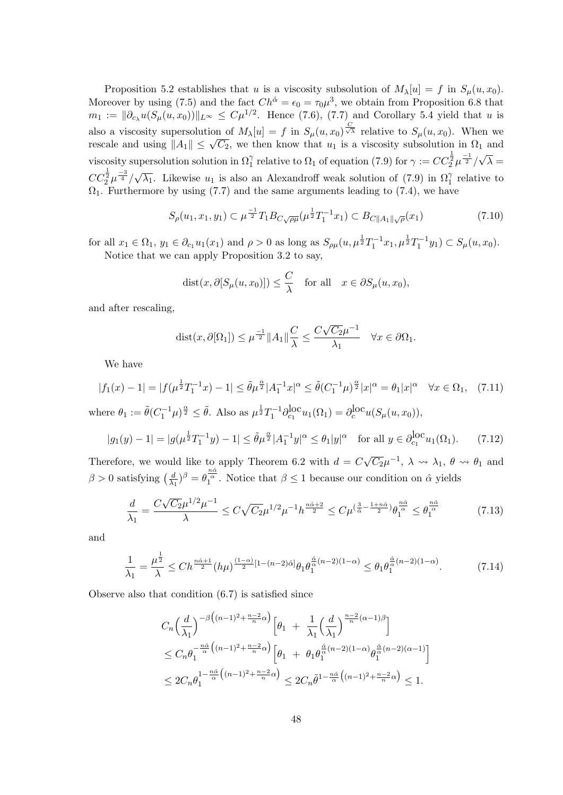Proposition 5.2 establishes that *u* is a viscosity subsolution of  $M_\lambda[u] = f$  in  $S_\mu(u, x_0)$ . Moreover by using (7.5) and the fact  $Ch^{\hat{\alpha}} = \epsilon_0 = \tau_0 \mu^3$ , we obtain from Proposition 6.8 that  $m_1 := ||\partial_{c_\lambda} u(S_\mu(u, x_0))||_{L^\infty} \leq C\mu^{1/2}$ . Hence (7.6), (7.7) and Corollary 5.4 yield that *u* is also a viscosity supersolution of  $M_{\lambda}[u] = f$  in  $S_{\mu}(u, x_0)^{\frac{C}{\sqrt{\lambda}}}$  relative to  $S_{\mu}(u, x_0)$ . When we rescale and using  $||A_1|| \leq \sqrt{C_2}$ , we then know that  $u_1$  is a viscosity subsolution in  $\Omega_1$  and viscosity supersolution solution in  $\Omega_1^{\gamma}$  relative to  $\Omega_1$  of equation (7.9) for  $\gamma := CC_2^{\frac{1}{2}} \mu^{-\frac{1}{2}} / \sqrt{\lambda} =$  $CC^{\frac{1}{2}}_{2}\mu^{\frac{-3}{4}}/$  $\sqrt{\lambda_1}$ . Likewise *u*<sub>1</sub> is also an Alexandroff weak solution of (7.9) in  $\Omega_1^{\gamma}$  relative to  $\Omega_1$ . Furthermore by using (7.7) and the same arguments leading to (7.4), we have

$$
S_{\rho}(u_1, x_1, y_1) \subset \mu^{\frac{-1}{2}} T_1 B_{C\sqrt{\rho\mu}}(\mu^{\frac{1}{2}} T_1^{-1} x_1) \subset B_{C\|A_1\| \sqrt{\rho}}(x_1)
$$
\n(7.10)

for all  $x_1 \in \Omega_1$ ,  $y_1 \in \partial_{c_1} u_1(x_1)$  and  $\rho > 0$  as long as  $S_{\rho\mu}(u, \mu^{\frac{1}{2}}T_1^{-1}x_1, \mu^{\frac{1}{2}}T_1^{-1}y_1) \subset S_{\mu}(u, x_0)$ . Notice that we can apply Proposition 3.2 to say,

$$
dist(x, \partial [S_{\mu}(u, x_0)]) \leq \frac{C}{\lambda}
$$
 for all  $x \in \partial S_{\mu}(u, x_0)$ ,

and after rescaling,

$$
\text{dist}(x, \partial[\Omega_1]) \le \mu^{\frac{-1}{2}} \|A_1\| \frac{C}{\lambda} \le \frac{C\sqrt{C_2}\mu^{-1}}{\lambda_1} \quad \forall x \in \partial\Omega_1.
$$

We have

$$
|f_1(x) - 1| = |f(\mu^{\frac{1}{2}}T_1^{-1}x) - 1| \le \tilde{\theta}\mu^{\frac{\alpha}{2}}|A_1^{-1}x|^{\alpha} \le \tilde{\theta}(C_1^{-1}\mu)^{\frac{\alpha}{2}}|x|^{\alpha} = \theta_1|x|^{\alpha} \quad \forall x \in \Omega_1, \tag{7.11}
$$

where  $\theta_1 := \tilde{\theta}(C_1^{-1}\mu)^{\frac{\alpha}{2}} \leq \tilde{\theta}$ . Also as  $\mu^{\frac{1}{2}}T_1^{-1}\partial_{c_1}^{\text{loc}}u_1(\Omega_1) = \partial_c^{\text{loc}}u(S_\mu(u,x_0)),$ 

$$
|g_1(y) - 1| = |g(\mu^{\frac{1}{2}} T_1^{-1} y) - 1| \le \tilde{\theta} \mu^{\frac{\alpha}{2}} |A_1^{-1} y|^{\alpha} \le \theta_1 |y|^{\alpha} \quad \text{for all } y \in \partial_{c_1}^{\text{loc}} u_1(\Omega_1). \tag{7.12}
$$

Therefore, we would like to apply Theorem 6.2 with  $d = C$  $\overline{C_2}\mu^{-1}$ ,  $\lambda \rightsquigarrow \lambda_1$ ,  $\theta \rightsquigarrow \theta_1$  and  $\beta > 0$  satisfying  $\left(\frac{d}{\lambda}\right)$  $\frac{d}{\lambda_1}$ )<sup>β</sup> =  $\theta_1^{\frac{n\hat{\alpha}}{\alpha}}$ . Notice that  $\beta \leq 1$  because our condition on  $\hat{\alpha}$  yields

$$
\frac{d}{\lambda_1} = \frac{C\sqrt{C_2}\mu^{1/2}\mu^{-1}}{\lambda} \le C\sqrt{C_2}\mu^{1/2}\mu^{-1}h^{\frac{n\hat{\alpha}+2}{2}} \le C\mu^{(\frac{3}{\hat{\alpha}} - \frac{1+n\hat{\alpha}}{2})}\theta_1^{\frac{n\hat{\alpha}}{\alpha}} \le \theta_1^{\frac{n\hat{\alpha}}{\alpha}}
$$
(7.13)

and

$$
\frac{1}{\lambda_1} = \frac{\mu^{\frac{1}{2}}}{\lambda} \le C h^{\frac{n\hat{\alpha}+1}{2}} (h\mu)^{\frac{(1-\alpha)}{2}[1-(n-2)\hat{\alpha}]} \theta_1 \theta_1^{\frac{\hat{\alpha}}{\alpha}(n-2)(1-\alpha)} \le \theta_1 \theta_1^{\frac{\hat{\alpha}}{\alpha}(n-2)(1-\alpha)}.
$$
 (7.14)

Observe also that condition (6.7) is satisfied since

$$
C_n \left(\frac{d}{\lambda_1}\right)^{-\beta \left((n-1)^2 + \frac{n-2}{n}\alpha\right)} \left[\theta_1 + \frac{1}{\lambda_1} \left(\frac{d}{\lambda_1}\right)^{\frac{n-2}{n}(\alpha-1)\beta}\right]
$$
  
\n
$$
\leq C_n \theta_1^{-\frac{n\hat{\alpha}}{\alpha} \left((n-1)^2 + \frac{n-2}{n}\alpha\right)} \left[\theta_1 + \theta_1 \theta_1^{\frac{\hat{\alpha}}{\alpha}(n-2)(1-\alpha)} \theta_1^{\frac{\hat{\alpha}}{\alpha}(n-2)(\alpha-1)}\right]
$$
  
\n
$$
\leq 2C_n \theta_1^{1 - \frac{n\hat{\alpha}}{\alpha} \left((n-1)^2 + \frac{n-2}{n}\alpha\right)} \leq 2C_n \tilde{\theta}^{1 - \frac{n\hat{\alpha}}{\alpha} \left((n-1)^2 + \frac{n-2}{n}\alpha\right)} \leq 1.
$$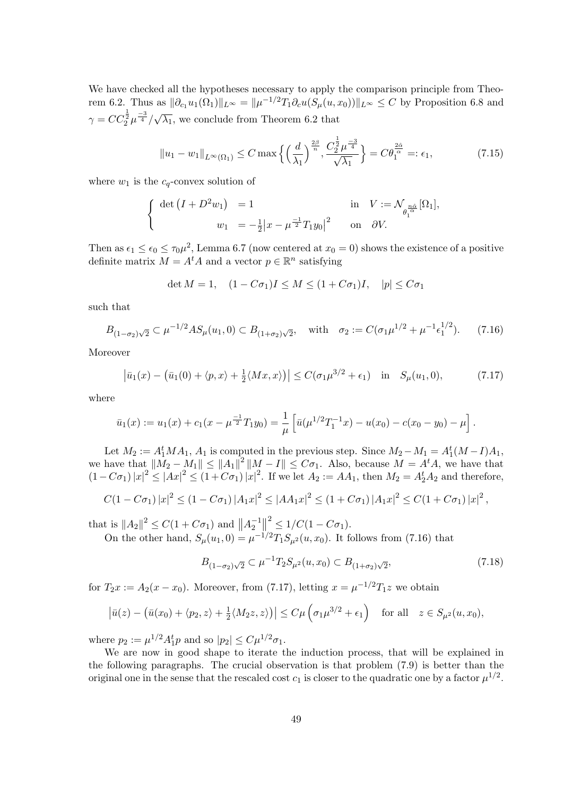We have checked all the hypotheses necessary to apply the comparison principle from Theorem 6.2. Thus as  $\|\partial_{c_1}u_1(\Omega_1)\|_{L^\infty} = \|\mu^{-1/2}T_1\partial_c u(S_\mu(u,x_0))\|_{L^\infty} \leq C$  by Proposition 6.8 and  $\gamma = CC_2^{\frac{1}{2}} \mu^{\frac{-3}{4}} /$ *√*  $\lambda_1$ , we conclude from Theorem 6.2 that

$$
||u_1 - w_1||_{L^{\infty}(\Omega_1)} \le C \max \left\{ \left(\frac{d}{\lambda_1}\right)^{\frac{2\beta}{n}}, \frac{C_2^{\frac{1}{2}} \mu^{\frac{-3}{4}}}{\sqrt{\lambda_1}} \right\} = C \theta_1^{\frac{2\hat{\alpha}}{\alpha}} =: \epsilon_1,
$$
 (7.15)

where  $w_1$  is the  $c_q$ -convex solution of

$$
\begin{cases} \det (I + D^2 w_1) = 1 & \text{in} \quad V := \mathcal{N}_{\theta_1^{\frac{\alpha \hat{\alpha}}{\alpha}}}[\Omega_1], \\ w_1 = -\frac{1}{2} |x - \mu^{-\frac{1}{2}} T_1 y_0|^2 & \text{on} \quad \partial V. \end{cases}
$$

Then as  $\epsilon_1 \leq \epsilon_0 \leq \tau_0 \mu^2$ , Lemma 6.7 (now centered at  $x_0 = 0$ ) shows the existence of a positive definite matrix  $M = A^t A$  and a vector  $p \in \mathbb{R}^n$  satisfying

$$
\det M = 1, \quad (1 - C\sigma_1)I \le M \le (1 + C\sigma_1)I, \quad |p| \le C\sigma_1
$$

such that

$$
B_{(1-\sigma_2)\sqrt{2}} \subset \mu^{-1/2} A S_{\mu}(u_1,0) \subset B_{(1+\sigma_2)\sqrt{2}}, \quad \text{with} \quad \sigma_2 := C(\sigma_1 \mu^{1/2} + \mu^{-1} \epsilon_1^{1/2}). \tag{7.16}
$$

Moreover

$$
|\bar{u}_1(x) - (\bar{u}_1(0) + \langle p, x \rangle + \frac{1}{2} \langle Mx, x \rangle)| \le C(\sigma_1 \mu^{3/2} + \epsilon_1) \quad \text{in} \quad S_\mu(u_1, 0), \tag{7.17}
$$

where

$$
\bar{u}_1(x) := u_1(x) + c_1(x - \mu^{\frac{-1}{2}} T_1 y_0) = \frac{1}{\mu} \left[ \bar{u}(\mu^{1/2} T_1^{-1} x) - u(x_0) - c(x_0 - y_0) - \mu \right].
$$

Let  $M_2 := A_1^t M A_1$ ,  $A_1$  is computed in the previous step. Since  $M_2 - M_1 = A_1^t (M - I) A_1$ , we have that  $||M_2 - M_1|| \le ||A_1||^2 ||M - I|| \le C\sigma_1$ . Also, because  $M = A^t A$ , we have that  $(1-C\sigma_1)|x|^2 \le |Ax|^2 \le (1+C\sigma_1)|x|^2$ . If we let  $A_2 := AA_1$ , then  $M_2 = A_2^t A_2$  and therefore,

$$
C(1-C\sigma_1)|x|^2 \le (1-C\sigma_1)|A_1x|^2 \le |AA_1x|^2 \le (1+C\sigma_1)|A_1x|^2 \le C(1+C\sigma_1)|x|^2,
$$

that is  $||A_2||^2 \leq C(1 + C\sigma_1)$  and  $||A_2^{-1}||^2 \leq 1/C(1 - C\sigma_1)$ . On the other hand,  $S_{\mu}(u_1, 0) = \mu^{-1/2} T_1 S_{\mu^2}(u, x_0)$ . It follows from (7.16) that

$$
B_{(1-\sigma_2)\sqrt{2}} \subset \mu^{-1} T_2 S_{\mu^2}(u, x_0) \subset B_{(1+\sigma_2)\sqrt{2}},\tag{7.18}
$$

for  $T_2x := A_2(x - x_0)$ . Moreover, from (7.17), letting  $x = \mu^{-1/2}T_1z$  we obtain

$$
\left|\bar{u}(z) - \left(\bar{u}(x_0) + \langle p_2, z \rangle + \frac{1}{2} \langle M_2 z, z \rangle\right)\right| \le C\mu \left(\sigma_1 \mu^{3/2} + \epsilon_1\right) \quad \text{for all} \quad z \in S_{\mu^2}(u, x_0),
$$

where  $p_2 := \mu^{1/2} A_1^t p$  and so  $|p_2| \le C \mu^{1/2} \sigma_1$ .

We are now in good shape to iterate the induction process, that will be explained in the following paragraphs. The crucial observation is that problem (7.9) is better than the original one in the sense that the rescaled cost  $c_1$  is closer to the quadratic one by a factor  $\mu^{1/2}$ .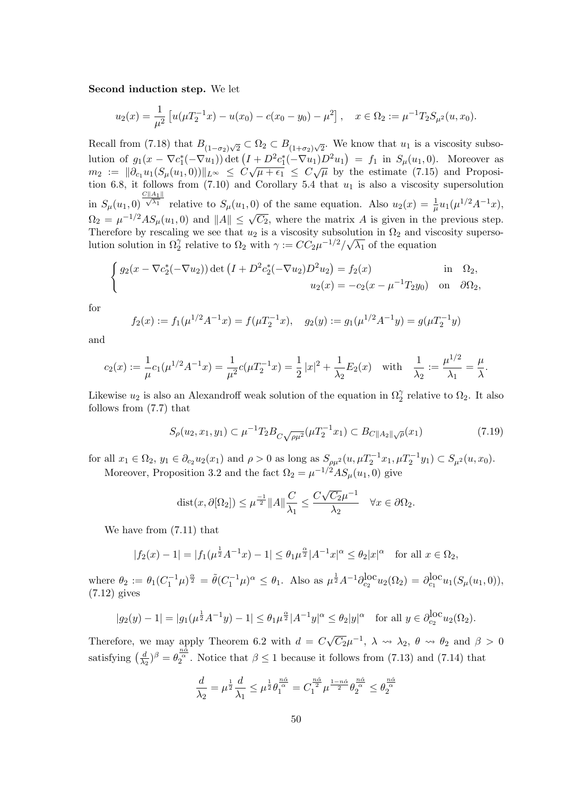#### **Second induction step.** We let

$$
u_2(x) = \frac{1}{\mu^2} \left[ u(\mu T_2^{-1} x) - u(x_0) - c(x_0 - y_0) - \mu^2 \right], \quad x \in \Omega_2 := \mu^{-1} T_2 S_{\mu^2}(u, x_0).
$$

Recall from (7.18) that  $B_{(1-\sigma_2)\sqrt{2}} \subset \Omega_2 \subset B_{(1+\sigma_2)\sqrt{2}}$ . We know that *u*<sub>1</sub> is a viscosity subsolution of  $g_1(x - \nabla c_1^*(-\nabla u_1))$  det  $(I + D^2 c_1^*(-\nabla u_1)D^2 u_1) = f_1$  in  $S_\mu(u_1, 0)$ . Moreover as  $m_2 := ||\partial_{c_1} u_1(S_\mu(u_1,0))||_{L^\infty} \leq C\sqrt{\mu+\epsilon_1} \leq C\sqrt{\mu}$  by the estimate (7.15) and Proposition 6.8, it follows from  $(7.10)$  and Corollary 5.4 that  $u_1$  is also a viscosity supersolution in  $S_{\mu}(u_1, 0)$  $\frac{C||A_1||}{\sqrt{\lambda_1}}$  relative to  $S_\mu(u_1,0)$  of the same equation. Also  $u_2(x) = \frac{1}{\mu} u_1(\mu^{1/2} A^{-1}x)$ ,  $\Omega_2 = \mu^{-1/2} A S_\mu(u_1, 0)$  and  $||A|| \leq \sqrt{C_2}$ , where the matrix *A* is given in the previous step. Therefore by rescaling we see that  $u_2$  is a viscosity subsolution in  $\Omega_2$  and viscosity supersolution solution in  $\Omega_2^{\gamma}$  relative to  $\Omega_2$  with  $\gamma := CC_2 \mu^{-1/2} / \sqrt{\lambda_1}$  of the equation

$$
\begin{cases}\ng_2(x - \nabla c_2^*(-\nabla u_2)) \det \left( I + D^2 c_2^*(-\nabla u_2) D^2 u_2 \right) = f_2(x) & \text{in } \Omega_2, \\
u_2(x) = -c_2(x - \mu^{-1} T_2 y_0) & \text{on } \partial \Omega_2,\n\end{cases}
$$

for

$$
f_2(x) := f_1(\mu^{1/2} A^{-1} x) = f(\mu T_2^{-1} x), \quad g_2(y) := g_1(\mu^{1/2} A^{-1} y) = g(\mu T_2^{-1} y)
$$

and

$$
c_2(x) := \frac{1}{\mu}c_1(\mu^{1/2}A^{-1}x) = \frac{1}{\mu^2}c(\mu T_2^{-1}x) = \frac{1}{2}|x|^2 + \frac{1}{\lambda_2}E_2(x) \text{ with } \frac{1}{\lambda_2} := \frac{\mu^{1/2}}{\lambda_1} = \frac{\mu}{\lambda}.
$$

Likewise  $u_2$  is also an Alexandroff weak solution of the equation in  $\Omega_2^{\gamma}$  relative to  $\Omega_2$ . It also follows from (7.7) that

$$
S_{\rho}(u_2, x_1, y_1) \subset \mu^{-1} T_2 B_{C\sqrt{\rho \mu^2}}(\mu T_2^{-1} x_1) \subset B_{C\|A_2\|\sqrt{\rho}}(x_1)
$$
\n(7.19)

for all  $x_1 \in \Omega_2$ ,  $y_1 \in \partial_{c_2}u_2(x_1)$  and  $\rho > 0$  as long as  $S_{\rho\mu^2}(u, \mu T_2^{-1}x_1, \mu T_2^{-1}y_1) \subset S_{\mu^2}(u, x_0)$ . Moreover, Proposition 3.2 and the fact  $\Omega_2 = \mu^{-1/2} A S_\mu(u_1, 0)$  give

$$
\text{dist}(x, \partial[\Omega_2]) \le \mu^{\frac{-1}{2}} \|A\| \frac{C}{\lambda_1} \le \frac{C\sqrt{C_2}\mu^{-1}}{\lambda_2} \quad \forall x \in \partial\Omega_2.
$$

We have from (7.11) that

$$
|f_2(x) - 1| = |f_1(\mu^{\frac{1}{2}} A^{-1} x) - 1| \le \theta_1 \mu^{\frac{\alpha}{2}} |A^{-1} x|^{\alpha} \le \theta_2 |x|^{\alpha} \text{ for all } x \in \Omega_2,
$$

where  $\theta_2 := \theta_1 (C_1^{-1} \mu)^{\frac{\alpha}{2}} = \tilde{\theta} (C_1^{-1} \mu)^{\alpha} \leq \theta_1$ . Also as  $\mu^{\frac{1}{2}} A^{-1} \partial_{c_2}^{\text{loc}} u_2(\Omega_2) = \partial_{c_1}^{\text{loc}} u_1(S_\mu(u_1, 0)),$ (7.12) gives

$$
|g_2(y) - 1| = |g_1(\mu^{\frac{1}{2}} A^{-1} y) - 1| \le \theta_1 \mu^{\frac{\alpha}{2}} |A^{-1} y|^{\alpha} \le \theta_2 |y|^{\alpha} \text{ for all } y \in \partial_{c_2}^{\text{loc}} u_2(\Omega_2).
$$

Therefore, we may apply Theorem 6.2 with  $d = C$ *√*  $\overline{C_2}\mu^{-1}$ ,  $\lambda \rightarrow \lambda_2$ ,  $\theta \rightarrow \theta_2$  and  $\beta > 0$ satisfying  $\left(\frac{d}{dx}\right)$  $\frac{d}{dx}$ )<sup>*β*</sup> =  $\theta_2^{\frac{n\hat{\alpha}}{2}}$ . Notice that  $\beta \le 1$  because it follows from (7.13) and (7.14) that

$$
\frac{d}{\lambda_2} = \mu^{\frac{1}{2}} \frac{d}{\lambda_1} \leq \mu^{\frac{1}{2}} \theta_1^{\frac{n\hat{\alpha}}{\alpha}} = C_1^{\frac{n\hat{\alpha}}{2}} \mu^{\frac{1-n\hat{\alpha}}{2}} \theta_2^{\frac{n\hat{\alpha}}{\alpha}} \leq \theta_2^{\frac{n\hat{\alpha}}{\alpha}}
$$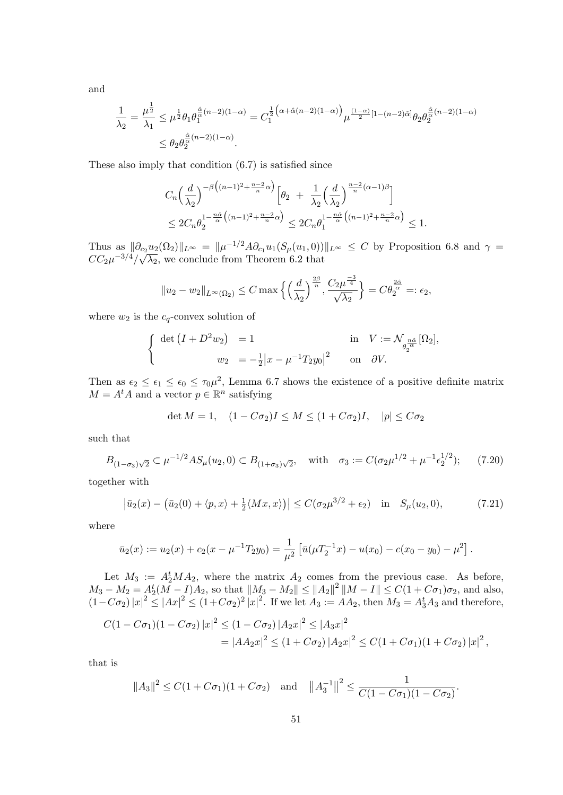and

$$
\frac{1}{\lambda_2} = \frac{\mu^{\frac{1}{2}}}{\lambda_1} \le \mu^{\frac{1}{2}} \theta_1 \theta_1^{\frac{\hat{\alpha}}{\alpha}(n-2)(1-\alpha)} = C_1^{\frac{1}{2}\left(\alpha + \hat{\alpha}(n-2)(1-\alpha)\right)} \mu^{\frac{(1-\alpha)}{2}[1-(n-2)\hat{\alpha}]} \theta_2 \theta_2^{\frac{\hat{\alpha}}{\alpha}(n-2)(1-\alpha)}
$$
  

$$
\le \theta_2 \theta_2^{\frac{\hat{\alpha}}{\alpha}(n-2)(1-\alpha)}.
$$

These also imply that condition (6.7) is satisfied since

$$
C_n\left(\frac{d}{\lambda_2}\right)^{-\beta\left((n-1)^2 + \frac{n-2}{n}\alpha\right)} \left[\theta_2 + \frac{1}{\lambda_2}\left(\frac{d}{\lambda_2}\right)^{\frac{n-2}{n}(\alpha-1)\beta}\right]
$$
  

$$
\leq 2C_n\theta_2^{1-\frac{n\hat{\alpha}}{\alpha}\left((n-1)^2 + \frac{n-2}{n}\alpha\right)} \leq 2C_n\theta_1^{1-\frac{n\hat{\alpha}}{\alpha}\left((n-1)^2 + \frac{n-2}{n}\alpha\right)} \leq 1.
$$

Thus as  $\|\partial_{c_2}u_2(\Omega_2)\|_{L^\infty} = \|\mu^{-1/2}A\partial_{c_1}u_1(S_\mu(u_1,0))\|_{L^\infty} \leq C$  by Proposition 6.8 and  $\gamma =$  $CC_2\mu^{-3/4}/\sqrt{\lambda_2}$ , we conclude from Theorem 6.2 that

$$
||u_2 - w_2||_{L^{\infty}(\Omega_2)} \leq C \max \left\{ \left(\frac{d}{\lambda_2}\right)^{\frac{2\beta}{n}}, \frac{C_2 \mu^{\frac{-3}{4}}}{\sqrt{\lambda_2}} \right\} = C \theta_2^{\frac{2\hat{\alpha}}{\alpha}} =: \epsilon_2,
$$

where  $w_2$  is the  $c_q$ -convex solution of

$$
\begin{cases} \det(I+D^2w_2) = 1 & \text{in} \quad V := \mathcal{N}_{\theta_2^{\frac{n\hat{\alpha}}{\alpha}}}[\Omega_2], \\ w_2 = -\frac{1}{2}|x - \mu^{-1}T_2y_0|^2 & \text{on} \quad \partial V. \end{cases}
$$

Then as  $\epsilon_2 \leq \epsilon_1 \leq \epsilon_0 \leq \tau_0 \mu^2$ , Lemma 6.7 shows the existence of a positive definite matrix  $M = A<sup>t</sup>A$  and a vector  $p \in \mathbb{R}^n$  satisfying

$$
\det M = 1, \quad (1 - C\sigma_2)I \le M \le (1 + C\sigma_2)I, \quad |p| \le C\sigma_2
$$

such that

$$
B_{(1-\sigma_3)\sqrt{2}} \subset \mu^{-1/2} A S_{\mu}(u_2, 0) \subset B_{(1+\sigma_3)\sqrt{2}}, \quad \text{with} \quad \sigma_3 := C(\sigma_2 \mu^{1/2} + \mu^{-1} \epsilon_2^{1/2}); \tag{7.20}
$$

together with

$$
\left|\bar{u}_2(x) - \left(\bar{u}_2(0) + \langle p, x \rangle + \frac{1}{2} \langle Mx, x \rangle\right)\right| \le C(\sigma_2 \mu^{3/2} + \epsilon_2) \quad \text{in} \quad S_\mu(u_2, 0),\tag{7.21}
$$

where

$$
\bar{u}_2(x) := u_2(x) + c_2(x - \mu^{-1}T_2y_0) = \frac{1}{\mu^2} \left[ \bar{u}(\mu T_2^{-1}x) - u(x_0) - c(x_0 - y_0) - \mu^2 \right].
$$

Let  $M_3 := A_2^t M A_2$ , where the matrix  $A_2$  comes from the previous case. As before,  $M_3 - M_2 = A_2^t (M - I)A_2$ , so that  $||M_3 - M_2|| \le ||A_2||^2 ||M - I|| \le C(1 + C\sigma_1)\sigma_2$ , and also,  $(1-C\sigma_2)|x|^2 \le |Ax|^2 \le (1+C\sigma_2)^2 |x|^2$ . If we let  $A_3 := AA_2$ , then  $M_3 = A_3^t A_3$  and therefore,

$$
C(1 - C\sigma_1)(1 - C\sigma_2) |x|^2 \le (1 - C\sigma_2) |A_2x|^2 \le |A_3x|^2
$$
  
=  $|AA_2x|^2 \le (1 + C\sigma_2) |A_2x|^2 \le C(1 + C\sigma_1)(1 + C\sigma_2) |x|^2$ ,

that is

$$
||A_3||^2 \le C(1+C\sigma_1)(1+C\sigma_2)
$$
 and  $||A_3^{-1}||^2 \le \frac{1}{C(1-C\sigma_1)(1-C\sigma_2)}$ .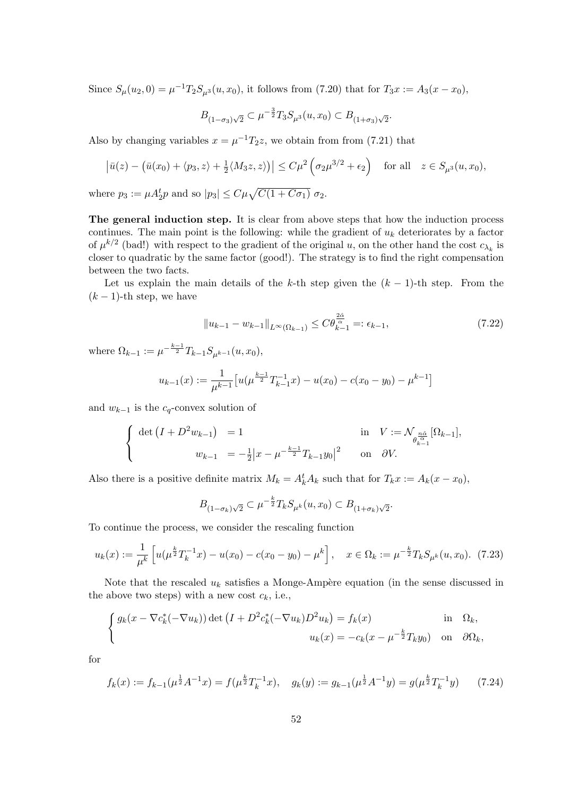Since  $S_{\mu}(u_2, 0) = \mu^{-1}T_2S_{\mu^3}(u, x_0)$ , it follows from (7.20) that for  $T_3x := A_3(x - x_0)$ ,

$$
B_{(1-\sigma_3)\sqrt{2}} \subset \mu^{-\frac{3}{2}} T_3 S_{\mu^3}(u, x_0) \subset B_{(1+\sigma_3)\sqrt{2}}.
$$

Also by changing variables  $x = \mu^{-1}T_2z$ , we obtain from from (7.21) that

$$
\left|\bar{u}(z) - \left(\bar{u}(x_0) + \langle p_3, z \rangle + \frac{1}{2} \langle M_3 z, z \rangle\right)\right| \le C\mu^2 \left(\sigma_2 \mu^{3/2} + \epsilon_2\right) \quad \text{for all} \quad z \in S_{\mu^3}(u, x_0),
$$

where  $p_3 := \mu A_2^t p$  and so  $|p_3| \leq C \mu \sqrt{C(1 + C \sigma_1)} \sigma_2$ .

**The general induction step.** It is clear from above steps that how the induction process continues. The main point is the following: while the gradient of *u<sup>k</sup>* deteriorates by a factor of  $\mu^{k/2}$  (bad!) with respect to the gradient of the original *u*, on the other hand the cost  $c_{\lambda_k}$  is closer to quadratic by the same factor (good!). The strategy is to find the right compensation between the two facts.

Let us explain the main details of the *k*-th step given the  $(k-1)$ -th step. From the  $(k-1)$ -th step, we have

$$
||u_{k-1} - w_{k-1}||_{L^{\infty}(\Omega_{k-1})} \leq C\theta_{k-1}^{\frac{2\hat{\alpha}}{\alpha}} =: \epsilon_{k-1},
$$
\n(7.22)

where  $\Omega_{k-1} := \mu^{-\frac{k-1}{2}} T_{k-1} S_{\mu^{k-1}}(u, x_0),$ 

$$
u_{k-1}(x) := \frac{1}{\mu^{k-1}} \left[ u(\mu^{\frac{k-1}{2}} T_{k-1}^{-1} x) - u(x_0) - c(x_0 - y_0) - \mu^{k-1} \right]
$$

and  $w_{k-1}$  is the  $c_q$ -convex solution of

$$
\begin{cases} \det (I + D^2 w_{k-1}) = 1 & \text{in} \quad V := \mathcal{N}_{\substack{n\hat{\alpha} \\ \theta_{k-1}^{\alpha}}}[ \Omega_{k-1}], \\ w_{k-1} = -\frac{1}{2} |x - \mu^{-\frac{k-1}{2}} T_{k-1} y_0 |^2 & \text{on} \quad \partial V. \end{cases}
$$

Also there is a positive definite matrix  $M_k = A_k^t A_k$  such that for  $T_k x := A_k (x - x_0)$ ,

$$
B_{(1-\sigma_k)\sqrt{2}} \subset \mu^{-\frac{k}{2}} T_k S_{\mu^k}(u, x_0) \subset B_{(1+\sigma_k)\sqrt{2}}.
$$

To continue the process, we consider the rescaling function

$$
u_k(x) := \frac{1}{\mu^k} \left[ u(\mu^{\frac{k}{2}} T_k^{-1} x) - u(x_0) - c(x_0 - y_0) - \mu^k \right], \quad x \in \Omega_k := \mu^{-\frac{k}{2}} T_k S_{\mu^k}(u, x_0). \tag{7.23}
$$

Note that the rescaled  $u_k$  satisfies a Monge-Ampère equation (in the sense discussed in the above two steps) with a new cost  $c_k$ , i.e.,

$$
\begin{cases}\ng_k(x - \nabla c_k^*(-\nabla u_k)) \det \left(I + D^2 c_k^*(-\nabla u_k)D^2 u_k\right) = f_k(x) & \text{in } \Omega_k, \\
u_k(x) = -c_k(x - \mu^{-\frac{k}{2}} T_k y_0) & \text{on } \partial \Omega_k,\n\end{cases}
$$

for

$$
f_k(x) := f_{k-1}(\mu^{\frac{1}{2}} A^{-1} x) = f(\mu^{\frac{k}{2}} T_k^{-1} x), \quad g_k(y) := g_{k-1}(\mu^{\frac{1}{2}} A^{-1} y) = g(\mu^{\frac{k}{2}} T_k^{-1} y)
$$
(7.24)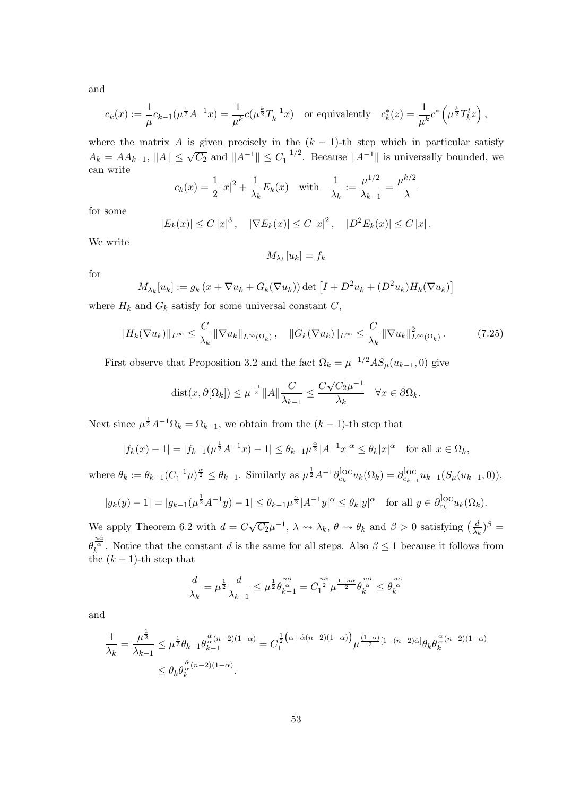and

$$
c_k(x) := \frac{1}{\mu} c_{k-1}(\mu^{\frac{1}{2}} A^{-1} x) = \frac{1}{\mu^k} c(\mu^{\frac{k}{2}} T_k^{-1} x) \text{ or equivalently } c_k^*(z) = \frac{1}{\mu^k} c^* \left(\mu^{\frac{k}{2}} T_k^t z\right),
$$

where the matrix *A* is given precisely in the  $(k-1)$ -th step which in particular satisfy  $A_k = AA_{k-1}$ ,  $||A|| \leq \sqrt{C_2}$  and  $||A^{-1}|| \leq C_1^{-1/2}$ . Because  $||A^{-1}||$  is universally bounded, we can write

$$
c_k(x) = \frac{1}{2} |x|^2 + \frac{1}{\lambda_k} E_k(x)
$$
 with  $\frac{1}{\lambda_k} := \frac{\mu^{1/2}}{\lambda_{k-1}} = \frac{\mu^{k/2}}{\lambda}$ 

for some

$$
|E_k(x)| \le C |x|^3
$$
,  $|\nabla E_k(x)| \le C |x|^2$ ,  $|D^2 E_k(x)| \le C |x|$ .

We write

$$
M_{\lambda_k}[u_k] = f_k
$$

for

$$
M_{\lambda_k}[u_k] := g_k(x + \nabla u_k + G_k(\nabla u_k)) \det \left[ I + D^2 u_k + (D^2 u_k) H_k(\nabla u_k) \right]
$$

where  $H_k$  and  $G_k$  satisfy for some universal constant  $C$ ,

$$
||H_k(\nabla u_k)||_{L^\infty} \leq \frac{C}{\lambda_k} ||\nabla u_k||_{L^\infty(\Omega_k)}, \quad ||G_k(\nabla u_k)||_{L^\infty} \leq \frac{C}{\lambda_k} ||\nabla u_k||_{L^\infty(\Omega_k)}^2. \tag{7.25}
$$

First observe that Proposition 3.2 and the fact  $\Omega_k = \mu^{-1/2} A S_\mu(u_{k-1}, 0)$  give

$$
\text{dist}(x, \partial[\Omega_k]) \le \mu^{\frac{-1}{2}} \|A\| \frac{C}{\lambda_{k-1}} \le \frac{C\sqrt{C_2}\mu^{-1}}{\lambda_k} \quad \forall x \in \partial\Omega_k.
$$

Next since  $\mu^{\frac{1}{2}} A^{-1} \Omega_k = \Omega_{k-1}$ , we obtain from the  $(k-1)$ -th step that

$$
|f_k(x) - 1| = |f_{k-1}(\mu^{\frac{1}{2}} A^{-1} x) - 1| \le \theta_{k-1} \mu^{\frac{\alpha}{2}} |A^{-1} x|^{\alpha} \le \theta_k |x|^{\alpha} \text{ for all } x \in \Omega_k,
$$

where  $\theta_k := \theta_{k-1} (C_1^{-1} \mu)^{\frac{\alpha}{2}} \leq \theta_{k-1}$ . Similarly as  $\mu^{\frac{1}{2}} A^{-1} \partial_{c_k}^{\text{loc}} u_k(\Omega_k) = \partial_{c_{k-1}}^{\text{loc}}$  $\iota_{c_{k-1}}^{\text{LOC}} u_{k-1}(S_\mu(u_{k-1}, 0)),$ 

$$
|g_k(y) - 1| = |g_{k-1}(\mu^{\frac{1}{2}} A^{-1} y) - 1| \le \theta_{k-1} \mu^{\frac{\alpha}{2}} |A^{-1} y|^{\alpha} \le \theta_k |y|^{\alpha} \text{ for all } y \in \partial_{c_k}^{\text{loc}} u_k(\Omega_k).
$$

We apply Theorem 6.2 with  $d = C$ *√*  $\overline{C_2}\mu^{-1}$ ,  $\lambda \rightsquigarrow \lambda_k$ ,  $\theta \rightsquigarrow \theta_k$  and  $\beta > 0$  satisfying  $\left(\frac{d}{\lambda_k}\right)$  $\frac{d}{\lambda_k}$ <sup> $\beta$ </sup> = *θ*<sup> $n\alpha$ *α*<sup> $n\alpha$ </sup>  $\alpha$ <sup>*k*</sup> a</sub> Motice that the constant *d* is the same for all steps. Also  $\beta \le 1$  because it follows from</sup> the  $(k-1)$ -th step that

$$
\frac{d}{\lambda_k} = \mu^{\frac{1}{2}} \frac{d}{\lambda_{k-1}} \leq \mu^{\frac{1}{2}} \theta_{k-1}^{\frac{n\hat{\alpha}}{\alpha}} = C_1^{\frac{n\hat{\alpha}}{2}} \mu^{\frac{1-n\hat{\alpha}}{2}} \theta_k^{\frac{n\hat{\alpha}}{\alpha}} \leq \theta_k^{\frac{n\hat{\alpha}}{\alpha}}
$$

and

$$
\frac{1}{\lambda_k} = \frac{\mu^{\frac{1}{2}}}{\lambda_{k-1}} \leq \mu^{\frac{1}{2}} \theta_{k-1} \theta_{k-1}^{\frac{\hat{\alpha}}{\alpha}(n-2)(1-\alpha)} = C_1^{\frac{1}{2}(\alpha+\hat{\alpha}(n-2)(1-\alpha))} \mu^{\frac{(1-\alpha)}{2}[1-(n-2)\hat{\alpha}]} \theta_k \theta_k^{\frac{\hat{\alpha}}{\alpha}(n-2)(1-\alpha)}
$$
  

$$
\leq \theta_k \theta_k^{\frac{\hat{\alpha}}{\alpha}(n-2)(1-\alpha)}.
$$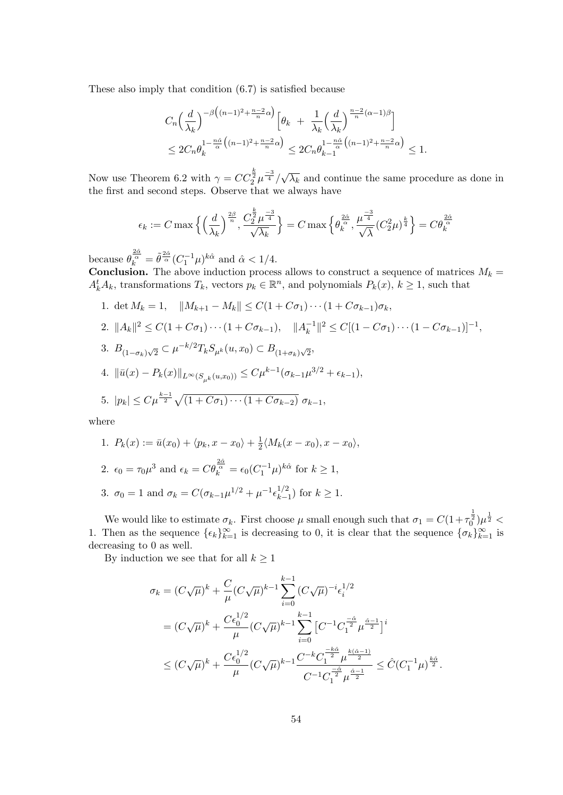These also imply that condition (6.7) is satisfied because

$$
C_n \left(\frac{d}{\lambda_k}\right)^{-\beta \left((n-1)^2 + \frac{n-2}{n}\alpha\right)} \left[\theta_k + \frac{1}{\lambda_k} \left(\frac{d}{\lambda_k}\right)^{\frac{n-2}{n}(\alpha-1)\beta}\right]
$$
  

$$
\leq 2C_n \theta_k^{1 - \frac{n\hat{\alpha}}{\alpha} \left((n-1)^2 + \frac{n-2}{n}\alpha\right)} \leq 2C_n \theta_{k-1}^{1 - \frac{n\hat{\alpha}}{\alpha} \left((n-1)^2 + \frac{n-2}{n}\alpha\right)} \leq 1.
$$

Now use Theorem 6.2 with  $\gamma = CC_2^{\frac{k}{2}} \mu^{-3}$ *√ λ<sup>k</sup>* and continue the same procedure as done in the first and second steps. Observe that we always have

$$
\epsilon_k:=C\max\Big\{\Big(\frac{d}{\lambda_k}\Big)^{\frac{2\beta}{n}},\frac{C_2^{\frac{k}{2}}\mu^{\frac{-3}{4}}}{\sqrt{\lambda_k}}\Big\}=C\max\Big\{\theta_k^{\frac{2\hat\alpha}{\alpha}},\frac{\mu^{\frac{-3}{4}}}{\sqrt{\lambda}}(C_2^2\mu)^{\frac{k}{4}}\Big\}=C\theta_k^{\frac{2\hat\alpha}{\alpha}}
$$

because  $\theta_k^{\frac{2\hat{\alpha}}{\alpha}} = \tilde{\theta}^{\frac{2\hat{\alpha}}{\alpha}} (C_1^{-1}\mu)^{k\hat{\alpha}}$  and  $\hat{\alpha} < 1/4$ .

**Conclusion.** The above induction process allows to construct a sequence of matrices  $M_k =$  $A_k^t A_k$ , transformations  $T_k$ , vectors  $p_k \in \mathbb{R}^n$ , and polynomials  $P_k(x)$ ,  $k \ge 1$ , such that

1. det  $M_k = 1$ ,  $\|M_{k+1} - M_k\| \leq C(1 + C\sigma_1) \cdots (1 + C\sigma_{k-1})\sigma_k$ , 2.  $||A_k||^2 \leq C(1+C\sigma_1)\cdots(1+C\sigma_{k-1}), \quad ||A_k^{-1}||^2 \leq C[(1-C\sigma_1)\cdots(1-C\sigma_{k-1})]^{-1},$ 3.  $B_{(1-\sigma_k)\sqrt{2}} \subset \mu^{-k/2} T_k S_{\mu^k}(u, x_0) \subset B_{(1+\sigma_k)\sqrt{2}}$ 4.  $\|\bar{u}(x) - P_k(x)\|_{L^{\infty}(S_{\mu^k}(u,x_0))} \leq C\mu^{k-1}(\sigma_{k-1}\mu^{3/2} + \epsilon_{k-1}),$ 5.  $|p_k| \leq C \mu^{\frac{k-1}{2}} \sqrt{(1+C\sigma_1)\cdots(1+C\sigma_{k-2})} \sigma_{k-1}$ 

where

1. 
$$
P_k(x) := \bar{u}(x_0) + \langle p_k, x - x_0 \rangle + \frac{1}{2} \langle M_k(x - x_0), x - x_0 \rangle
$$
,  
\n2.  $\epsilon_0 = \tau_0 \mu^3$  and  $\epsilon_k = C \theta_k^{\frac{2\hat{\alpha}}{\alpha}} = \epsilon_0 (C_1^{-1} \mu)^{k\hat{\alpha}}$  for  $k \ge 1$ ,  
\n3.  $\sigma_0 = 1$  and  $\sigma_k = C(\sigma_{k-1} \mu^{1/2} + \mu^{-1} \epsilon_{k-1}^{1/2})$  for  $k \ge 1$ .

We would like to estimate  $\sigma_k$ . First choose  $\mu$  small enough such that  $\sigma_1 = C(1+\tau_0^{\frac{1}{2}})\mu^{\frac{1}{2}}$ 1. Then as the sequence  $\{\epsilon_k\}_{k=1}^{\infty}$  is decreasing to 0, it is clear that the sequence  $\{\sigma_k\}_{k=1}^{\infty}$  is decreasing to 0 as well.

By induction we see that for all  $k \geq 1$ 

$$
\sigma_k = (C\sqrt{\mu})^k + \frac{C}{\mu}(C\sqrt{\mu})^{k-1} \sum_{i=0}^{k-1} (C\sqrt{\mu})^{-i} \epsilon_i^{1/2}
$$
  
=  $(C\sqrt{\mu})^k + \frac{C\epsilon_0^{1/2}}{\mu}(C\sqrt{\mu})^{k-1} \sum_{i=0}^{k-1} \left[C^{-1}C_1^{\frac{-\hat{\alpha}}{2}} \mu^{\frac{\hat{\alpha}-1}{2}}\right]^i$   
 $\le (C\sqrt{\mu})^k + \frac{C\epsilon_0^{1/2}}{\mu}(C\sqrt{\mu})^{k-1} \frac{C^{-k}C_1^{\frac{-k\hat{\alpha}}{2}} \mu^{\frac{k(\hat{\alpha}-1)}{2}}}{C^{-1}C_1^{\frac{-\hat{\alpha}}{2}} \mu^{\frac{\hat{\alpha}-1}{2}}} \le \hat{C}(C_1^{-1}\mu)^{\frac{k\hat{\alpha}}{2}}. \end{aligned}$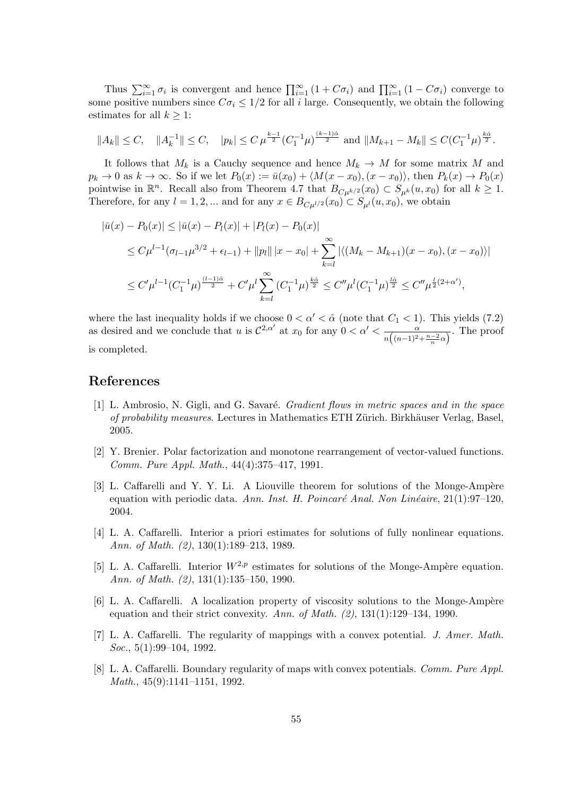Thus  $\sum_{i=1}^{\infty} \sigma_i$  is convergent and hence  $\prod_{i=1}^{\infty} (1 + C\sigma_i)$  and  $\prod_{i=1}^{\infty} (1 - C\sigma_i)$  converge to some positive numbers since  $C\sigma_i \leq 1/2$  for all *i* large. Consequently, we obtain the following estimates for all  $k \geq 1$ :

$$
||A_k|| \leq C, \quad ||A_k^{-1}|| \leq C, \quad |p_k| \leq C \,\mu^{\frac{k-1}{2}} (C_1^{-1} \mu)^{\frac{(k-1)\hat{\alpha}}{2}} \text{ and } ||M_{k+1} - M_k|| \leq C (C_1^{-1} \mu)^{\frac{k\hat{\alpha}}{2}}.
$$

It follows that  $M_k$  is a Cauchy sequence and hence  $M_k \to M$  for some matrix M and  $p_k \to 0$  as  $k \to \infty$ . So if we let  $P_0(x) := \bar{u}(x_0) + \langle M(x - x_0), (x - x_0) \rangle$ , then  $P_k(x) \to P_0(x)$ pointwise in  $\mathbb{R}^n$ . Recall also from Theorem 4.7 that  $B_{C\mu^{k/2}}(x_0) \subset S_{\mu^k}(u, x_0)$  for all  $k \geq 1$ . Therefore, for any  $l = 1, 2, ...$  and for any  $x \in B_{\mathcal{C}_u l/2}(x_0) \subset S_{\mu l}(u, x_0)$ , we obtain

$$
|\bar{u}(x) - P_0(x)| \le |\bar{u}(x) - P_1(x)| + |P_l(x) - P_0(x)|
$$
  
\n
$$
\le C\mu^{l-1}(\sigma_{l-1}\mu^{3/2} + \epsilon_{l-1}) + ||p_l|| |x - x_0| + \sum_{k=l}^{\infty} |\langle (M_k - M_{k+1})(x - x_0), (x - x_0) \rangle|
$$
  
\n
$$
\le C'\mu^{l-1} (C_1^{-1}\mu)^{\frac{(l-1)\hat{\alpha}}{2}} + C'\mu^l \sum_{k=l}^{\infty} (C_1^{-1}\mu)^{\frac{k\hat{\alpha}}{2}} \le C''\mu^l (C_1^{-1}\mu)^{\frac{l\hat{\alpha}}{2}} \le C''\mu^{\frac{l}{2}(2+\alpha')},
$$

where the last inequality holds if we choose  $0 < \alpha' < \hat{\alpha}$  (note that  $C_1 < 1$ ). This yields (7.2) as desired and we conclude that *u* is  $\mathcal{C}^{2,\alpha'}$  at  $x_0$  for any  $0 < \alpha' < \frac{\alpha}{\sqrt{(\alpha-1)^2}}$  $\frac{\alpha}{n\left((n-1)^2 + \frac{n-2}{n}\alpha\right)}$ . The proof is completed.

### **References**

- [1] L. Ambrosio, N. Gigli, and G. Savar´e. *Gradient flows in metric spaces and in the space of probability measures*. Lectures in Mathematics ETH Zürich. Birkhäuser Verlag, Basel, 2005.
- [2] Y. Brenier. Polar factorization and monotone rearrangement of vector-valued functions. *Comm. Pure Appl. Math.*, 44(4):375–417, 1991.
- [3] L. Caffarelli and Y. Y. Li. A Liouville theorem for solutions of the Monge-Ampère equation with periodic data. *Ann. Inst. H. Poincaré Anal. Non Linéaire*, 21(1):97–120, 2004.
- [4] L. A. Caffarelli. Interior a priori estimates for solutions of fully nonlinear equations. *Ann. of Math. (2)*, 130(1):189–213, 1989.
- [5] L. A. Caffarelli. Interior  $W^{2,p}$  estimates for solutions of the Monge-Ampère equation. *Ann. of Math. (2)*, 131(1):135–150, 1990.
- [6] L. A. Caffarelli. A localization property of viscosity solutions to the Monge-Ampère equation and their strict convexity. *Ann. of Math. (2)*, 131(1):129–134, 1990.
- [7] L. A. Caffarelli. The regularity of mappings with a convex potential. *J. Amer. Math. Soc.*, 5(1):99–104, 1992.
- [8] L. A. Caffarelli. Boundary regularity of maps with convex potentials. *Comm. Pure Appl. Math.*, 45(9):1141–1151, 1992.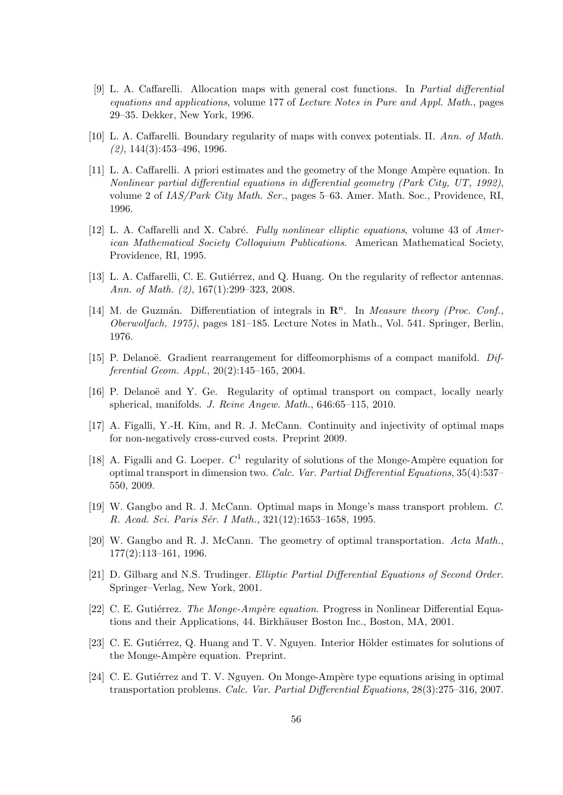- [9] L. A. Caffarelli. Allocation maps with general cost functions. In *Partial differential equations and applications*, volume 177 of *Lecture Notes in Pure and Appl. Math.*, pages 29–35. Dekker, New York, 1996.
- [10] L. A. Caffarelli. Boundary regularity of maps with convex potentials. II. *Ann. of Math. (2)*, 144(3):453–496, 1996.
- [11] L. A. Caffarelli. A priori estimates and the geometry of the Monge Ampère equation. In *Nonlinear partial differential equations in differential geometry (Park City, UT, 1992)*, volume 2 of *IAS/Park City Math. Ser.*, pages 5–63. Amer. Math. Soc., Providence, RI, 1996.
- [12] L. A. Caffarelli and X. Cabré. *Fully nonlinear elliptic equations*, volume 43 of *American Mathematical Society Colloquium Publications*. American Mathematical Society, Providence, RI, 1995.
- [13] L. A. Caffarelli, C. E. Gutiérrez, and Q. Huang. On the regularity of reflector antennas. *Ann. of Math. (2)*, 167(1):299–323, 2008.
- [14] M. de Guzmán. Differentiation of integrals in  $\mathbb{R}^n$ . In *Measure theory (Proc. Conf.*, *Oberwolfach, 1975)*, pages 181–185. Lecture Notes in Math., Vol. 541. Springer, Berlin, 1976.
- [15] P. Delanoë. Gradient rearrangement for diffeomorphisms of a compact manifold. *Differential Geom. Appl.*, 20(2):145–165, 2004.
- [16] P. Delanoë and Y. Ge. Regularity of optimal transport on compact, locally nearly spherical, manifolds. *J. Reine Angew. Math.*, 646:65–115, 2010.
- [17] A. Figalli, Y.-H. Kim, and R. J. McCann. Continuity and injectivity of optimal maps for non-negatively cross-curved costs. Preprint 2009.
- [18] A. Figalli and G. Loeper.  $C^1$  regularity of solutions of the Monge-Ampère equation for optimal transport in dimension two. *Calc. Var. Partial Differential Equations*, 35(4):537– 550, 2009.
- [19] W. Gangbo and R. J. McCann. Optimal maps in Monge's mass transport problem. *C. R. Acad. Sci. Paris S´er. I Math.*, 321(12):1653–1658, 1995.
- [20] W. Gangbo and R. J. McCann. The geometry of optimal transportation. *Acta Math.*, 177(2):113–161, 1996.
- [21] D. Gilbarg and N.S. Trudinger. *Elliptic Partial Differential Equations of Second Order.* Springer–Verlag, New York, 2001.
- [22] C. E. Gutiérrez. *The Monge-Ampère equation*. Progress in Nonlinear Differential Equations and their Applications, 44. Birkhäuser Boston Inc., Boston, MA, 2001.
- [23] C. E. Gutiérrez, Q. Huang and T. V. Nguyen. Interior Hölder estimates for solutions of the Monge-Ampère equation. Preprint.
- [24] C. E. Gutiérrez and T. V. Nguyen. On Monge-Ampère type equations arising in optimal transportation problems. *Calc. Var. Partial Differential Equations*, 28(3):275–316, 2007.